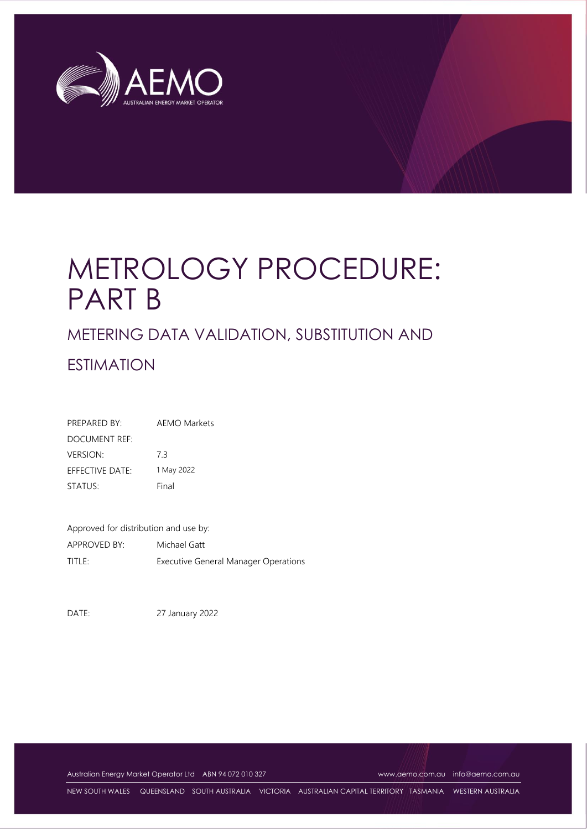

# METROLOGY PROCEDURE: PART B

## METERING DATA VALIDATION, SUBSTITUTION AND

## ESTIMATION

| PREPARED BY:    | <b>AEMO Markets</b> |  |
|-----------------|---------------------|--|
| DOCUMENT REF:   |                     |  |
| <b>VERSION:</b> | ך 7                 |  |
| EFFECTIVE DATE: | 1 May 2022          |  |
| STATUS:         | Final               |  |

Approved for distribution and use by: APPROVED BY: Michael Gatt TITLE: Executive General Manager Operations

DATE: 27 January 2022

Australian Energy Market Operator Ltd ABN 94 072 010 327 [www.aemo.com.au](http://www.aemo.com.au/) [info@aemo.com.au](mailto:info@aemo.com.au)

NEW SOUTH WALES QUEENSLAND SOUTH AUSTRALIA VICTORIA AUSTRALIAN CAPITAL TERRITORY TASMANIA WESTERN AUSTRALIA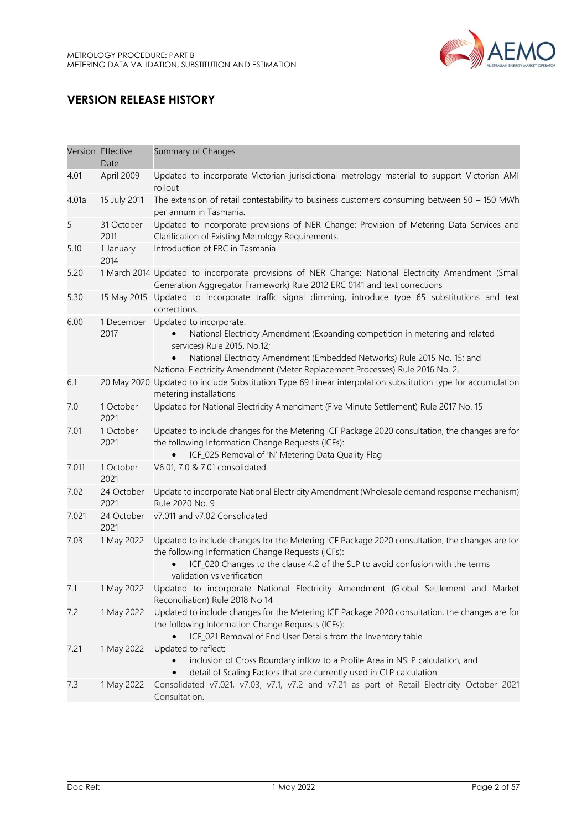

## **VERSION RELEASE HISTORY**

|       | Version Effective<br>Date | Summary of Changes                                                                                                                                                                                                                                                                                   |
|-------|---------------------------|------------------------------------------------------------------------------------------------------------------------------------------------------------------------------------------------------------------------------------------------------------------------------------------------------|
| 4.01  | April 2009                | Updated to incorporate Victorian jurisdictional metrology material to support Victorian AMI<br>rollout                                                                                                                                                                                               |
| 4.01a | 15 July 2011              | The extension of retail contestability to business customers consuming between $50 - 150$ MWh<br>per annum in Tasmania.                                                                                                                                                                              |
| 5     | 31 October<br>2011        | Updated to incorporate provisions of NER Change: Provision of Metering Data Services and<br>Clarification of Existing Metrology Requirements.                                                                                                                                                        |
| 5.10  | 1 January<br>2014         | Introduction of FRC in Tasmania                                                                                                                                                                                                                                                                      |
| 5.20  |                           | 1 March 2014 Updated to incorporate provisions of NER Change: National Electricity Amendment (Small<br>Generation Aggregator Framework) Rule 2012 ERC 0141 and text corrections                                                                                                                      |
| 5.30  | 15 May 2015               | Updated to incorporate traffic signal dimming, introduce type 65 substitutions and text<br>corrections.                                                                                                                                                                                              |
| 6.00  | 1 December<br>2017        | Updated to incorporate:<br>National Electricity Amendment (Expanding competition in metering and related<br>services) Rule 2015. No.12;<br>National Electricity Amendment (Embedded Networks) Rule 2015 No. 15; and<br>National Electricity Amendment (Meter Replacement Processes) Rule 2016 No. 2. |
| 6.1   |                           | 20 May 2020 Updated to include Substitution Type 69 Linear interpolation substitution type for accumulation<br>metering installations                                                                                                                                                                |
| 7.0   | 1 October<br>2021         | Updated for National Electricity Amendment (Five Minute Settlement) Rule 2017 No. 15                                                                                                                                                                                                                 |
| 7.01  | 1 October<br>2021         | Updated to include changes for the Metering ICF Package 2020 consultation, the changes are for<br>the following Information Change Requests (ICFs):<br>ICF_025 Removal of 'N' Metering Data Quality Flag                                                                                             |
| 7.011 | 1 October<br>2021         | V6.01, 7.0 & 7.01 consolidated                                                                                                                                                                                                                                                                       |
| 7.02  | 24 October<br>2021        | Update to incorporate National Electricity Amendment (Wholesale demand response mechanism)<br>Rule 2020 No. 9                                                                                                                                                                                        |
| 7.021 | 24 October<br>2021        | v7.011 and v7.02 Consolidated                                                                                                                                                                                                                                                                        |
| 7.03  | 1 May 2022                | Updated to include changes for the Metering ICF Package 2020 consultation, the changes are for<br>the following Information Change Requests (ICFs):<br>ICF_020 Changes to the clause 4.2 of the SLP to avoid confusion with the terms<br>validation vs verification                                  |
| 7.1   | 1 May 2022                | Updated to incorporate National Electricity Amendment (Global Settlement and Market<br>Reconciliation) Rule 2018 No 14                                                                                                                                                                               |
| 7.2   | 1 May 2022                | Updated to include changes for the Metering ICF Package 2020 consultation, the changes are for<br>the following Information Change Requests (ICFs):<br>ICF_021 Removal of End User Details from the Inventory table<br>$\bullet$                                                                     |
| 7.21  | 1 May 2022                | Updated to reflect:<br>inclusion of Cross Boundary inflow to a Profile Area in NSLP calculation, and<br>detail of Scaling Factors that are currently used in CLP calculation.                                                                                                                        |
| 7.3   | 1 May 2022                | Consolidated v7.021, v7.03, v7.1, v7.2 and v7.21 as part of Retail Electricity October 2021<br>Consultation.                                                                                                                                                                                         |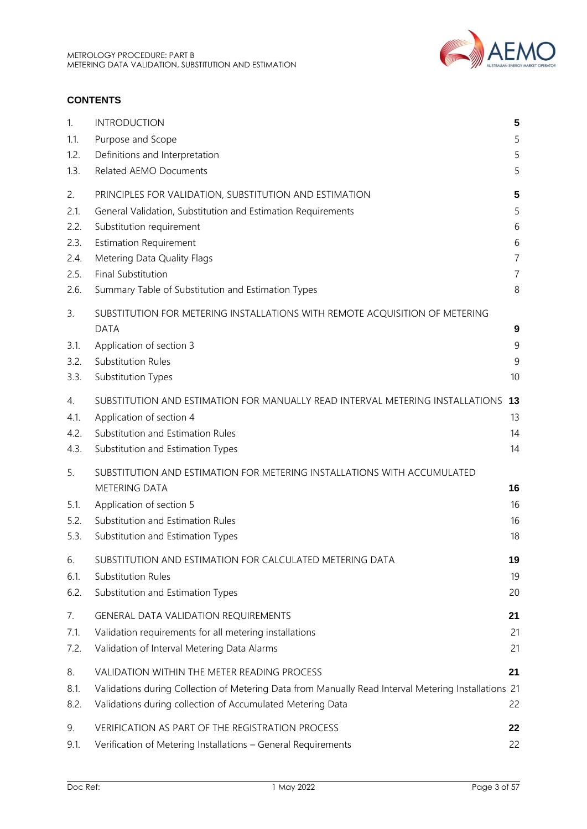

## **CONTENTS**

| 1.                         | <b>INTRODUCTION</b>                                                                                                                                                                                               | 5                    |
|----------------------------|-------------------------------------------------------------------------------------------------------------------------------------------------------------------------------------------------------------------|----------------------|
| 1.1.                       | Purpose and Scope                                                                                                                                                                                                 | 5                    |
| 1.2.                       | Definitions and Interpretation                                                                                                                                                                                    | 5                    |
| 1.3.                       | Related AEMO Documents                                                                                                                                                                                            | 5                    |
| 2.                         | PRINCIPLES FOR VALIDATION, SUBSTITUTION AND ESTIMATION                                                                                                                                                            | 5                    |
| 2.1.                       | General Validation, Substitution and Estimation Requirements                                                                                                                                                      | 5                    |
| 2.2.                       | Substitution requirement                                                                                                                                                                                          | 6                    |
| 2.3.                       | <b>Estimation Requirement</b>                                                                                                                                                                                     | 6                    |
| 2.4.                       | Metering Data Quality Flags                                                                                                                                                                                       | $\overline{7}$       |
| 2.5.                       | Final Substitution                                                                                                                                                                                                | $\overline{7}$       |
| 2.6.                       | Summary Table of Substitution and Estimation Types                                                                                                                                                                | 8                    |
| 3.<br>3.1.<br>3.2.<br>3.3. | SUBSTITUTION FOR METERING INSTALLATIONS WITH REMOTE ACQUISITION OF METERING<br><b>DATA</b><br>Application of section 3<br><b>Substitution Rules</b><br>Substitution Types                                         | 9<br>9<br>9<br>10    |
| 4.                         | SUBSTITUTION AND ESTIMATION FOR MANUALLY READ INTERVAL METERING INSTALLATIONS                                                                                                                                     | 13                   |
| 4.1.                       | Application of section 4                                                                                                                                                                                          | 13                   |
| 4.2.                       | Substitution and Estimation Rules                                                                                                                                                                                 | 14                   |
| 4.3.                       | Substitution and Estimation Types                                                                                                                                                                                 | 14                   |
| 5.<br>5.1.<br>5.2.<br>5.3. | SUBSTITUTION AND ESTIMATION FOR METERING INSTALLATIONS WITH ACCUMULATED<br><b>METERING DATA</b><br>Application of section 5<br>Substitution and Estimation Rules<br>Substitution and Estimation Types             | 16<br>16<br>16<br>18 |
| 6.                         | SUBSTITUTION AND ESTIMATION FOR CALCULATED METERING DATA                                                                                                                                                          | 19                   |
| 6.1.                       | <b>Substitution Rules</b>                                                                                                                                                                                         | 19                   |
| 6.2.                       | Substitution and Estimation Types                                                                                                                                                                                 | 20                   |
| 7.                         | <b>GENERAL DATA VALIDATION REQUIREMENTS</b>                                                                                                                                                                       | 21                   |
| 7.1.                       | Validation requirements for all metering installations                                                                                                                                                            | 21                   |
| 7.2.                       | Validation of Interval Metering Data Alarms                                                                                                                                                                       | 21                   |
| 8.<br>8.1.<br>8.2.         | VALIDATION WITHIN THE METER READING PROCESS<br>Validations during Collection of Metering Data from Manually Read Interval Metering Installations 21<br>Validations during collection of Accumulated Metering Data | 21<br>22             |
| 9.                         | VERIFICATION AS PART OF THE REGISTRATION PROCESS                                                                                                                                                                  | 22                   |
| 9.1.                       | Verification of Metering Installations - General Requirements                                                                                                                                                     | 22                   |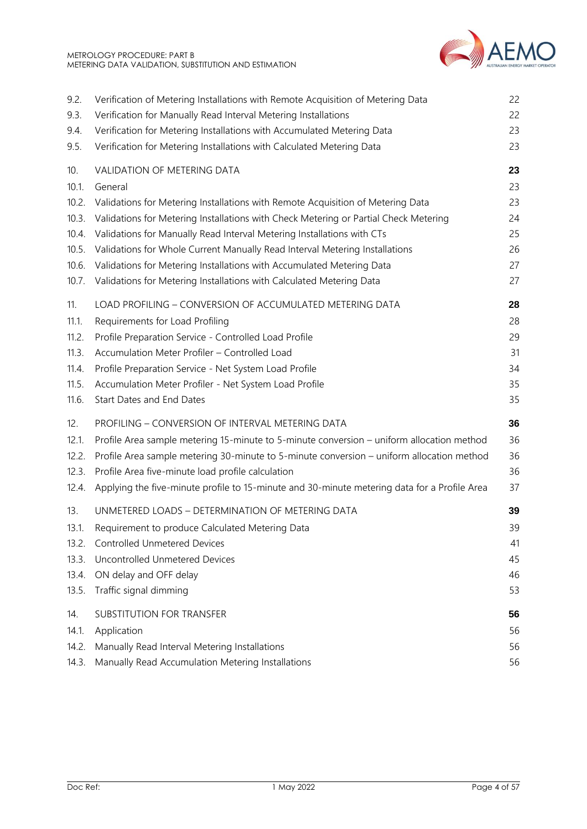

| 9.2.  | Verification of Metering Installations with Remote Acquisition of Metering Data              | 22 |
|-------|----------------------------------------------------------------------------------------------|----|
| 9.3.  | Verification for Manually Read Interval Metering Installations                               | 22 |
| 9.4.  | Verification for Metering Installations with Accumulated Metering Data                       | 23 |
| 9.5.  | Verification for Metering Installations with Calculated Metering Data                        | 23 |
| 10.   | VALIDATION OF METERING DATA                                                                  | 23 |
| 10.1. | General                                                                                      | 23 |
| 10.2. | Validations for Metering Installations with Remote Acquisition of Metering Data              | 23 |
| 10.3. | Validations for Metering Installations with Check Metering or Partial Check Metering         | 24 |
| 10.4. | Validations for Manually Read Interval Metering Installations with CTs                       | 25 |
| 10.5. | Validations for Whole Current Manually Read Interval Metering Installations                  | 26 |
| 10.6. | Validations for Metering Installations with Accumulated Metering Data                        | 27 |
| 10.7. | Validations for Metering Installations with Calculated Metering Data                         | 27 |
| 11.   | LOAD PROFILING - CONVERSION OF ACCUMULATED METERING DATA                                     | 28 |
| 11.1. | Requirements for Load Profiling                                                              | 28 |
| 11.2. | Profile Preparation Service - Controlled Load Profile                                        | 29 |
| 11.3. | Accumulation Meter Profiler - Controlled Load                                                | 31 |
| 11.4. | Profile Preparation Service - Net System Load Profile                                        | 34 |
| 11.5. | Accumulation Meter Profiler - Net System Load Profile                                        | 35 |
| 11.6. | Start Dates and End Dates                                                                    | 35 |
| 12.   | PROFILING - CONVERSION OF INTERVAL METERING DATA                                             | 36 |
| 12.1. | Profile Area sample metering 15-minute to 5-minute conversion - uniform allocation method    | 36 |
| 12.2. | Profile Area sample metering 30-minute to 5-minute conversion - uniform allocation method    | 36 |
| 12.3. | Profile Area five-minute load profile calculation                                            | 36 |
| 12.4. | Applying the five-minute profile to 15-minute and 30-minute metering data for a Profile Area | 37 |
| 13.   | UNMETERED LOADS - DETERMINATION OF METERING DATA                                             | 39 |
| 13.1. | Requirement to produce Calculated Metering Data                                              | 39 |
| 13.2. | <b>Controlled Unmetered Devices</b>                                                          | 41 |
| 13.3. | Uncontrolled Unmetered Devices                                                               | 45 |
| 13.4. | ON delay and OFF delay                                                                       | 46 |
| 13.5. | Traffic signal dimming                                                                       | 53 |
| 14.   | SUBSTITUTION FOR TRANSFER                                                                    | 56 |
| 14.1. | Application                                                                                  | 56 |
| 14.2. | Manually Read Interval Metering Installations                                                | 56 |
| 14.3. | Manually Read Accumulation Metering Installations                                            | 56 |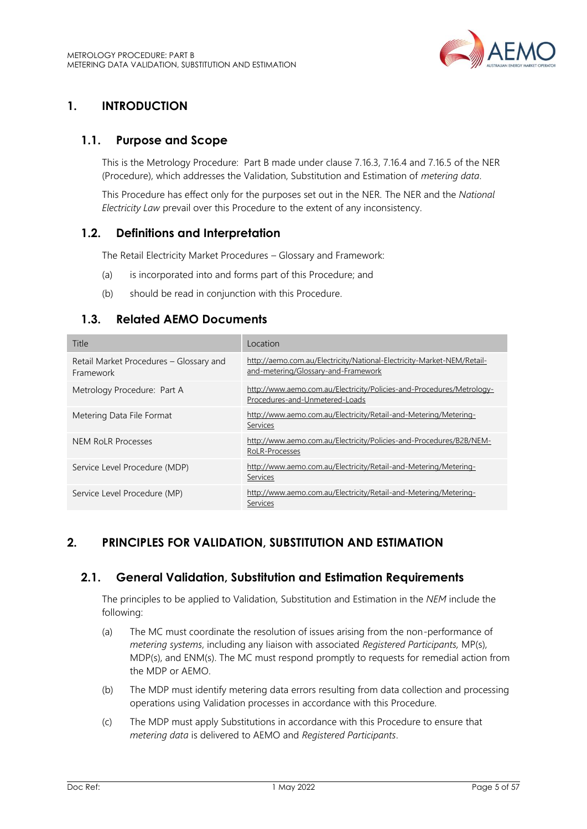

## <span id="page-4-0"></span>**1. INTRODUCTION**

## <span id="page-4-1"></span>**1.1. Purpose and Scope**

This is the Metrology Procedure: Part B made under clause 7.16.3, 7.16.4 and 7.16.5 of the NER (Procedure), which addresses the Validation, Substitution and Estimation of *metering data*.

This Procedure has effect only for the purposes set out in the NER. The NER and the *National Electricity Law* prevail over this Procedure to the extent of any inconsistency.

## <span id="page-4-2"></span>**1.2. Definitions and Interpretation**

The Retail Electricity Market Procedures – Glossary and Framework:

- (a) is incorporated into and forms part of this Procedure; and
- (b) should be read in conjunction with this Procedure.

## <span id="page-4-3"></span>**1.3. Related AEMO Documents**

| Title                                                | Location                                                                                                      |
|------------------------------------------------------|---------------------------------------------------------------------------------------------------------------|
| Retail Market Procedures - Glossary and<br>Framework | http://aemo.com.au/Electricity/National-Electricity-Market-NEM/Retail-<br>and-metering/Glossary-and-Framework |
| Metrology Procedure: Part A                          | http://www.aemo.com.au/Electricity/Policies-and-Procedures/Metrology-<br>Procedures-and-Unmetered-Loads       |
| Metering Data File Format                            | http://www.aemo.com.au/Electricity/Retail-and-Metering/Metering-<br>Services                                  |
| NEM RoLR Processes                                   | http://www.aemo.com.au/Electricity/Policies-and-Procedures/B2B/NEM-<br>RoLR-Processes                         |
| Service Level Procedure (MDP)                        | http://www.aemo.com.au/Electricity/Retail-and-Metering/Metering-<br>Services                                  |
| Service Level Procedure (MP)                         | http://www.aemo.com.au/Electricity/Retail-and-Metering/Metering-<br><b>Services</b>                           |

## <span id="page-4-4"></span>**2. PRINCIPLES FOR VALIDATION, SUBSTITUTION AND ESTIMATION**

## <span id="page-4-5"></span>**2.1. General Validation, Substitution and Estimation Requirements**

The principles to be applied to Validation, Substitution and Estimation in the *NEM* include the following:

- (a) The MC must coordinate the resolution of issues arising from the non-performance of *metering systems*, including any liaison with associated *Registered Participants,* MP(s), MDP(s), and ENM(s). The MC must respond promptly to requests for remedial action from the MDP or AEMO.
- (b) The MDP must identify metering data errors resulting from data collection and processing operations using Validation processes in accordance with this Procedure.
- (c) The MDP must apply Substitutions in accordance with this Procedure to ensure that *metering data* is delivered to AEMO and *Registered Participants*.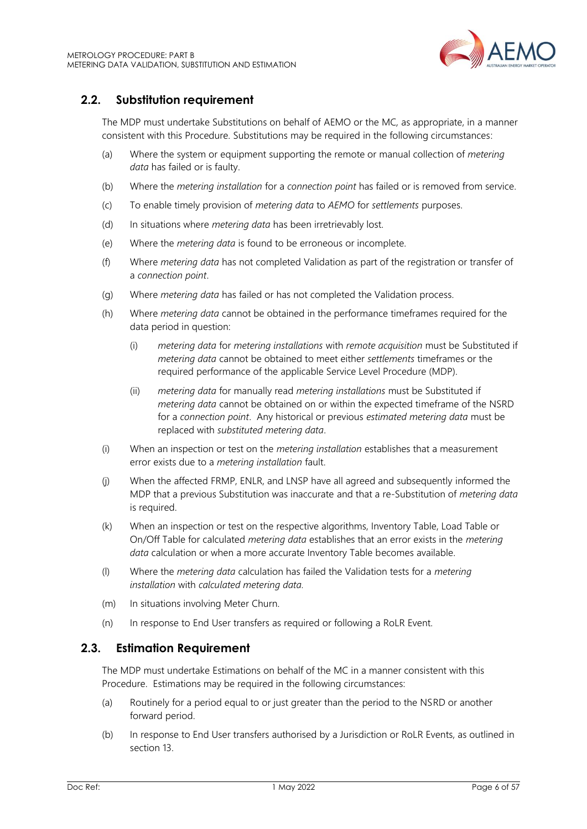

## <span id="page-5-0"></span>**2.2. Substitution requirement**

The MDP must undertake Substitutions on behalf of AEMO or the MC*,* as appropriate, in a manner consistent with this Procedure. Substitutions may be required in the following circumstances:

- (a) Where the system or equipment supporting the remote or manual collection of *metering data* has failed or is faulty.
- (b) Where the *metering installation* for a *connection point* has failed or is removed from service.
- (c) To enable timely provision of *metering data* to *AEMO* for *settlements* purposes.
- (d) In situations where *metering data* has been irretrievably lost.
- (e) Where the *metering data* is found to be erroneous or incomplete.
- (f) Where *metering data* has not completed Validation as part of the registration or transfer of a *connection point*.
- (g) Where *metering data* has failed or has not completed the Validation process.
- (h) Where *metering data* cannot be obtained in the performance timeframes required for the data period in question:
	- (i) *metering data* for *metering installations* with *remote acquisition* must be Substituted if *metering data* cannot be obtained to meet either *settlements* timeframes or the required performance of the applicable Service Level Procedure (MDP).
	- (ii) *metering data* for manually read *metering installations* must be Substituted if *metering data* cannot be obtained on or within the expected timeframe of the NSRD for a *connection point*. Any historical or previous *estimated metering data* must be replaced with *substituted metering data*.
- (i) When an inspection or test on the *metering installation* establishes that a measurement error exists due to a *metering installation* fault.
- (j) When the affected FRMP, ENLR, and LNSP have all agreed and subsequently informed the MDP that a previous Substitution was inaccurate and that a re-Substitution of *metering data* is required.
- (k) When an inspection or test on the respective algorithms, Inventory Table, Load Table or On/Off Table for calculated *metering data* establishes that an error exists in the *metering data* calculation or when a more accurate Inventory Table becomes available.
- (l) Where the *metering data* calculation has failed the Validation tests for a *metering installation* with *calculated metering data.*
- (m) In situations involving Meter Churn.
- (n) In response to End User transfers as required or following a RoLR Event.

## <span id="page-5-1"></span>**2.3. Estimation Requirement**

The MDP must undertake Estimations on behalf of the MC in a manner consistent with this Procedure. Estimations may be required in the following circumstances:

- (a) Routinely for a period equal to or just greater than the period to the NSRD or another forward period.
- (b) In response to End User transfers authorised by a Jurisdiction or RoLR Events, as outlined in section 13.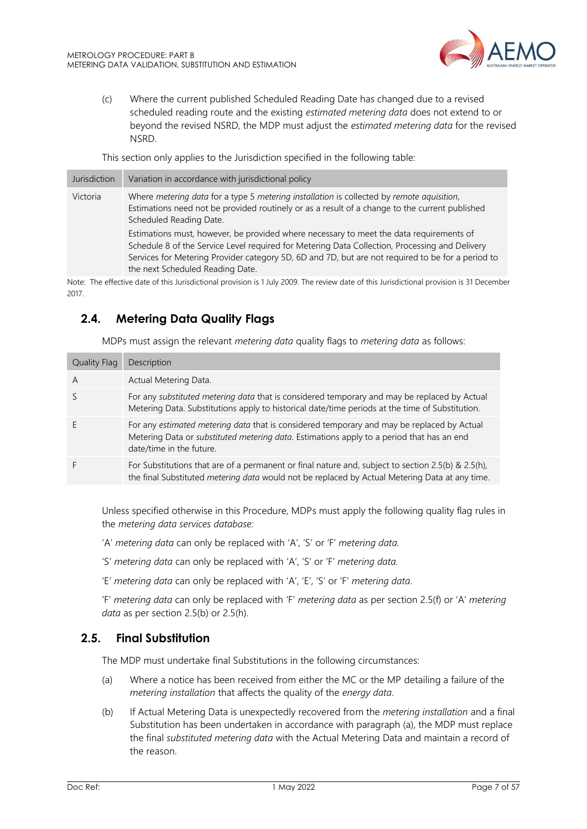

(c) Where the current published Scheduled Reading Date has changed due to a revised scheduled reading route and the existing *estimated metering data* does not extend to or beyond the revised NSRD, the MDP must adjust the *estimated metering data* for the revised NSRD.

This section only applies to the Jurisdiction specified in the following table:

| Jurisdiction | Variation in accordance with jurisdictional policy                                                                                                                                                                                                                                                                                 |
|--------------|------------------------------------------------------------------------------------------------------------------------------------------------------------------------------------------------------------------------------------------------------------------------------------------------------------------------------------|
| Victoria     | Where metering data for a type 5 metering installation is collected by remote aquisition,<br>Estimations need not be provided routinely or as a result of a change to the current published<br>Scheduled Reading Date.                                                                                                             |
|              | Estimations must, however, be provided where necessary to meet the data requirements of<br>Schedule 8 of the Service Level required for Metering Data Collection, Processing and Delivery<br>Services for Metering Provider category 5D, 6D and 7D, but are not required to be for a period to<br>the next Scheduled Reading Date. |
|              | the contract of the contract of the contract of the contract of the contract of the contract of the contract of<br>.                                                                                                                                                                                                               |

Note: The effective date of this Jurisdictional provision is 1 July 2009. The review date of this Jurisdictional provision is 31 December 2017.

## <span id="page-6-0"></span>**2.4. Metering Data Quality Flags**

MDPs must assign the relevant *metering data* quality flags to *metering data* as follows:

| <b>Quality Flag</b> | Description                                                                                                                                                                                                                 |
|---------------------|-----------------------------------------------------------------------------------------------------------------------------------------------------------------------------------------------------------------------------|
| $\overline{A}$      | Actual Metering Data.                                                                                                                                                                                                       |
|                     | For any substituted metering data that is considered temporary and may be replaced by Actual<br>Metering Data. Substitutions apply to historical date/time periods at the time of Substitution.                             |
|                     | For any estimated metering data that is considered temporary and may be replaced by Actual<br>Metering Data or <i>substituted metering data</i> . Estimations apply to a period that has an end<br>date/time in the future. |
|                     | For Substitutions that are of a permanent or final nature and, subject to section 2.5(b) & 2.5(h),<br>the final Substituted metering data would not be replaced by Actual Metering Data at any time.                        |

Unless specified otherwise in this Procedure, MDPs must apply the following quality flag rules in the *metering data services database:*

- 'A' *metering data* can only be replaced with 'A', 'S' or 'F' *metering data.*
- 'S' *metering data* can only be replaced with 'A', 'S' or 'F' *metering data.*
- 'E' *metering data* can only be replaced with 'A', 'E', 'S' or 'F' *metering data*.

'F' *metering data* can only be replaced with 'F' *metering data* as per section 2.5(f) or 'A' *metering data* as per section 2.5(b) or 2.5(h).

## <span id="page-6-1"></span>**2.5. Final Substitution**

The MDP must undertake final Substitutions in the following circumstances:

- (a) Where a notice has been received from either the MC or the MP detailing a failure of the *metering installation* that affects the quality of the *energy data*.
- (b) If Actual Metering Data is unexpectedly recovered from the *metering installation* and a final Substitution has been undertaken in accordance with paragraph (a), the MDP must replace the final *substituted metering data* with the Actual Metering Data and maintain a record of the reason.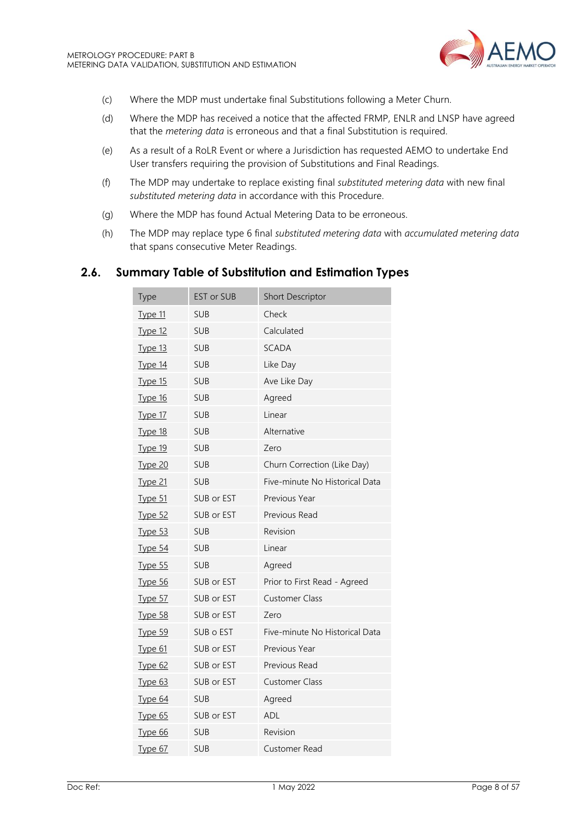

- (c) Where the MDP must undertake final Substitutions following a Meter Churn.
- (d) Where the MDP has received a notice that the affected FRMP, ENLR and LNSP have agreed that the *metering data* is erroneous and that a final Substitution is required.
- (e) As a result of a RoLR Event or where a Jurisdiction has requested AEMO to undertake End User transfers requiring the provision of Substitutions and Final Readings.
- (f) The MDP may undertake to replace existing final *substituted metering data* with new final *substituted metering data* in accordance with this Procedure.
- (g) Where the MDP has found Actual Metering Data to be erroneous.
- (h) The MDP may replace type 6 final *substituted metering data* with *accumulated metering data* that spans consecutive Meter Readings.

## <span id="page-7-0"></span>**2.6. Summary Table of Substitution and Estimation Types**

| <b>Type</b>    | EST or SUB | Short Descriptor               |
|----------------|------------|--------------------------------|
| <u>Type 11</u> | <b>SUB</b> | Check                          |
| Type 12        | <b>SUB</b> | Calculated                     |
| Type 13        | <b>SUB</b> | <b>SCADA</b>                   |
| Type 14        | <b>SUB</b> | Like Day                       |
| <u>Type 15</u> | <b>SUB</b> | Ave Like Day                   |
| Type 16        | <b>SUB</b> | Agreed                         |
| Type 17        | <b>SUB</b> | Linear                         |
| <b>Type 18</b> | <b>SUB</b> | Alternative                    |
| Type 19        | <b>SUB</b> | Zero                           |
| <u>Type 20</u> | <b>SUB</b> | Churn Correction (Like Day)    |
| <u>Type 21</u> | <b>SUB</b> | Five-minute No Historical Data |
| Type 51        | SUB or EST | Previous Year                  |
| Type 52        | SUB or EST | Previous Read                  |
| <b>Type 53</b> | <b>SUB</b> | Revision                       |
| <b>Type 54</b> | <b>SUB</b> | Linear                         |
| Type 55        | <b>SUB</b> | Agreed                         |
| <u>Type 56</u> | SUB or EST | Prior to First Read - Agreed   |
| <b>Type 57</b> | SUB or EST | <b>Customer Class</b>          |
| <b>Type 58</b> | SUB or EST | Zero                           |
| Type 59        | SUB o EST  | Five-minute No Historical Data |
| Type 61        | SUB or EST | Previous Year                  |
| <b>Type 62</b> | SUB or EST | Previous Read                  |
| <u>Type 63</u> | SUB or EST | <b>Customer Class</b>          |
| <u>Type 64</u> | <b>SUB</b> | Agreed                         |
| <b>Type 65</b> | SUB or EST | <b>ADL</b>                     |
| Type 66        | <b>SUB</b> | Revision                       |
| Type 67        | <b>SUB</b> | Customer Read                  |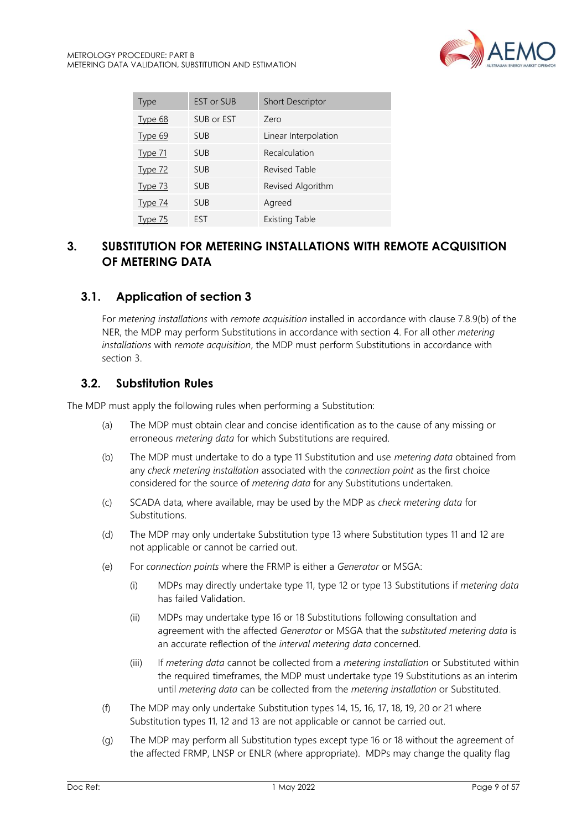

| Type           | <b>EST or SUB</b> | <b>Short Descriptor</b> |
|----------------|-------------------|-------------------------|
| <b>Type 68</b> | SUB or EST        | Zero                    |
| Type 69        | <b>SUB</b>        | Linear Interpolation    |
| <b>Type 71</b> | <b>SUB</b>        | Recalculation           |
| Type 72        | <b>SUB</b>        | <b>Revised Table</b>    |
| <u>Type 73</u> | <b>SUB</b>        | Revised Algorithm       |
| <b>Type 74</b> | <b>SUB</b>        | Agreed                  |
| Type 75        | <b>FST</b>        | <b>Existing Table</b>   |

## <span id="page-8-0"></span>**3. SUBSTITUTION FOR METERING INSTALLATIONS WITH REMOTE ACQUISITION OF METERING DATA**

## <span id="page-8-1"></span>**3.1. Application of section 3**

For *metering installations* with *remote acquisition* installed in accordance with clause 7.8.9(b) of the NER, the MDP may perform Substitutions in accordance with section 4. For all other *metering installations* with *remote acquisition*, the MDP must perform Substitutions in accordance with section 3.

## <span id="page-8-2"></span>**3.2. Substitution Rules**

The MDP must apply the following rules when performing a Substitution:

- (a) The MDP must obtain clear and concise identification as to the cause of any missing or erroneous *metering data* for which Substitutions are required.
- (b) The MDP must undertake to do a type 11 Substitution and use *metering data* obtained from any *check metering installation* associated with the *connection point* as the first choice considered for the source of *metering data* for any Substitutions undertaken.
- (c) SCADA data*,* where available, may be used by the MDP as *check metering data* for Substitutions.
- (d) The MDP may only undertake Substitution type 13 where Substitution types 11 and 12 are not applicable or cannot be carried out.
- (e) For *connection points* where the FRMP is either a *Generator* or MSGA:
	- (i) MDPs may directly undertake type 11, type 12 or type 13 Substitutions if *metering data* has failed Validation.
	- (ii) MDPs may undertake type 16 or 18 Substitutions following consultation and agreement with the affected *Generator* or MSGA that the *substituted metering data* is an accurate reflection of the *interval metering data* concerned.
	- (iii) If *metering data* cannot be collected from a *metering installation* or Substituted within the required timeframes, the MDP must undertake type 19 Substitutions as an interim until *metering data* can be collected from the *metering installation* or Substituted.
- (f) The MDP may only undertake Substitution types 14, 15, 16, 17, 18, 19, 20 or 21 where Substitution types 11, 12 and 13 are not applicable or cannot be carried out.
- (g) The MDP may perform all Substitution types except type 16 or 18 without the agreement of the affected FRMP, LNSP or ENLR (where appropriate). MDPs may change the quality flag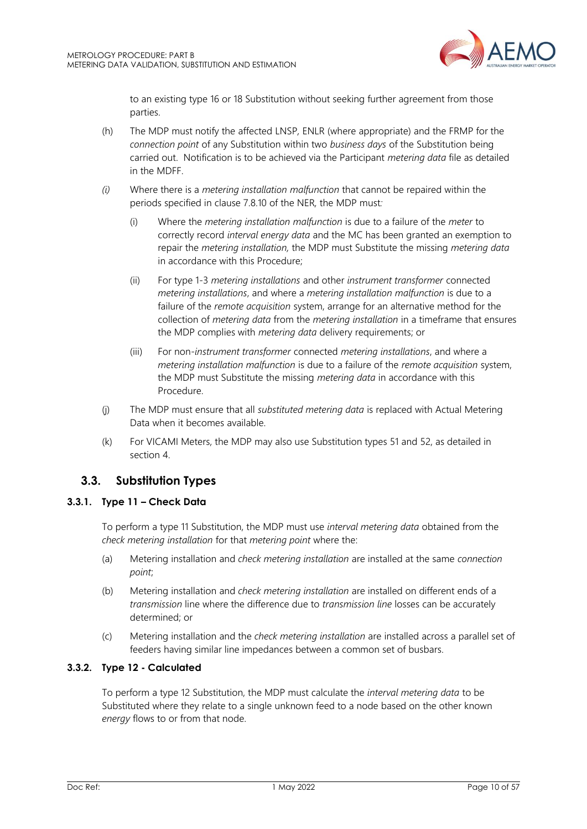

to an existing type 16 or 18 Substitution without seeking further agreement from those parties.

- (h) The MDP must notify the affected LNSP*,* ENLR (where appropriate) and the FRMP for the *connection point* of any Substitution within two *business days* of the Substitution being carried out. Notification is to be achieved via the Participant *metering data* file as detailed in the MDFF.
- *(i)* Where there is a *metering installation malfunction* that cannot be repaired within the periods specified in clause 7.8.10 of the NER*,* the MDP must*:*
	- (i) Where the *metering installation malfunction* is due to a failure of the *meter* to correctly record *interval energy data* and the MC has been granted an exemption to repair the *metering installation,* the MDP must Substitute the missing *metering data* in accordance with this Procedure;
	- (ii) For type 1-3 *metering installations* and other *instrument transformer* connected *metering installations*, and where a *metering installation malfunction* is due to a failure of the *remote acquisition* system, arrange for an alternative method for the collection of *metering data* from the *metering installation* in a timeframe that ensures the MDP complies with *metering data* delivery requirements; or
	- (iii) For non-*instrument transformer* connected *metering installations*, and where a *metering installation malfunction* is due to a failure of the *remote acquisition* system, the MDP must Substitute the missing *metering data* in accordance with this Procedure.
- (j) The MDP must ensure that all *substituted metering data* is replaced with Actual Metering Data when it becomes available.
- (k) For VICAMI Meters, the MDP may also use Substitution types 51 and 52, as detailed in section 4.

## <span id="page-9-0"></span>**3.3. Substitution Types**

## <span id="page-9-1"></span>**3.3.1. Type 11 – Check Data**

To perform a type 11 Substitution, the MDP must use *interval metering data* obtained from the *check metering installation* for that *metering point* where the:

- (a) Metering installation and *check metering installation* are installed at the same *connection point*;
- (b) Metering installation and *check metering installation* are installed on different ends of a *transmission* line where the difference due to *transmission line* losses can be accurately determined; or
- (c) Metering installation and the *check metering installation* are installed across a parallel set of feeders having similar line impedances between a common set of busbars.

#### <span id="page-9-2"></span>**3.3.2. Type 12 - Calculated**

To perform a type 12 Substitution, the MDP must calculate the *interval metering data* to be Substituted where they relate to a single unknown feed to a node based on the other known *energy* flows to or from that node.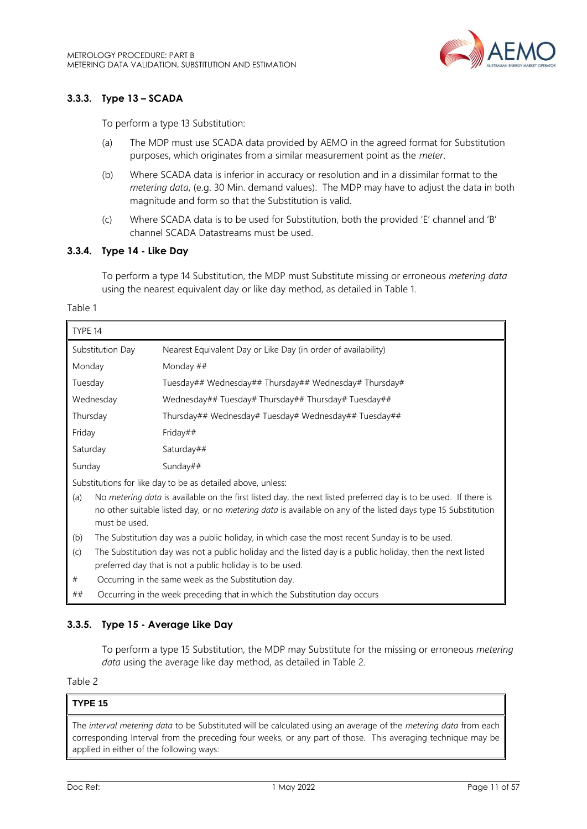

## <span id="page-10-0"></span>**3.3.3. Type 13 – SCADA**

To perform a type 13 Substitution:

- (a) The MDP must use SCADA data provided by AEMO in the agreed format for Substitution purposes, which originates from a similar measurement point as the *meter*.
- (b) Where SCADA data is inferior in accuracy or resolution and in a dissimilar format to the *metering data*, (e.g. 30 Min. demand values). The MDP may have to adjust the data in both magnitude and form so that the Substitution is valid.
- (c) Where SCADA data is to be used for Substitution, both the provided 'E' channel and 'B' channel SCADA Datastreams must be used.

#### <span id="page-10-1"></span>**3.3.4. Type 14 - Like Day**

To perform a type 14 Substitution, the MDP must Substitute missing or erroneous *metering data* using the nearest equivalent day or like day method, as detailed in Table 1.

Table 1

| TYPE 14                                                                                                                                                                                                                                                         |                                                                                                |  |
|-----------------------------------------------------------------------------------------------------------------------------------------------------------------------------------------------------------------------------------------------------------------|------------------------------------------------------------------------------------------------|--|
| Substitution Day                                                                                                                                                                                                                                                | Nearest Equivalent Day or Like Day (in order of availability)                                  |  |
| Monday                                                                                                                                                                                                                                                          | Monday ##                                                                                      |  |
| Tuesday                                                                                                                                                                                                                                                         | Tuesday## Wednesday## Thursday## Wednesday# Thursday#                                          |  |
| Wednesday                                                                                                                                                                                                                                                       | Wednesday## Tuesday# Thursday## Thursday# Tuesday##                                            |  |
| Thursday                                                                                                                                                                                                                                                        | Thursday## Wednesday# Tuesday# Wednesday## Tuesday##                                           |  |
| Friday<br>Friday##                                                                                                                                                                                                                                              |                                                                                                |  |
| Saturday                                                                                                                                                                                                                                                        | Saturday##                                                                                     |  |
| Sunday<br>Sunday##                                                                                                                                                                                                                                              |                                                                                                |  |
|                                                                                                                                                                                                                                                                 | Substitutions for like day to be as detailed above, unless:                                    |  |
| No metering data is available on the first listed day, the next listed preferred day is to be used. If there is<br>(a)<br>no other suitable listed day, or no <i>metering data</i> is available on any of the listed days type 15 Substitution<br>must be used. |                                                                                                |  |
| (b)                                                                                                                                                                                                                                                             | The Substitution day was a public holiday, in which case the most recent Sunday is to be used. |  |
| The Substitution day was not a public holiday and the listed day is a public holiday, then the next listed<br>(c)<br>preferred day that is not a public holiday is to be used.                                                                                  |                                                                                                |  |

# Occurring in the same week as the Substitution day. ## Occurring in the week preceding that in which the Substitution day occurs

## <span id="page-10-2"></span>**3.3.5. Type 15 - Average Like Day**

To perform a type 15 Substitution, the MDP may Substitute for the missing or erroneous *metering data* using the average like day method, as detailed in Table 2.

Table 2

## **TYPE 15**

The *interval metering data* to be Substituted will be calculated using an average of the *metering data* from each corresponding Interval from the preceding four weeks, or any part of those. This averaging technique may be applied in either of the following ways: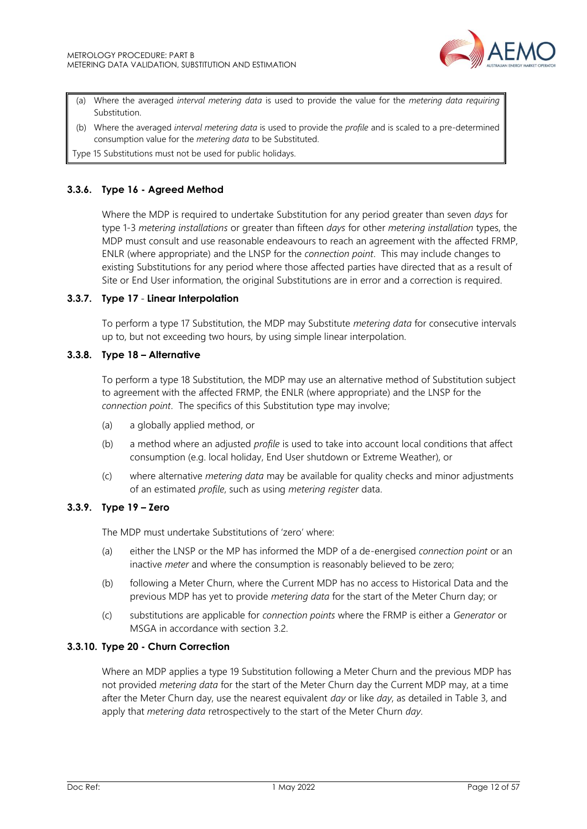

- (a) Where the averaged *interval metering data* is used to provide the value for the *metering data requiring* Substitution.
- (b) Where the averaged *interval metering data* is used to provide the *profile* and is scaled to a pre-determined consumption value for the *metering data* to be Substituted.

Type 15 Substitutions must not be used for public holidays.

#### <span id="page-11-0"></span>**3.3.6. Type 16 - Agreed Method**

Where the MDP is required to undertake Substitution for any period greater than seven *days* for type 1-3 *metering installations* or greater than fifteen *days* for other *metering installation* types, the MDP must consult and use reasonable endeavours to reach an agreement with the affected FRMP, ENLR (where appropriate) and the LNSP for the *connection point*. This may include changes to existing Substitutions for any period where those affected parties have directed that as a result of Site or End User information, the original Substitutions are in error and a correction is required.

#### <span id="page-11-1"></span>**3.3.7. Type 17** - **Linear Interpolation**

To perform a type 17 Substitution, the MDP may Substitute *metering data* for consecutive intervals up to, but not exceeding two hours, by using simple linear interpolation.

#### <span id="page-11-2"></span>**3.3.8. Type 18 – Alternative**

To perform a type 18 Substitution, the MDP may use an alternative method of Substitution subject to agreement with the affected FRMP, the ENLR (where appropriate) and the LNSP for the *connection point*. The specifics of this Substitution type may involve;

- (a) a globally applied method, or
- (b) a method where an adjusted *profile* is used to take into account local conditions that affect consumption (e.g. local holiday, End User shutdown or Extreme Weather), or
- (c) where alternative *metering data* may be available for quality checks and minor adjustments of an estimated *profile*, such as using *metering register* data.

#### <span id="page-11-3"></span>**3.3.9. Type 19 – Zero**

The MDP must undertake Substitutions of 'zero' where:

- (a) either the LNSP or the MP has informed the MDP of a de-energised *connection point* or an inactive *meter* and where the consumption is reasonably believed to be zero;
- (b) following a Meter Churn, where the Current MDP has no access to Historical Data and the previous MDP has yet to provide *metering data* for the start of the Meter Churn day; or
- (c) substitutions are applicable for *connection points* where the FRMP is either a *Generator* or MSGA in accordance with section 3.2.

#### <span id="page-11-4"></span>**3.3.10. Type 20 - Churn Correction**

Where an MDP applies a type 19 Substitution following a Meter Churn and the previous MDP has not provided *metering data* for the start of the Meter Churn day the Current MDP may, at a time after the Meter Churn day, use the nearest equivalent *day* or like *day*, as detailed in Table 3, and apply that *metering data* retrospectively to the start of the Meter Churn *day*.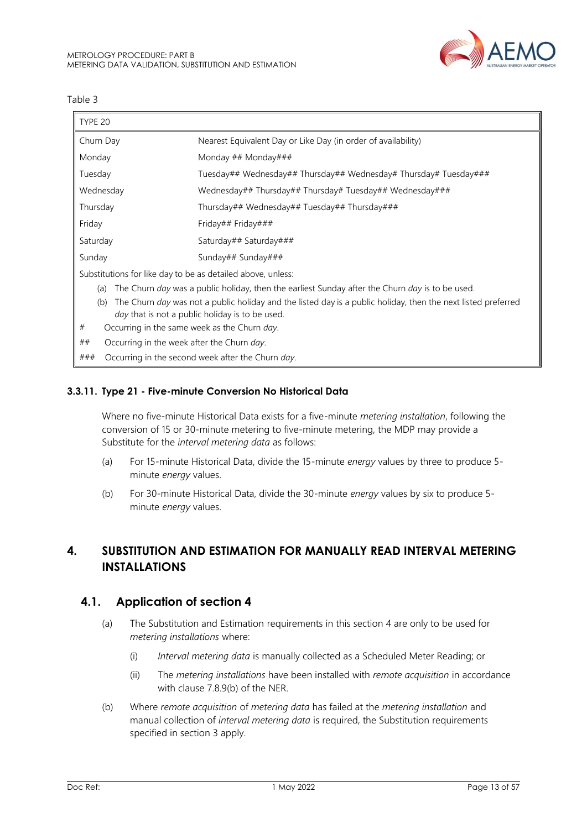

Table 3

| TYPE 20                                                                                                                                                                        |                                                                                                 |  |
|--------------------------------------------------------------------------------------------------------------------------------------------------------------------------------|-------------------------------------------------------------------------------------------------|--|
| Churn Day                                                                                                                                                                      | Nearest Equivalent Day or Like Day (in order of availability)                                   |  |
| Monday                                                                                                                                                                         | Monday ## Monday###                                                                             |  |
| Tuesday                                                                                                                                                                        | Tuesday## Wednesday## Thursday## Wednesday# Thursday# Tuesday###                                |  |
| Wednesday                                                                                                                                                                      | Wednesday## Thursday## Thursday# Tuesday## Wednesday###                                         |  |
| Thursday                                                                                                                                                                       | Thursday## Wednesday## Tuesday## Thursday###                                                    |  |
| Friday                                                                                                                                                                         | Friday## Friday###                                                                              |  |
| Saturday                                                                                                                                                                       | Saturday## Saturday###                                                                          |  |
| Sunday                                                                                                                                                                         | Sunday## Sunday###                                                                              |  |
| Substitutions for like day to be as detailed above, unless:                                                                                                                    |                                                                                                 |  |
| (a)                                                                                                                                                                            | The Churn day was a public holiday, then the earliest Sunday after the Churn day is to be used. |  |
| The Churn day was not a public holiday and the listed day is a public holiday, then the next listed preferred<br>(b)<br><i>day</i> that is not a public holiday is to be used. |                                                                                                 |  |
| #                                                                                                                                                                              | Occurring in the same week as the Churn day.                                                    |  |
| ##                                                                                                                                                                             | Occurring in the week after the Churn day.                                                      |  |
| ###                                                                                                                                                                            | Occurring in the second week after the Churn day.                                               |  |

#### <span id="page-12-2"></span>**3.3.11. Type 21 - Five-minute Conversion No Historical Data**

Where no five-minute Historical Data exists for a five-minute *metering installation*, following the conversion of 15 or 30-minute metering to five-minute metering, the MDP may provide a Substitute for the *interval metering data* as follows:

- (a) For 15-minute Historical Data, divide the 15-minute *energy* values by three to produce 5 minute *energy* values.
- (b) For 30-minute Historical Data, divide the 30-minute *energy* values by six to produce 5 minute *energy* values.

## <span id="page-12-0"></span>**4. SUBSTITUTION AND ESTIMATION FOR MANUALLY READ INTERVAL METERING INSTALLATIONS**

## <span id="page-12-1"></span>**4.1. Application of section 4**

- (a) The Substitution and Estimation requirements in this section 4 are only to be used for *metering installations* where:
	- (i) *Interval metering data* is manually collected as a Scheduled Meter Reading; or
	- (ii) The *metering installations* have been installed with *remote acquisition* in accordance with clause 7.8.9(b) of the NER.
- (b) Where *remote acquisition* of *metering data* has failed at the *metering installation* and manual collection of *interval metering data* is required, the Substitution requirements specified in section 3 apply.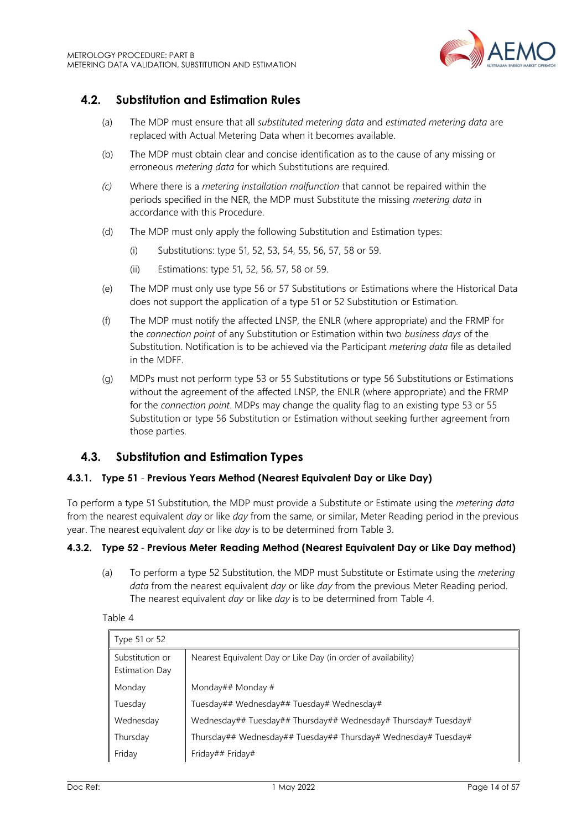

## <span id="page-13-0"></span>**4.2. Substitution and Estimation Rules**

- (a) The MDP must ensure that all *substituted metering data* and *estimated metering data* are replaced with Actual Metering Data when it becomes available.
- (b) The MDP must obtain clear and concise identification as to the cause of any missing or erroneous *metering data* for which Substitutions are required.
- *(c)* Where there is a *metering installation malfunction* that cannot be repaired within the periods specified in the NER*,* the MDP must Substitute the missing *metering data* in accordance with this Procedure.
- (d) The MDP must only apply the following Substitution and Estimation types:
	- (i) Substitutions: type 51, 52, 53, 54, 55, 56, 57, 58 or 59.
	- (ii) Estimations: type 51, 52, 56, 57, 58 or 59.
- (e) The MDP must only use type 56 or 57 Substitutions or Estimations where the Historical Data does not support the application of a type 51 or 52 Substitution or Estimation*.*
- (f) The MDP must notify the affected LNSP*,* the ENLR (where appropriate) and the FRMP for the *connection point* of any Substitution or Estimation within two *business days* of the Substitution. Notification is to be achieved via the Participant *metering data* file as detailed in the MDFF.
- (g) MDPs must not perform type 53 or 55 Substitutions or type 56 Substitutions or Estimations without the agreement of the affected LNSP, the ENLR (where appropriate) and the FRMP for the *connection point*. MDPs may change the quality flag to an existing type 53 or 55 Substitution or type 56 Substitution or Estimation without seeking further agreement from those parties.

## <span id="page-13-1"></span>**4.3. Substitution and Estimation Types**

#### <span id="page-13-2"></span>**4.3.1. Type 51** - **Previous Years Method (Nearest Equivalent Day or Like Day)**

To perform a type 51 Substitution, the MDP must provide a Substitute or Estimate using the *metering data* from the nearest equivalent *day* or like *day* from the same, or similar, Meter Reading period in the previous year. The nearest equivalent *day* or like *day* is to be determined from Table 3.

## <span id="page-13-3"></span>**4.3.2. Type 52** - **Previous Meter Reading Method (Nearest Equivalent Day or Like Day method)**

(a) To perform a type 52 Substitution, the MDP must Substitute or Estimate using the *metering data* from the nearest equivalent *day* or like *day* from the previous Meter Reading period. The nearest equivalent *day* or like *day* is to be determined from Table 4.

| anie |  |  |  |  |
|------|--|--|--|--|
|------|--|--|--|--|

| Type 51 or 52                            |                                                                |
|------------------------------------------|----------------------------------------------------------------|
| Substitution or<br><b>Estimation Day</b> | Nearest Equivalent Day or Like Day (in order of availability)  |
| Monday                                   | Monday## Monday #                                              |
| Tuesday                                  | Tuesday## Wednesday## Tuesday# Wednesday#                      |
| Wednesday                                | Wednesday## Tuesday## Thursday## Wednesday# Thursday# Tuesday# |
| Thursday                                 | Thursday## Wednesday## Tuesday## Thursday# Wednesday# Tuesday# |
| Friday                                   | Friday## Friday#                                               |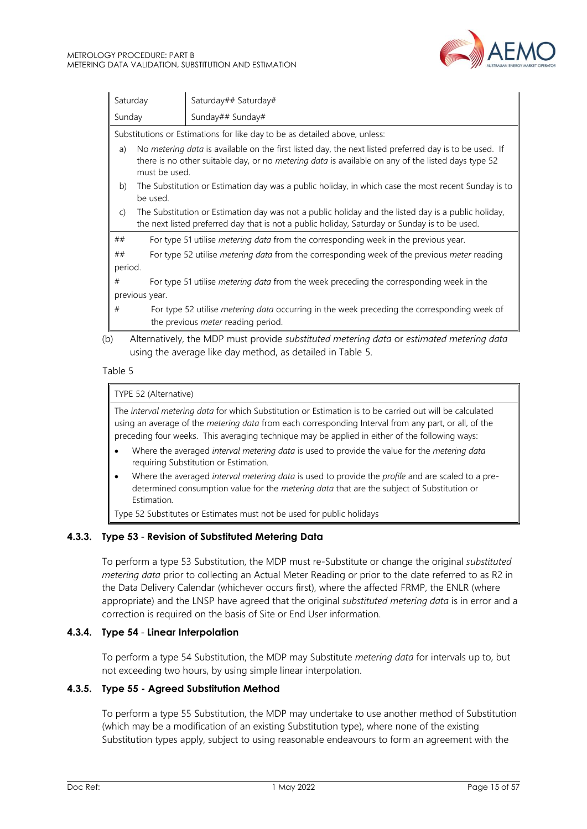

| Saturday<br>Saturday## Saturday# |                                                                                                                       |                                                                                                                                                                                                              |  |  |
|----------------------------------|-----------------------------------------------------------------------------------------------------------------------|--------------------------------------------------------------------------------------------------------------------------------------------------------------------------------------------------------------|--|--|
| Sunday<br>Sunday## Sunday#       |                                                                                                                       |                                                                                                                                                                                                              |  |  |
|                                  |                                                                                                                       | Substitutions or Estimations for like day to be as detailed above, unless:                                                                                                                                   |  |  |
|                                  | a)<br>must be used.                                                                                                   | No metering data is available on the first listed day, the next listed preferred day is to be used. If<br>there is no other suitable day, or no metering data is available on any of the listed days type 52 |  |  |
|                                  | The Substitution or Estimation day was a public holiday, in which case the most recent Sunday is to<br>b)<br>be used. |                                                                                                                                                                                                              |  |  |
|                                  | $\mathsf{C}$                                                                                                          | The Substitution or Estimation day was not a public holiday and the listed day is a public holiday,<br>the next listed preferred day that is not a public holiday, Saturday or Sunday is to be used.         |  |  |
| ##                               |                                                                                                                       | For type 51 utilise metering data from the corresponding week in the previous year.                                                                                                                          |  |  |
| ##                               |                                                                                                                       | For type 52 utilise <i>metering data</i> from the corresponding week of the previous <i>meter</i> reading                                                                                                    |  |  |
|                                  | period.                                                                                                               |                                                                                                                                                                                                              |  |  |
| #                                |                                                                                                                       | For type 51 utilise <i>metering data</i> from the week preceding the corresponding week in the                                                                                                               |  |  |
|                                  | previous year.                                                                                                        |                                                                                                                                                                                                              |  |  |
| #                                |                                                                                                                       | For type 52 utilise metering data occurring in the week preceding the corresponding week of<br>the previous meter reading period.                                                                            |  |  |
| (b)                              |                                                                                                                       | Alternatively, the MDP must provide substituted metering data or estimated metering data<br>using the average like day method, as detailed in Table 5.                                                       |  |  |

#### Table 5

#### TYPE 52 (Alternative)

The *interval metering data* for which Substitution or Estimation is to be carried out will be calculated using an average of the *metering data* from each corresponding Interval from any part, or all, of the preceding four weeks. This averaging technique may be applied in either of the following ways:

- Where the averaged *interval metering data* is used to provide the value for the *metering data*  requiring Substitution or Estimation*.*
- Where the averaged *interval metering data* is used to provide the *profile* and are scaled to a predetermined consumption value for the *metering data* that are the subject of Substitution or Estimation*.*

Type 52 Substitutes or Estimates must not be used for public holidays

#### <span id="page-14-0"></span>**4.3.3. Type 53** - **Revision of Substituted Metering Data**

To perform a type 53 Substitution, the MDP must re-Substitute or change the original *substituted metering data* prior to collecting an Actual Meter Reading or prior to the date referred to as R2 in the Data Delivery Calendar (whichever occurs first), where the affected FRMP, the ENLR (where appropriate) and the LNSP have agreed that the original *substituted metering data* is in error and a correction is required on the basis of Site or End User information.

## <span id="page-14-1"></span>**4.3.4. Type 54** - **Linear Interpolation**

To perform a type 54 Substitution, the MDP may Substitute *metering data* for intervals up to, but not exceeding two hours, by using simple linear interpolation.

## <span id="page-14-2"></span>**4.3.5. Type 55 - Agreed Substitution Method**

To perform a type 55 Substitution, the MDP may undertake to use another method of Substitution (which may be a modification of an existing Substitution type), where none of the existing Substitution types apply, subject to using reasonable endeavours to form an agreement with the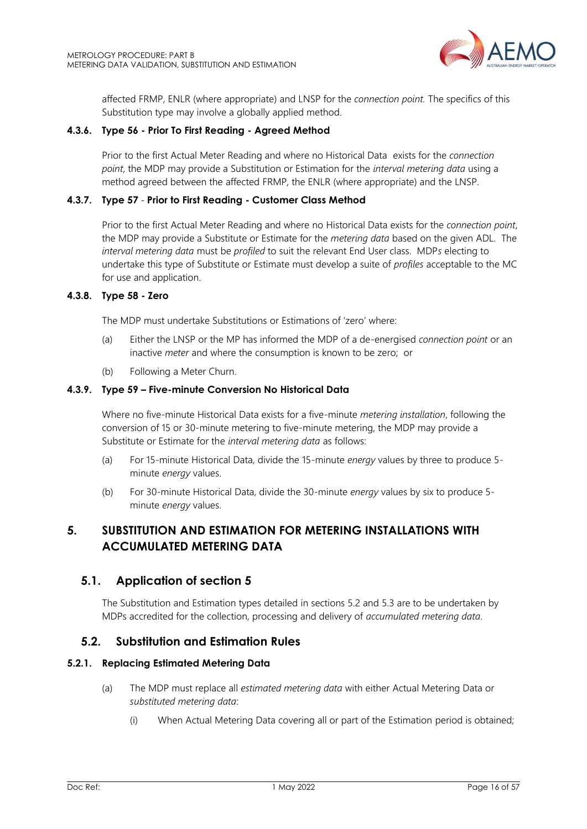

affected FRMP, ENLR (where appropriate) and LNSP for the *connection point.* The specifics of this Substitution type may involve a globally applied method.

#### <span id="page-15-3"></span>**4.3.6. Type 56 - Prior To First Reading - Agreed Method**

Prior to the first Actual Meter Reading and where no Historical Data exists for the *connection point*, the MDP may provide a Substitution or Estimation for the *interval metering data* using a method agreed between the affected FRMP, the ENLR (where appropriate) and the LNSP.

#### <span id="page-15-4"></span>**4.3.7. Type 57** - **Prior to First Reading - Customer Class Method**

Prior to the first Actual Meter Reading and where no Historical Data exists for the *connection point*, the MDP may provide a Substitute or Estimate for the *metering data* based on the given ADL. The *interval metering data* must be *profiled* to suit the relevant End User class. MDP*s* electing to undertake this type of Substitute or Estimate must develop a suite of *profiles* acceptable to the MC for use and application.

#### <span id="page-15-5"></span>**4.3.8. Type 58 - Zero**

The MDP must undertake Substitutions or Estimations of 'zero' where:

- (a) Either the LNSP or the MP has informed the MDP of a de-energised *connection point* or an inactive *meter* and where the consumption is known to be zero; or
- (b) Following a Meter Churn.

#### <span id="page-15-6"></span>**4.3.9. Type 59 – Five-minute Conversion No Historical Data**

Where no five-minute Historical Data exists for a five-minute *metering installation*, following the conversion of 15 or 30-minute metering to five-minute metering, the MDP may provide a Substitute or Estimate for the *interval metering data* as follows:

- (a) For 15-minute Historical Data, divide the 15-minute *energy* values by three to produce 5 minute *energy* values.
- (b) For 30-minute Historical Data, divide the 30-minute *energy* values by six to produce 5 minute *energy* values.

## <span id="page-15-0"></span>**5. SUBSTITUTION AND ESTIMATION FOR METERING INSTALLATIONS WITH ACCUMULATED METERING DATA**

## <span id="page-15-1"></span>**5.1. Application of section 5**

The Substitution and Estimation types detailed in sections 5.2 and 5.3 are to be undertaken by MDPs accredited for the collection, processing and delivery of *accumulated metering data*.

## <span id="page-15-2"></span>**5.2. Substitution and Estimation Rules**

#### **5.2.1. Replacing Estimated Metering Data**

- (a) The MDP must replace all *estimated metering data* with either Actual Metering Data or *substituted metering data*:
	- (i) When Actual Metering Data covering all or part of the Estimation period is obtained;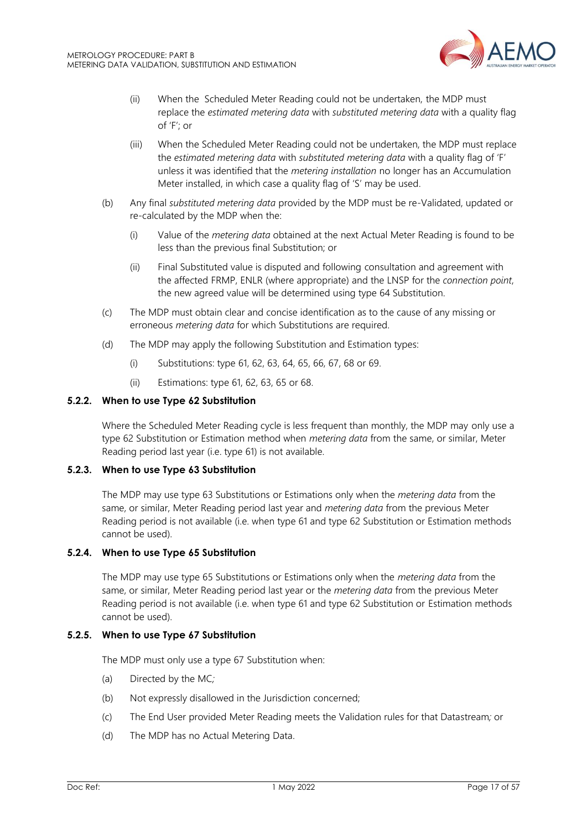

- (ii) When the Scheduled Meter Reading could not be undertaken, the MDP must replace the *estimated metering data* with *substituted metering data* with a quality flag of 'F'; or
- (iii) When the Scheduled Meter Reading could not be undertaken, the MDP must replace the *estimated metering data* with *substituted metering data* with a quality flag of 'F' unless it was identified that the *metering installation* no longer has an Accumulation Meter installed, in which case a quality flag of 'S' may be used.
- (b) Any final *substituted metering data* provided by the MDP must be re-Validated, updated or re-calculated by the MDP when the:
	- (i) Value of the *metering data* obtained at the next Actual Meter Reading is found to be less than the previous final Substitution; or
	- (ii) Final Substituted value is disputed and following consultation and agreement with the affected FRMP, ENLR (where appropriate) and the LNSP for the *connection point*, the new agreed value will be determined using type 64 Substitution.
- (c) The MDP must obtain clear and concise identification as to the cause of any missing or erroneous *metering data* for which Substitutions are required.
- (d) The MDP may apply the following Substitution and Estimation types:
	- (i) Substitutions: type 61, 62, 63, 64, 65, 66, 67, 68 or 69.
	- (ii) Estimations: type 61, 62, 63, 65 or 68.

#### **5.2.2. When to use Type 62 Substitution**

Where the Scheduled Meter Reading cycle is less frequent than monthly, the MDP may only use a type 62 Substitution or Estimation method when *metering data* from the same, or similar, Meter Reading period last year (i.e. type 61) is not available.

## **5.2.3. When to use Type 63 Substitution**

The MDP may use type 63 Substitutions or Estimations only when the *metering data* from the same, or similar, Meter Reading period last year and *metering data* from the previous Meter Reading period is not available (i.e. when type 61 and type 62 Substitution or Estimation methods cannot be used).

#### **5.2.4. When to use Type 65 Substitution**

The MDP may use type 65 Substitutions or Estimations only when the *metering data* from the same, or similar, Meter Reading period last year or the *metering data* from the previous Meter Reading period is not available (i.e. when type 61 and type 62 Substitution or Estimation methods cannot be used).

#### **5.2.5. When to use Type 67 Substitution**

The MDP must only use a type 67 Substitution when:

- (a) Directed by the MC*;*
- (b) Not expressly disallowed in the Jurisdiction concerned;
- (c) The End User provided Meter Reading meets the Validation rules for that Datastream*;* or
- (d) The MDP has no Actual Metering Data.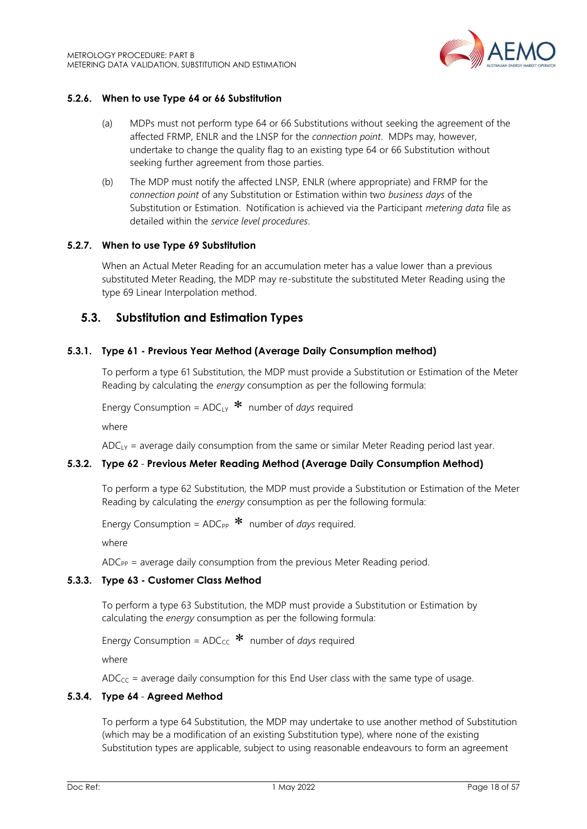

#### **5.2.6. When to use Type 64 or 66 Substitution**

- (a) MDPs must not perform type 64 or 66 Substitutions without seeking the agreement of the affected FRMP, ENLR and the LNSP for the *connection point*. MDPs may, however, undertake to change the quality flag to an existing type 64 or 66 Substitution without seeking further agreement from those parties.
- (b) The MDP must notify the affected LNSP*,* ENLR (where appropriate) and FRMP for the *connection point* of any Substitution or Estimation within two *business days* of the Substitution or Estimation. Notification is achieved via the Participant *metering data* file as detailed within the *service level procedures*.

#### **5.2.7. When to use Type 69 Substitution**

When an Actual Meter Reading for an accumulation meter has a value lower than a previous substituted Meter Reading, the MDP may re-substitute the substituted Meter Reading using the type 69 Linear Interpolation method.

## <span id="page-17-0"></span>**5.3. Substitution and Estimation Types**

#### <span id="page-17-1"></span>**5.3.1. Type 61 - Previous Year Method (Average Daily Consumption method)**

To perform a type 61 Substitution, the MDP must provide a Substitution or Estimation of the Meter Reading by calculating the *energy* consumption as per the following formula:

Energy Consumption = ADCLY number of *days* required

where

 $ADC<sub>LY</sub>$  = average daily consumption from the same or similar Meter Reading period last year.

#### <span id="page-17-2"></span>**5.3.2. Type 62** - **Previous Meter Reading Method (Average Daily Consumption Method)**

To perform a type 62 Substitution, the MDP must provide a Substitution or Estimation of the Meter Reading by calculating the *energy* consumption as per the following formula:

Energy Consumption = ADC<sub>PP</sub> \* number of *days* required.

where

 $ADC_{PP}$  = average daily consumption from the previous Meter Reading period.

#### <span id="page-17-3"></span>**5.3.3. Type 63 - Customer Class Method**

To perform a type 63 Substitution, the MDP must provide a Substitution or Estimation by calculating the *energy* consumption as per the following formula:

Energy Consumption = ADC<sub>CC</sub> \* number of *days* required

where

 $ADC_{CC}$  = average daily consumption for this End User class with the same type of usage.

## <span id="page-17-4"></span>**5.3.4. Type 64** - **Agreed Method**

To perform a type 64 Substitution, the MDP may undertake to use another method of Substitution (which may be a modification of an existing Substitution type), where none of the existing Substitution types are applicable, subject to using reasonable endeavours to form an agreement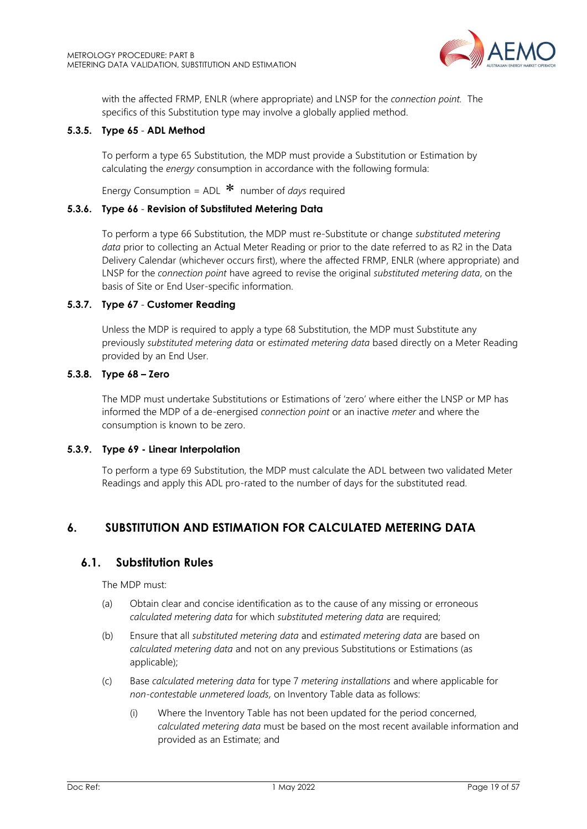

with the affected FRMP, ENLR (where appropriate) and LNSP for the *connection point.* The specifics of this Substitution type may involve a globally applied method.

#### <span id="page-18-2"></span>**5.3.5. Type 65** - **ADL Method**

To perform a type 65 Substitution, the MDP must provide a Substitution or Estimation by calculating the *energy* consumption in accordance with the following formula:

Energy Consumption = ADL number of *days* required

#### <span id="page-18-3"></span>**5.3.6. Type 66** - **Revision of Substituted Metering Data**

To perform a type 66 Substitution, the MDP must re*-*Substitute or change *substituted metering data* prior to collecting an Actual Meter Reading or prior to the date referred to as R2 in the Data Delivery Calendar (whichever occurs first), where the affected FRMP, ENLR (where appropriate) and LNSP for the *connection point* have agreed to revise the original *substituted metering data*, on the basis of Site or End User-specific information.

#### <span id="page-18-4"></span>**5.3.7. Type 67** - **Customer Reading**

Unless the MDP is required to apply a type 68 Substitution, the MDP must Substitute any previously *substituted metering data* or *estimated metering data* based directly on a Meter Reading provided by an End User.

#### <span id="page-18-5"></span>**5.3.8. Type 68 – Zero**

The MDP must undertake Substitutions or Estimations of 'zero' where either the LNSP or MP has informed the MDP of a de-energised *connection point* or an inactive *meter* and where the consumption is known to be zero.

#### <span id="page-18-6"></span>**5.3.9. Type 69 - Linear Interpolation**

To perform a type 69 Substitution, the MDP must calculate the ADL between two validated Meter Readings and apply this ADL pro-rated to the number of days for the substituted read.

## <span id="page-18-0"></span>**6. SUBSTITUTION AND ESTIMATION FOR CALCULATED METERING DATA**

## <span id="page-18-1"></span>**6.1. Substitution Rules**

The MDP must:

- (a) Obtain clear and concise identification as to the cause of any missing or erroneous *calculated metering data* for which *substituted metering data* are required;
- (b) Ensure that all *substituted metering data* and *estimated metering data* are based on *calculated metering data* and not on any previous Substitutions or Estimations (as applicable);
- (c) Base *calculated metering data* for type 7 *metering installations* and where applicable for *non-contestable unmetered loads,* on Inventory Table data as follows:
	- (i) Where the Inventory Table has not been updated for the period concerned, *calculated metering data* must be based on the most recent available information and provided as an Estimate; and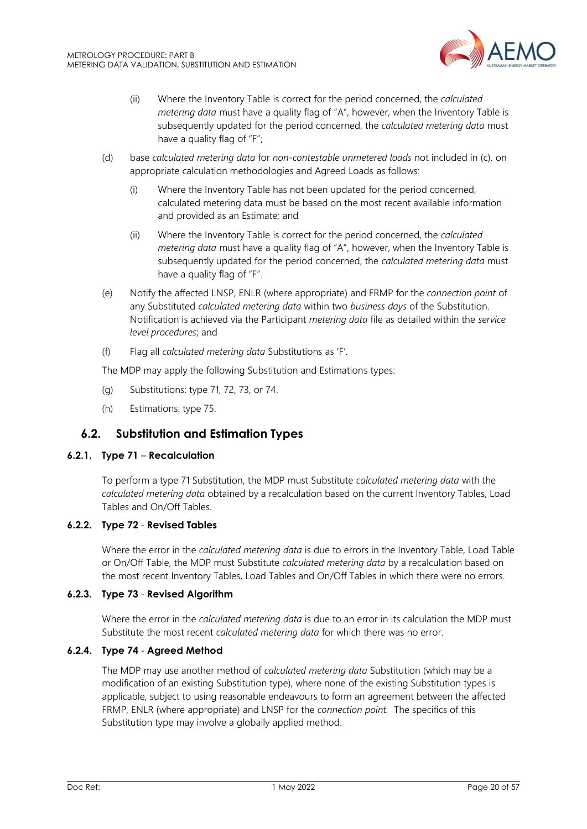

- (ii) Where the Inventory Table is correct for the period concerned, the *calculated metering data* must have a quality flag of "A", however, when the Inventory Table is subsequently updated for the period concerned, the *calculated metering data* must have a quality flag of "F";
- (d) base *calculated metering data* for *non-contestable unmetered loads* not included in (c), on appropriate calculation methodologies and Agreed Loads as follows:
	- (i) Where the Inventory Table has not been updated for the period concerned, calculated metering data must be based on the most recent available information and provided as an Estimate; and
	- (ii) Where the Inventory Table is correct for the period concerned, the *calculated metering data* must have a quality flag of "A", however, when the Inventory Table is subsequently updated for the period concerned, the *calculated metering data* must have a quality flag of "F".
- (e) Notify the affected LNSP, ENLR (where appropriate) and FRMP for the *connection point* of any Substituted *calculated metering data* within two *business days* of the Substitution. Notification is achieved via the Participant *metering data* file as detailed within the *service level procedures*; and
- (f) Flag all *calculated metering data* Substitutions as 'F'.

The MDP may apply the following Substitution and Estimations types:

- (g) Substitutions: type 71, 72, 73, or 74.
- (h) Estimations: type 75.

## <span id="page-19-0"></span>**6.2. Substitution and Estimation Types**

#### <span id="page-19-1"></span>**6.2.1. Type 71** – **Recalculation**

To perform a type 71 Substitution, the MDP must Substitute *calculated metering data* with the *calculated metering data* obtained by a recalculation based on the current Inventory Tables, Load Tables and On/Off Tables.

#### <span id="page-19-2"></span>**6.2.2. Type 72** - **Revised Tables**

Where the error in the *calculated metering data* is due to errors in the Inventory Table, Load Table or On/Off Table, the MDP must Substitute *calculated metering data* by a recalculation based on the most recent Inventory Tables, Load Tables and On/Off Tables in which there were no errors.

## <span id="page-19-3"></span>**6.2.3. Type 73** - **Revised Algorithm**

Where the error in the *calculated metering data* is due to an error in its calculation the MDP must Substitute the most recent *calculated metering data* for which there was no error.

#### <span id="page-19-4"></span>**6.2.4. Type 74** - **Agreed Method**

The MDP may use another method of *calculated metering data* Substitution (which may be a modification of an existing Substitution type), where none of the existing Substitution types is applicable, subject to using reasonable endeavours to form an agreement between the affected FRMP, ENLR (where appropriate) and LNSP for the *connection point.* The specifics of this Substitution type may involve a globally applied method.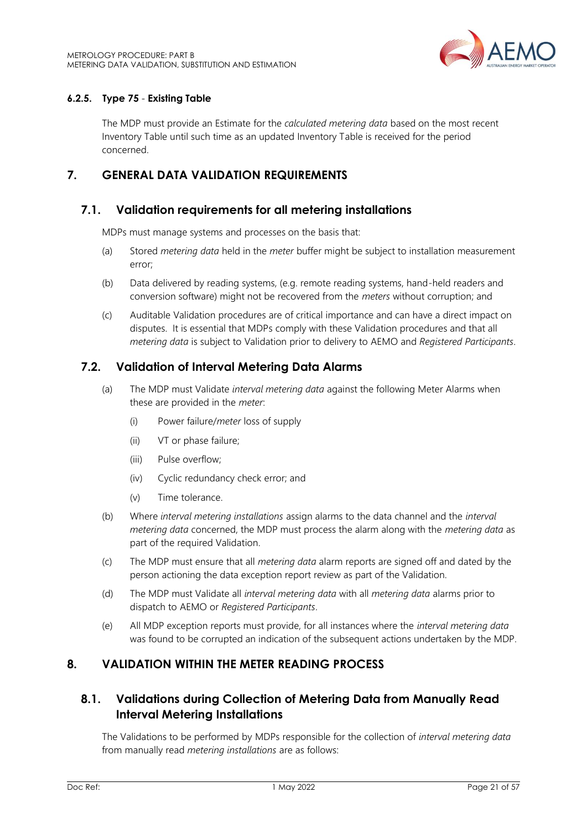

## <span id="page-20-5"></span>**6.2.5. Type 75** - **Existing Table**

The MDP must provide an Estimate for the *calculated metering data* based on the most recent Inventory Table until such time as an updated Inventory Table is received for the period concerned.

## <span id="page-20-0"></span>**7. GENERAL DATA VALIDATION REQUIREMENTS**

## <span id="page-20-1"></span>**7.1. Validation requirements for all metering installations**

MDPs must manage systems and processes on the basis that:

- (a) Stored *metering data* held in the *meter* buffer might be subject to installation measurement error;
- (b) Data delivered by reading systems, (e.g. remote reading systems, hand-held readers and conversion software) might not be recovered from the *meters* without corruption; and
- (c) Auditable Validation procedures are of critical importance and can have a direct impact on disputes. It is essential that MDPs comply with these Validation procedures and that all *metering data* is subject to Validation prior to delivery to AEMO and *Registered Participants*.

## <span id="page-20-2"></span>**7.2. Validation of Interval Metering Data Alarms**

- (a) The MDP must Validate *interval metering data* against the following Meter Alarms when these are provided in the *meter*:
	- (i) Power failure/*meter* loss of supply
	- (ii) VT or phase failure;
	- (iii) Pulse overflow;
	- (iv) Cyclic redundancy check error; and
	- (v) Time tolerance.
- (b) Where *interval metering installations* assign alarms to the data channel and the *interval metering data* concerned, the MDP must process the alarm along with the *metering data* as part of the required Validation.
- (c) The MDP must ensure that all *metering data* alarm reports are signed off and dated by the person actioning the data exception report review as part of the Validation.
- (d) The MDP must Validate all *interval metering data* with all *metering data* alarms prior to dispatch to AEMO or *Registered Participants*.
- (e) All MDP exception reports must provide, for all instances where the *interval metering data* was found to be corrupted an indication of the subsequent actions undertaken by the MDP.

## <span id="page-20-3"></span>**8. VALIDATION WITHIN THE METER READING PROCESS**

## <span id="page-20-4"></span>**8.1. Validations during Collection of Metering Data from Manually Read Interval Metering Installations**

The Validations to be performed by MDPs responsible for the collection of *interval metering data* from manually read *metering installations* are as follows: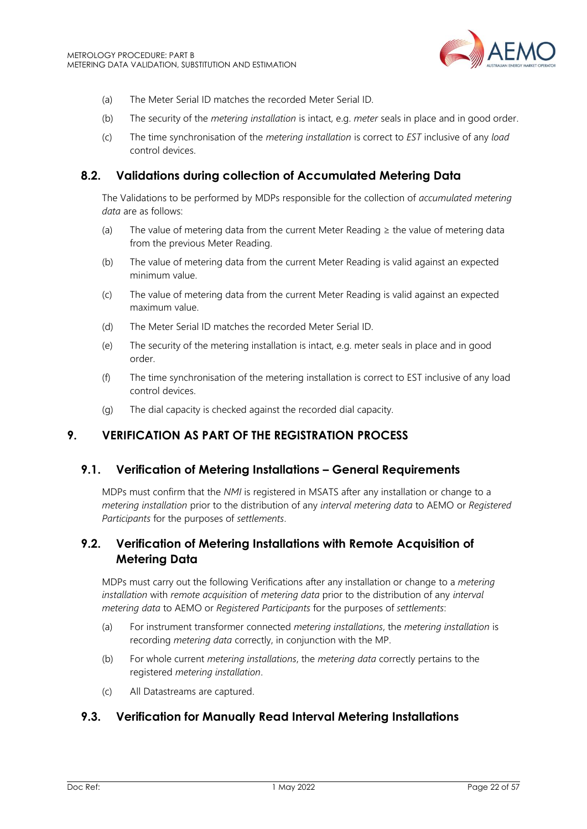

- (a) The Meter Serial ID matches the recorded Meter Serial ID.
- (b) The security of the *metering installation* is intact, e.g. *meter* seals in place and in good order.
- (c) The time synchronisation of the *metering installation* is correct to *EST* inclusive of any *load* control devices.

## <span id="page-21-0"></span>**8.2. Validations during collection of Accumulated Metering Data**

The Validations to be performed by MDPs responsible for the collection of *accumulated metering data* are as follows:

- (a) The value of metering data from the current Meter Reading  $\geq$  the value of metering data from the previous Meter Reading.
- (b) The value of metering data from the current Meter Reading is valid against an expected minimum value.
- (c) The value of metering data from the current Meter Reading is valid against an expected maximum value.
- (d) The Meter Serial ID matches the recorded Meter Serial ID.
- (e) The security of the metering installation is intact, e.g. meter seals in place and in good order.
- (f) The time synchronisation of the metering installation is correct to EST inclusive of any load control devices.
- (g) The dial capacity is checked against the recorded dial capacity.

## <span id="page-21-1"></span>**9. VERIFICATION AS PART OF THE REGISTRATION PROCESS**

## <span id="page-21-2"></span>**9.1. Verification of Metering Installations – General Requirements**

MDPs must confirm that the *NMI* is registered in MSATS after any installation or change to a *metering installation* prior to the distribution of any *interval metering data* to AEMO or *Registered Participants* for the purposes of *settlements*.

## <span id="page-21-3"></span>**9.2. Verification of Metering Installations with Remote Acquisition of Metering Data**

MDPs must carry out the following Verifications after any installation or change to a *metering installation* with *remote acquisition* of *metering data* prior to the distribution of any *interval metering data* to AEMO or *Registered Participants* for the purposes of *settlements*:

- (a) For instrument transformer connected *metering installations*, the *metering installation* is recording *metering data* correctly, in conjunction with the MP.
- (b) For whole current *metering installations*, the *metering data* correctly pertains to the registered *metering installation*.
- (c) All Datastreams are captured.

## <span id="page-21-4"></span>**9.3. Verification for Manually Read Interval Metering Installations**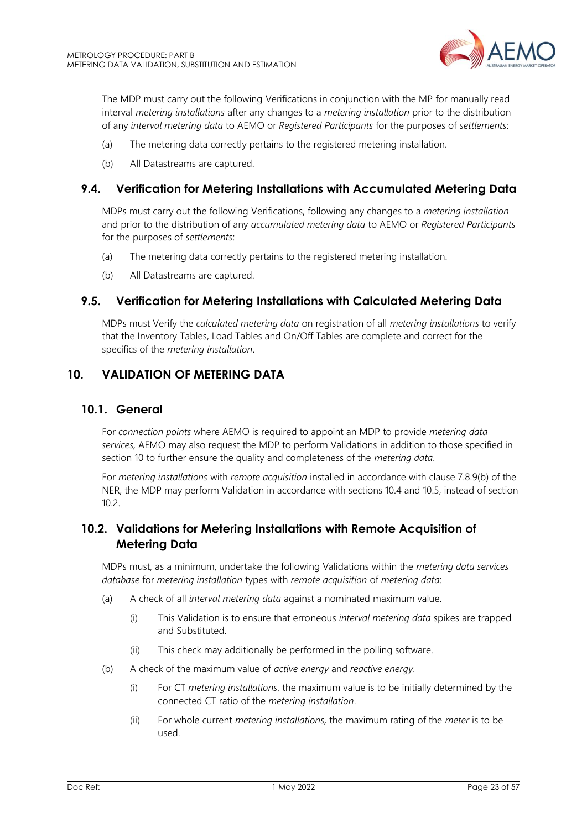

The MDP must carry out the following Verifications in conjunction with the MP for manually read interval *metering installations* after any changes to a *metering installation* prior to the distribution of any *interval metering data* to AEMO or *Registered Participants* for the purposes of *settlements*:

- (a) The metering data correctly pertains to the registered metering installation.
- (b) All Datastreams are captured.

## <span id="page-22-0"></span>**9.4. Verification for Metering Installations with Accumulated Metering Data**

MDPs must carry out the following Verifications, following any changes to a *metering installation* and prior to the distribution of any *accumulated metering data* to AEMO or *Registered Participants* for the purposes of *settlements*:

- (a) The metering data correctly pertains to the registered metering installation.
- (b) All Datastreams are captured.

## <span id="page-22-1"></span>**9.5. Verification for Metering Installations with Calculated Metering Data**

MDPs must Verify the *calculated metering data* on registration of all *metering installations* to verify that the Inventory Tables, Load Tables and On/Off Tables are complete and correct for the specifics of the *metering installation*.

## <span id="page-22-2"></span>**10. VALIDATION OF METERING DATA**

## <span id="page-22-3"></span>**10.1. General**

For *connection points* where AEMO is required to appoint an MDP to provide *metering data services,* AEMO may also request the MDP to perform Validations in addition to those specified in section 10 to further ensure the quality and completeness of the *metering data*.

For *metering installations* with *remote acquisition* installed in accordance with clause 7.8.9(b) of the NER, the MDP may perform Validation in accordance with sections 10.4 and 10.5, instead of section  $10.2<sub>2</sub>$ 

## <span id="page-22-4"></span>**10.2. Validations for Metering Installations with Remote Acquisition of Metering Data**

MDPs must, as a minimum, undertake the following Validations within the *metering data services database* for *metering installation* types with *remote acquisition* of *metering data*:

- (a) A check of all *interval metering data* against a nominated maximum value.
	- (i) This Validation is to ensure that erroneous *interval metering data* spikes are trapped and Substituted.
	- (ii) This check may additionally be performed in the polling software.
- (b) A check of the maximum value of *active energy* and *reactive energy*.
	- (i) For CT *metering installations*, the maximum value is to be initially determined by the connected CT ratio of the *metering installation*.
	- (ii) For whole current *metering installations,* the maximum rating of the *meter* is to be used.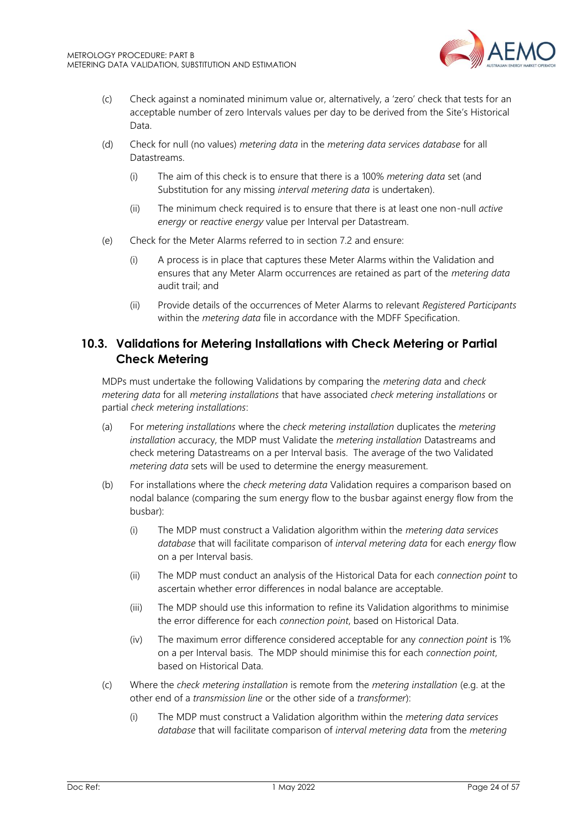

- (c) Check against a nominated minimum value or, alternatively, a 'zero' check that tests for an acceptable number of zero Intervals values per day to be derived from the Site's Historical Data.
- (d) Check for null (no values) *metering data* in the *metering data services database* for all Datastreams.
	- (i) The aim of this check is to ensure that there is a 100% *metering data* set (and Substitution for any missing *interval metering data* is undertaken).
	- (ii) The minimum check required is to ensure that there is at least one non-null *active energy* or *reactive energy* value per Interval per Datastream.
- (e) Check for the Meter Alarms referred to in section 7.2 and ensure:
	- (i) A process is in place that captures these Meter Alarms within the Validation and ensures that any Meter Alarm occurrences are retained as part of the *metering data* audit trail; and
	- (ii) Provide details of the occurrences of Meter Alarms to relevant *Registered Participants* within the *metering data* file in accordance with the MDFF Specification.

## <span id="page-23-0"></span>**10.3. Validations for Metering Installations with Check Metering or Partial Check Metering**

MDPs must undertake the following Validations by comparing the *metering data* and *check metering data* for all *metering installations* that have associated *check metering installations* or partial *check metering installations*:

- (a) For *metering installations* where the *check metering installation* duplicates the *metering installation* accuracy, the MDP must Validate the *metering installation* Datastreams and check metering Datastreams on a per Interval basis. The average of the two Validated *metering data* sets will be used to determine the energy measurement.
- (b) For installations where the *check metering data* Validation requires a comparison based on nodal balance (comparing the sum energy flow to the busbar against energy flow from the busbar):
	- (i) The MDP must construct a Validation algorithm within the *metering data services database* that will facilitate comparison of *interval metering data* for each *energy* flow on a per Interval basis.
	- (ii) The MDP must conduct an analysis of the Historical Data for each *connection point* to ascertain whether error differences in nodal balance are acceptable.
	- (iii) The MDP should use this information to refine its Validation algorithms to minimise the error difference for each *connection point*, based on Historical Data.
	- (iv) The maximum error difference considered acceptable for any *connection point* is 1% on a per Interval basis. The MDP should minimise this for each *connection point*, based on Historical Data.
- (c) Where the *check metering installation* is remote from the *metering installation* (e.g. at the other end of a *transmission line* or the other side of a *transformer*):
	- (i) The MDP must construct a Validation algorithm within the *metering data services database* that will facilitate comparison of *interval metering data* from the *metering*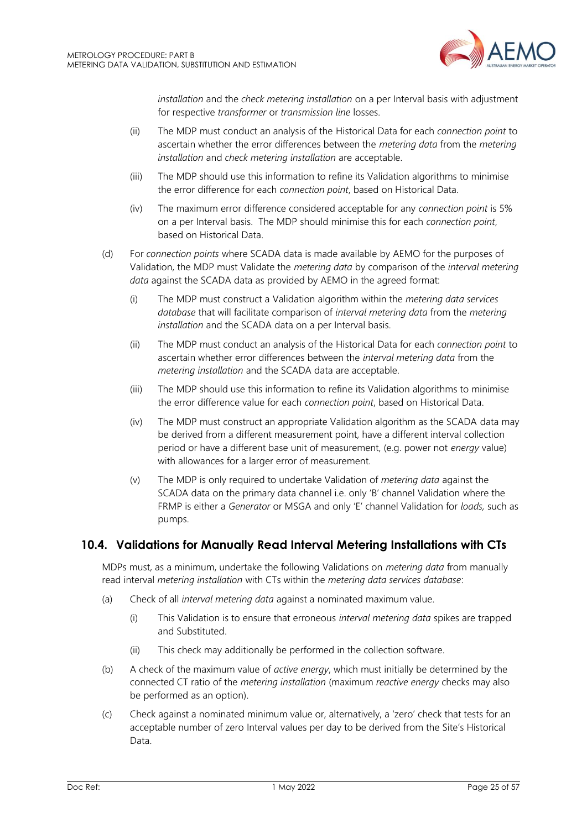

*installation* and the *check metering installation* on a per Interval basis with adjustment for respective *transformer* or *transmission line* losses.

- (ii) The MDP must conduct an analysis of the Historical Data for each *connection point* to ascertain whether the error differences between the *metering data* from the *metering installation* and *check metering installation* are acceptable.
- (iii) The MDP should use this information to refine its Validation algorithms to minimise the error difference for each *connection point*, based on Historical Data.
- (iv) The maximum error difference considered acceptable for any *connection point* is 5% on a per Interval basis. The MDP should minimise this for each *connection point*, based on Historical Data.
- (d) For *connection points* where SCADA data is made available by AEMO for the purposes of Validation, the MDP must Validate the *metering data* by comparison of the *interval metering data* against the SCADA data as provided by AEMO in the agreed format:
	- (i) The MDP must construct a Validation algorithm within the *metering data services database* that will facilitate comparison of *interval metering data* from the *metering installation* and the SCADA data on a per Interval basis.
	- (ii) The MDP must conduct an analysis of the Historical Data for each *connection point* to ascertain whether error differences between the *interval metering data* from the *metering installation* and the SCADA data are acceptable.
	- (iii) The MDP should use this information to refine its Validation algorithms to minimise the error difference value for each *connection point*, based on Historical Data.
	- (iv) The MDP must construct an appropriate Validation algorithm as the SCADA data may be derived from a different measurement point, have a different interval collection period or have a different base unit of measurement, (e.g. power not *energy* value) with allowances for a larger error of measurement.
	- (v) The MDP is only required to undertake Validation of *metering data* against the SCADA data on the primary data channel i.e. only 'B' channel Validation where the FRMP is either a *Generator* or MSGA and only 'E' channel Validation for *loads,* such as pumps.

## <span id="page-24-0"></span>**10.4. Validations for Manually Read Interval Metering Installations with CTs**

MDPs must, as a minimum, undertake the following Validations on *metering data* from manually read interval *metering installation* with CTs within the *metering data services database*:

- (a) Check of all *interval metering data* against a nominated maximum value.
	- (i) This Validation is to ensure that erroneous *interval metering data* spikes are trapped and Substituted.
	- (ii) This check may additionally be performed in the collection software.
- (b) A check of the maximum value of *active energy*, which must initially be determined by the connected CT ratio of the *metering installation* (maximum *reactive energy* checks may also be performed as an option).
- (c) Check against a nominated minimum value or, alternatively, a 'zero' check that tests for an acceptable number of zero Interval values per day to be derived from the Site's Historical Data.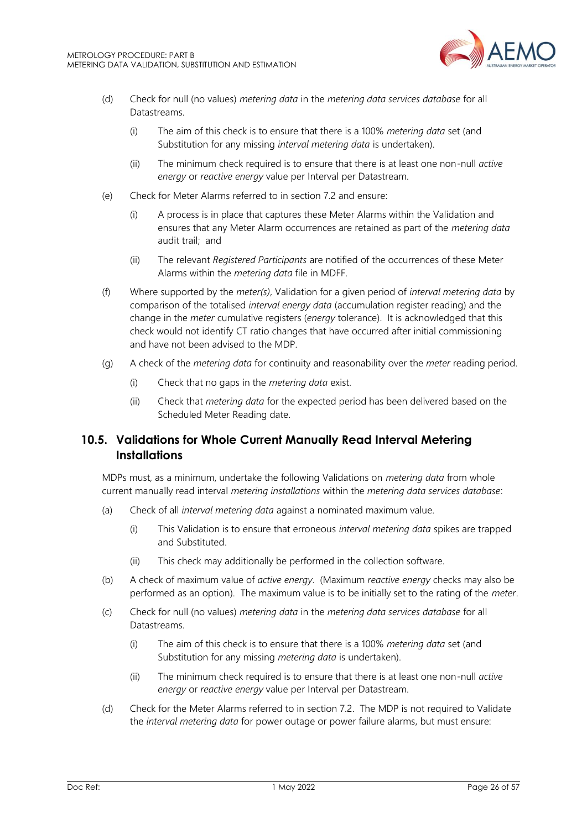

- (d) Check for null (no values) *metering data* in the *metering data services database* for all Datastreams.
	- (i) The aim of this check is to ensure that there is a 100% *metering data* set (and Substitution for any missing *interval metering data* is undertaken).
	- (ii) The minimum check required is to ensure that there is at least one non-null *active energy* or *reactive energy* value per Interval per Datastream.
- (e) Check for Meter Alarms referred to in section 7.2 and ensure:
	- (i) A process is in place that captures these Meter Alarms within the Validation and ensures that any Meter Alarm occurrences are retained as part of the *metering data* audit trail; and
	- (ii) The relevant *Registered Participants* are notified of the occurrences of these Meter Alarms within the *metering data* file in MDFF.
- (f) Where supported by the *meter(s)*, Validation for a given period of *interval metering data* by comparison of the totalised *interval energy data* (accumulation register reading) and the change in the *meter* cumulative registers (*energy* tolerance). It is acknowledged that this check would not identify CT ratio changes that have occurred after initial commissioning and have not been advised to the MDP.
- (g) A check of the *metering data* for continuity and reasonability over the *meter* reading period.
	- (i) Check that no gaps in the *metering data* exist.
	- (ii) Check that *metering data* for the expected period has been delivered based on the Scheduled Meter Reading date.

## <span id="page-25-0"></span>**10.5. Validations for Whole Current Manually Read Interval Metering Installations**

MDPs must, as a minimum, undertake the following Validations on *metering data* from whole current manually read interval *metering installations* within the *metering data services database*:

- (a) Check of all *interval metering data* against a nominated maximum value.
	- (i) This Validation is to ensure that erroneous *interval metering data* spikes are trapped and Substituted.
	- (ii) This check may additionally be performed in the collection software.
- (b) A check of maximum value of *active energy*. (Maximum *reactive energy* checks may also be performed as an option). The maximum value is to be initially set to the rating of the *meter*.
- (c) Check for null (no values) *metering data* in the *metering data services database* for all Datastreams.
	- (i) The aim of this check is to ensure that there is a 100% *metering data* set (and Substitution for any missing *metering data* is undertaken).
	- (ii) The minimum check required is to ensure that there is at least one non-null *active energy* or *reactive energy* value per Interval per Datastream.
- (d) Check for the Meter Alarms referred to in section 7.2. The MDP is not required to Validate the *interval metering data* for power outage or power failure alarms, but must ensure: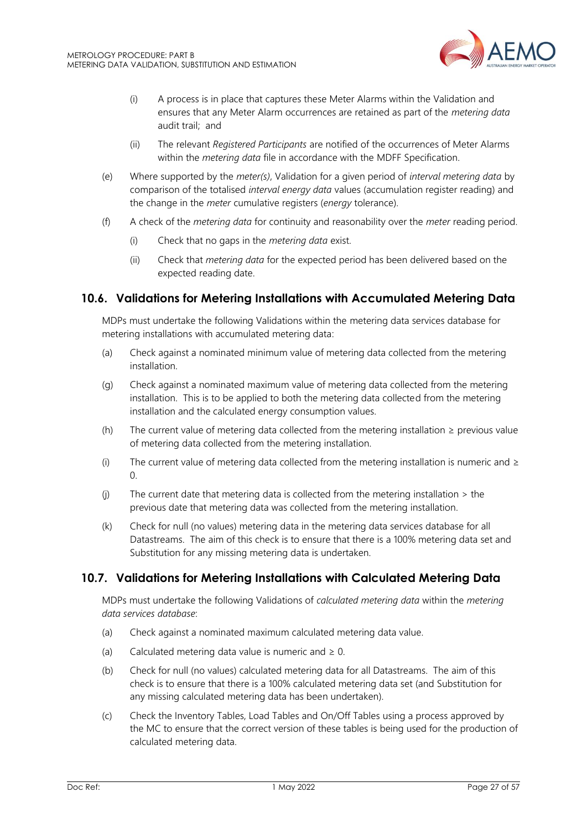

- (i) A process is in place that captures these Meter Alarms within the Validation and ensures that any Meter Alarm occurrences are retained as part of the *metering data* audit trail; and
- (ii) The relevant *Registered Participants* are notified of the occurrences of Meter Alarms within the *metering data* file in accordance with the MDFF Specification.
- (e) Where supported by the *meter(s)*, Validation for a given period of *interval metering data* by comparison of the totalised *interval energy data* values (accumulation register reading) and the change in the *meter* cumulative registers (*energy* tolerance).
- (f) A check of the *metering data* for continuity and reasonability over the *meter* reading period.
	- (i) Check that no gaps in the *metering data* exist.
	- (ii) Check that *metering data* for the expected period has been delivered based on the expected reading date.

## <span id="page-26-0"></span>**10.6. Validations for Metering Installations with Accumulated Metering Data**

MDPs must undertake the following Validations within the metering data services database for metering installations with accumulated metering data:

- (a) Check against a nominated minimum value of metering data collected from the metering installation.
- (g) Check against a nominated maximum value of metering data collected from the metering installation. This is to be applied to both the metering data collected from the metering installation and the calculated energy consumption values.
- (h) The current value of metering data collected from the metering installation  $\ge$  previous value of metering data collected from the metering installation.
- (i) The current value of metering data collected from the metering installation is numeric and  $\geq$ 0.
- (i) The current date that metering data is collected from the metering installation  $>$  the previous date that metering data was collected from the metering installation.
- (k) Check for null (no values) metering data in the metering data services database for all Datastreams. The aim of this check is to ensure that there is a 100% metering data set and Substitution for any missing metering data is undertaken.

## <span id="page-26-1"></span>**10.7. Validations for Metering Installations with Calculated Metering Data**

MDPs must undertake the following Validations of *calculated metering data* within the *metering data services database*:

- (a) Check against a nominated maximum calculated metering data value.
- (a) Calculated metering data value is numeric and  $\geq 0$ .
- (b) Check for null (no values) calculated metering data for all Datastreams. The aim of this check is to ensure that there is a 100% calculated metering data set (and Substitution for any missing calculated metering data has been undertaken).
- (c) Check the Inventory Tables, Load Tables and On/Off Tables using a process approved by the MC to ensure that the correct version of these tables is being used for the production of calculated metering data.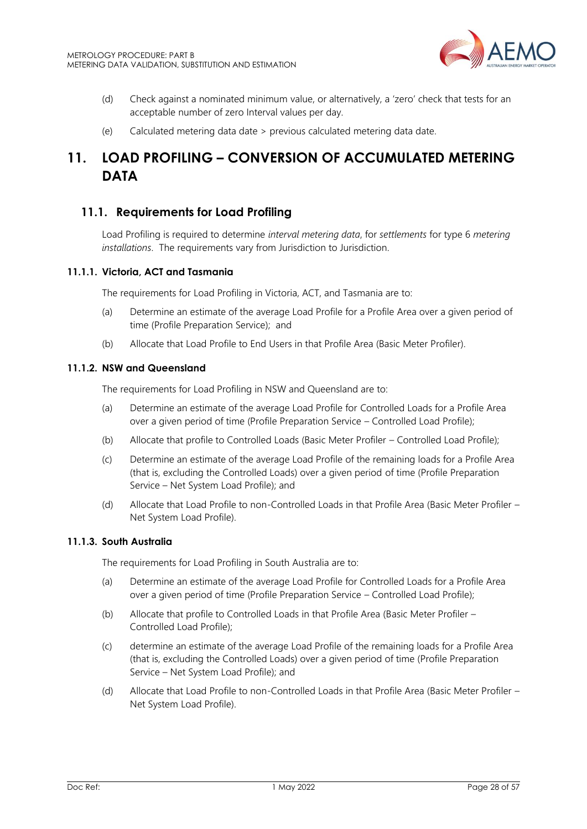

- (d) Check against a nominated minimum value, or alternatively, a 'zero' check that tests for an acceptable number of zero Interval values per day.
- (e) Calculated metering data date > previous calculated metering data date.

## <span id="page-27-0"></span>**11. LOAD PROFILING – CONVERSION OF ACCUMULATED METERING DATA**

## <span id="page-27-1"></span>**11.1. Requirements for Load Profiling**

Load Profiling is required to determine *interval metering data*, for *settlements* for type 6 *metering installations*. The requirements vary from Jurisdiction to Jurisdiction.

#### **11.1.1. Victoria, ACT and Tasmania**

The requirements for Load Profiling in Victoria, ACT, and Tasmania are to:

- (a) Determine an estimate of the average Load Profile for a Profile Area over a given period of time (Profile Preparation Service); and
- (b) Allocate that Load Profile to End Users in that Profile Area (Basic Meter Profiler).

#### **11.1.2. NSW and Queensland**

The requirements for Load Profiling in NSW and Queensland are to:

- (a) Determine an estimate of the average Load Profile for Controlled Loads for a Profile Area over a given period of time (Profile Preparation Service – Controlled Load Profile);
- (b) Allocate that profile to Controlled Loads (Basic Meter Profiler Controlled Load Profile);
- (c) Determine an estimate of the average Load Profile of the remaining loads for a Profile Area (that is, excluding the Controlled Loads) over a given period of time (Profile Preparation Service – Net System Load Profile); and
- (d) Allocate that Load Profile to non-Controlled Loads in that Profile Area (Basic Meter Profiler Net System Load Profile).

#### **11.1.3. South Australia**

The requirements for Load Profiling in South Australia are to:

- (a) Determine an estimate of the average Load Profile for Controlled Loads for a Profile Area over a given period of time (Profile Preparation Service – Controlled Load Profile);
- (b) Allocate that profile to Controlled Loads in that Profile Area (Basic Meter Profiler Controlled Load Profile);
- (c) determine an estimate of the average Load Profile of the remaining loads for a Profile Area (that is, excluding the Controlled Loads) over a given period of time (Profile Preparation Service – Net System Load Profile); and
- (d) Allocate that Load Profile to non-Controlled Loads in that Profile Area (Basic Meter Profiler Net System Load Profile).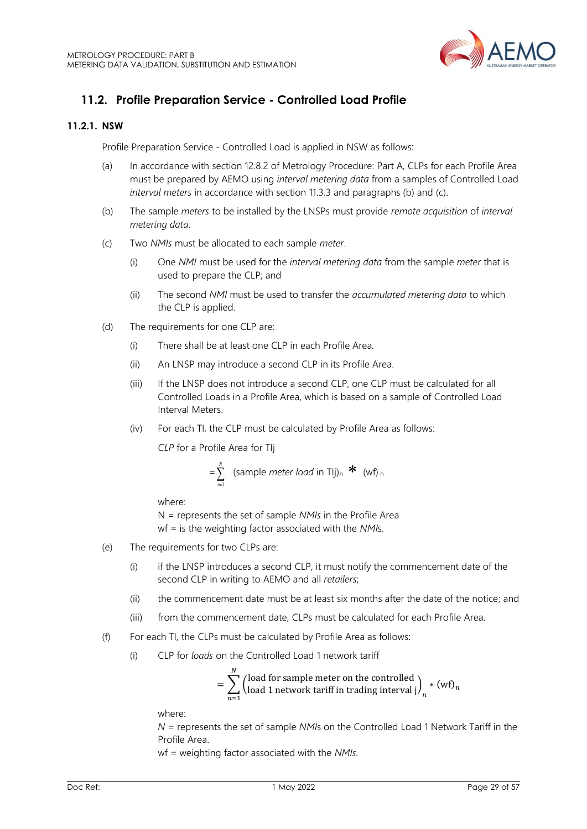

## <span id="page-28-0"></span>**11.2. Profile Preparation Service - Controlled Load Profile**

### **11.2.1. NSW**

Profile Preparation Service - Controlled Load is applied in NSW as follows:

- (a) In accordance with section 12.8.2 of Metrology Procedure: Part A, CLPs for each Profile Area must be prepared by AEMO using *interval metering data* from a samples of Controlled Load *interval meters* in accordance with section 11.3.3 and paragraphs (b) and (c).
- (b) The sample *meters* to be installed by the LNSPs must provide *remote acquisition* of *interval metering data*.
- (c) Two *NMIs* must be allocated to each sample *meter*.
	- (i) One *NMI* must be used for the *interval metering data* from the sample *meter* that is used to prepare the CLP; and
	- (ii) The second *NMI* must be used to transfer the *accumulated metering data* to which the CLP is applied.
- (d) The requirements for one CLP are:
	- (i) There shall be at least one CLP in each Profile Area*.*
	- (ii) An LNSP may introduce a second CLP in its Profile Area.
	- (iii) If the LNSP does not introduce a second CLP, one CLP must be calculated for all Controlled Loads in a Profile Area, which is based on a sample of Controlled Load Interval Meters.
	- (iv) For each TI, the CLP must be calculated by Profile Area as follows:

*CLP* for a Profile Area for TIj

$$
= \sum_{n=1}^{N} (sample \ meter \ load \ in \ TJj)_n \cdot k \quad (wf)_n
$$

where:

N = represents the set of sample *NMIs* in the Profile Area wf = is the weighting factor associated with the *NMI*s.

- (e) The requirements for two CLPs are:
	- (i) if the LNSP introduces a second CLP, it must notify the commencement date of the second CLP in writing to AEMO and all *retailers*;
	- (ii) the commencement date must be at least six months after the date of the notice; and
	- (iii) from the commencement date, CLPs must be calculated for each Profile Area.
- (f) For each TI, the CLPs must be calculated by Profile Area as follows:
	- (i) CLP for *loads* on the Controlled Load 1 network tariff

$$
= \sum_{n=1}^{N} \left(\begin{matrix} \text{load for sample meter on the controlled} \\ \text{load 1 network tariff in trading interval } j \end{matrix}\right)_n * (wf)_n
$$

where:

*N =* represents the set of sample *NMI*s on the Controlled Load 1 Network Tariff in the Profile Area.

wf = weighting factor associated with the *NMIs.*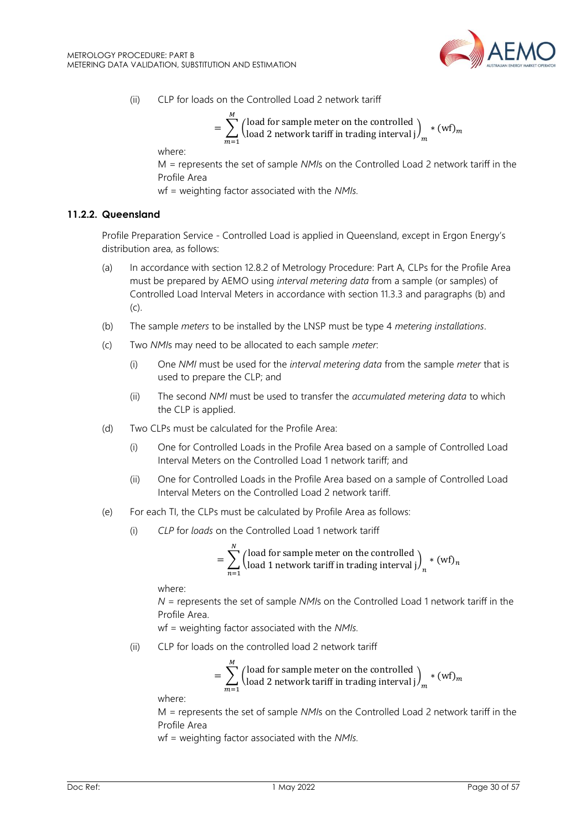

(ii) CLP for loads on the Controlled Load 2 network tariff

$$
= \sum_{m=1}^{M} \left(\begin{matrix} \text{load for sample meter on the controlled} \\ \text{load 2 network tariff in trading interval } j \end{matrix}\right)_m * (wf)_m
$$

where:

M *=* represents the set of sample *NMI*s on the Controlled Load 2 network tariff in the Profile Area

wf = weighting factor associated with the *NMIs.*

#### **11.2.2. Queensland**

Profile Preparation Service - Controlled Load is applied in Queensland, except in Ergon Energy's distribution area, as follows:

- (a) In accordance with section 12.8.2 of Metrology Procedure: Part A, CLPs for the Profile Area must be prepared by AEMO using *interval metering data* from a sample (or samples) of Controlled Load Interval Meters in accordance with section 11.3.3 and paragraphs (b) and (c).
- (b) The sample *meters* to be installed by the LNSP must be type 4 *metering installations*.
- (c) Two *NMI*s may need to be allocated to each sample *meter*:
	- (i) One *NMI* must be used for the *interval metering data* from the sample *meter* that is used to prepare the CLP; and
	- (ii) The second *NMI* must be used to transfer the *accumulated metering data* to which the CLP is applied.
- (d) Two CLPs must be calculated for the Profile Area:
	- (i) One for Controlled Loads in the Profile Area based on a sample of Controlled Load Interval Meters on the Controlled Load 1 network tariff; and
	- (ii) One for Controlled Loads in the Profile Area based on a sample of Controlled Load Interval Meters on the Controlled Load 2 network tariff.
- (e) For each TI, the CLPs must be calculated by Profile Area as follows:
	- (i) *CLP* for *loads* on the Controlled Load 1 network tariff

 $\ddotsc$ 

$$
= \sum_{n=1}^{N} \left(\begin{matrix} \text{load for sample meter on the controlled} \\ \text{load 1 network tariff in trading interval } j \end{matrix}\right)_n * (wf)_n
$$

where:

*N =* represents the set of sample *NMI*s on the Controlled Load 1 network tariff in the Profile Area.

wf = weighting factor associated with the *NMIs.*

(ii) CLP for loads on the controlled load 2 network tariff

 $\sim$ 

$$
= \sum_{m=1}^{M} \left( \begin{matrix} \text{load for sample meter on the controlled} \\ \text{load 2 network tariff in trading interval } j \end{matrix} \right)_m * (wf)_m
$$

where:

M *=* represents the set of sample *NMI*s on the Controlled Load 2 network tariff in the Profile Area

wf = weighting factor associated with the *NMIs.*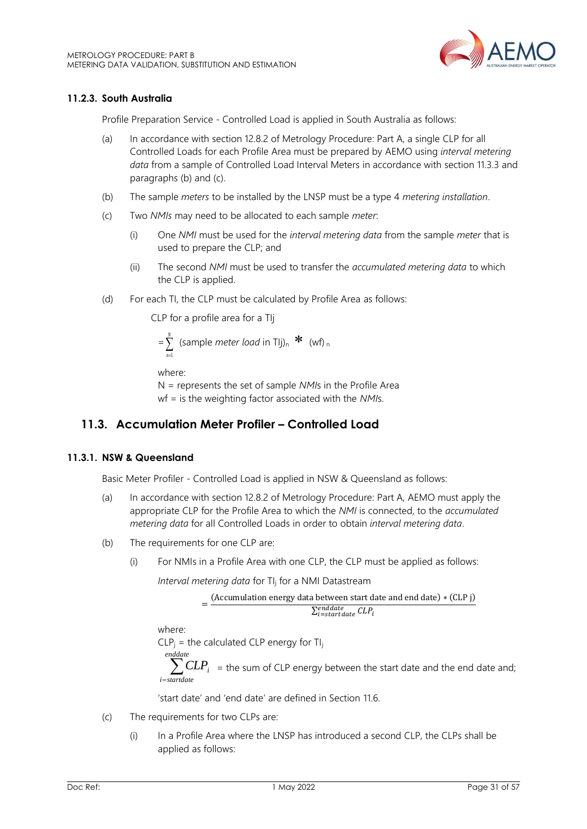

## **11.2.3. South Australia**

Profile Preparation Service - Controlled Load is applied in South Australia as follows:

- (a) In accordance with section 12.8.2 of Metrology Procedure: Part A, a single CLP for all Controlled Loads for each Profile Area must be prepared by AEMO using *interval metering data* from a sample of Controlled Load Interval Meters in accordance with section 11.3.3 and paragraphs (b) and (c).
- (b) The sample *meters* to be installed by the LNSP must be a type 4 *metering installation*.
- (c) Two *NMIs* may need to be allocated to each sample *meter*:
	- (i) One *NMI* must be used for the *interval metering data* from the sample *meter* that is used to prepare the CLP; and
	- (ii) The second *NMI* must be used to transfer the *accumulated metering data* to which the CLP is applied.
- (d) For each TI, the CLP must be calculated by Profile Area as follows:

CLP for a profile area for a TIj

$$
= \sum_{n=1}^{N} \text{ (sample meter load in Tlj)}_{n} \cdot \mathbf{\mathbf{\hat{F}} (wf)}_{n}
$$

where:

N = represents the set of sample *NMI*s in the Profile Area wf = is the weighting factor associated with the *NMI*s.

## <span id="page-30-0"></span>**11.3. Accumulation Meter Profiler – Controlled Load**

## **11.3.1. NSW & Queensland**

Basic Meter Profiler - Controlled Load is applied in NSW & Queensland as follows:

- (a) In accordance with section 12.8.2 of Metrology Procedure: Part A, AEMO must apply the appropriate CLP for the Profile Area to which the *NMI* is connected, to the *accumulated metering data* for all Controlled Loads in order to obtain *interval metering data*.
- (b) The requirements for one CLP are:
	- (i) For NMIs in a Profile Area with one CLP, the CLP must be applied as follows:

*Interval metering data* for TI<sup>j</sup> for a NMI Datastream

$$
= \frac{\text{(Accumulation energy data between start date and end date)} * \text{(CLP j)}}{\sum_{i=statstate}^{enddate} CLP_i}
$$

where:

 $CLP_i$  = the calculated CLP energy for TI<sub>i</sub>

 $\sum_{\textit{strulate}} CLP_i$  = the sum of CLP energy between the start date and the end date and; *enddate i startdate*

'start date' and 'end date' are defined in Section 11.6.

- (c) The requirements for two CLPs are:
	- (i) In a Profile Area where the LNSP has introduced a second CLP, the CLPs shall be applied as follows: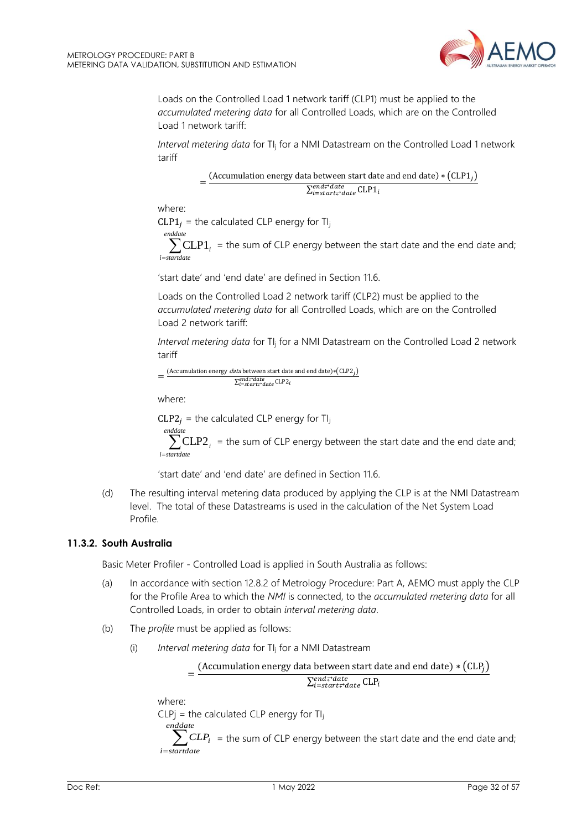

Loads on the Controlled Load 1 network tariff (CLP1) must be applied to the *accumulated metering data* for all Controlled Loads, which are on the Controlled Load 1 network tariff:

*Interval metering data* for TI<sub>i</sub> for a NMI Datastream on the Controlled Load 1 network tariff

> $=\frac{(Accumulation energy data between start date and end date) * (CLP1<sub>j</sub>)}{Send4}$  $\sum_{i=start\rightleftarrows date}^{end\rightleftarrows date}$ CLP1<sub>i</sub>

where:

 $CLP1<sub>i</sub>$  = the calculated CLP energy for TI<sub>j</sub>  $\sum_{\text{standardize}}$  CLP1<sub>*i*</sub> = the sum of CLP energy between the start date and the end date and; *enddate i startdate*

'start date' and 'end date' are defined in Section 11.6.

Loads on the Controlled Load 2 network tariff (CLP2) must be applied to the *accumulated metering data* for all Controlled Loads, which are on the Controlled Load 2 network tariff:

*Interval metering data* for TI<sub>i</sub> for a NMI Datastream on the Controlled Load 2 network tariff

$$
= \frac{(Accumulation energy data between start date and end date)*(CLP2_j)}{\sum_{i=start:^{c} date}^{end} \sum_{i}
$$

where:

 $CLP2<sub>i</sub>$  = the calculated CLP energy for TI<sub>j</sub>

= *enddate i startdate*  $CLP2<sub>i</sub>$  = the sum of CLP energy between the start date and the end date and;

'start date' and 'end date' are defined in Section 11.6.

(d) The resulting interval metering data produced by applying the CLP is at the NMI Datastream level. The total of these Datastreams is used in the calculation of the Net System Load Profile.

## **11.3.2. South Australia**

Basic Meter Profiler - Controlled Load is applied in South Australia as follows:

- (a) In accordance with section 12.8.2 of Metrology Procedure: Part A, AEMO must apply the CLP for the Profile Area to which the *NMI* is connected, to the *accumulated metering data* for all Controlled Loads, in order to obtain *interval metering data*.
- (b) The *profile* must be applied as follows:
	- (i) *Interval metering data* for TI<sup>j</sup> for a NMI Datastream

$$
= \frac{(Accumulation energy data between start date and end date) * (CLPj)}{\sum_{i=start \neq date}^{end \neq date} CLPi}
$$

where:

 $CLPj =$  the calculated  $CLP$  energy for Tl<sub>i</sub>

 $\sum_{\text{standardive}}^{Pariance} CLP_i$  = the sum of CLP energy between the start date and the end date and; *enddate i startdate*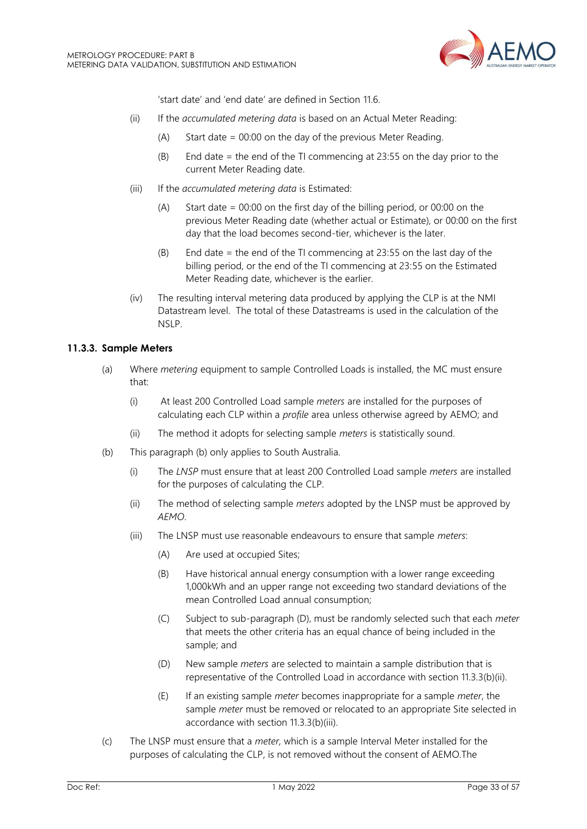

'start date' and 'end date' are defined in Section 11.6.

- (ii) If the *accumulated metering data* is based on an Actual Meter Reading:
	- (A) Start date = 00:00 on the day of the previous Meter Reading.
	- (B) End date = the end of the TI commencing at 23:55 on the day prior to the current Meter Reading date.
- (iii) If the *accumulated metering data* is Estimated:
	- (A) Start date = 00:00 on the first day of the billing period, or 00:00 on the previous Meter Reading date (whether actual or Estimate), or 00:00 on the first day that the load becomes second-tier, whichever is the later.
	- (B) End date = the end of the TI commencing at 23:55 on the last day of the billing period, or the end of the TI commencing at 23:55 on the Estimated Meter Reading date, whichever is the earlier.
- (iv) The resulting interval metering data produced by applying the CLP is at the NMI Datastream level. The total of these Datastreams is used in the calculation of the NSLP.

#### **11.3.3. Sample Meters**

- (a) Where *metering* equipment to sample Controlled Loads is installed, the MC must ensure that:
	- (i) At least 200 Controlled Load sample *meters* are installed for the purposes of calculating each CLP within a *profile* area unless otherwise agreed by AEMO; and
	- (ii) The method it adopts for selecting sample *meters* is statistically sound.
- (b) This paragraph (b) only applies to South Australia.
	- (i) The *LNSP* must ensure that at least 200 Controlled Load sample *meters* are installed for the purposes of calculating the CLP.
	- (ii) The method of selecting sample *meters* adopted by the LNSP must be approved by *AEMO*.
	- (iii) The LNSP must use reasonable endeavours to ensure that sample *meters*:
		- (A) Are used at occupied Sites;
		- (B) Have historical annual energy consumption with a lower range exceeding 1,000kWh and an upper range not exceeding two standard deviations of the mean Controlled Load annual consumption;
		- (C) Subject to sub-paragraph (D), must be randomly selected such that each *meter* that meets the other criteria has an equal chance of being included in the sample; and
		- (D) New sample *meters* are selected to maintain a sample distribution that is representative of the Controlled Load in accordance with section 11.3.3(b)(ii).
		- (E) If an existing sample *meter* becomes inappropriate for a sample *meter*, the sample *meter* must be removed or relocated to an appropriate Site selected in accordance with section 11.3.3(b)(iii).
- (c) The LNSP must ensure that a *meter,* which is a sample Interval Meter installed for the purposes of calculating the CLP, is not removed without the consent of AEMO.The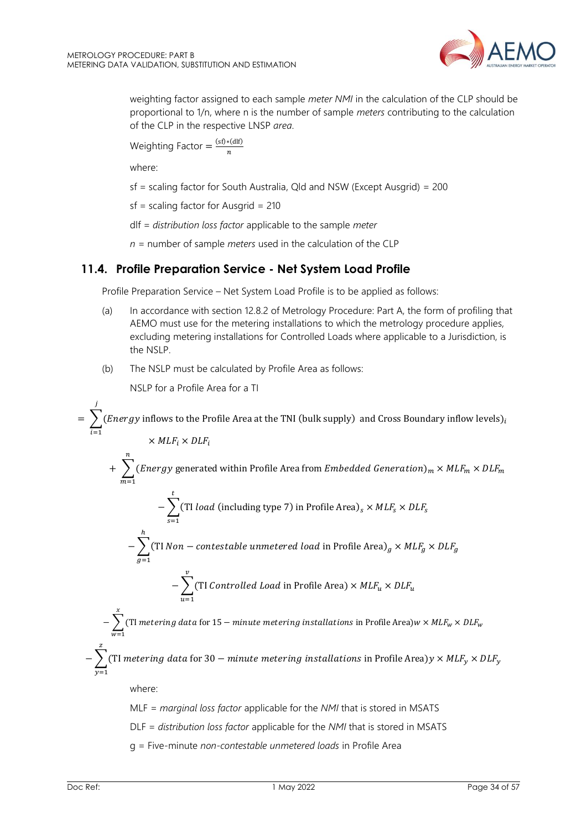

weighting factor assigned to each sample *meter NMI* in the calculation of the CLP should be proportional to 1/n, where n is the number of sample *meters* contributing to the calculation of the CLP in the respective LNSP *area*.

Weighting Factor = 
$$
\frac{(sf)*(dlf)}{n}
$$

where:

sf = scaling factor for South Australia, Qld and NSW (Except Ausgrid) = 200

sf = scaling factor for Ausgrid = 210

dlf *= distribution loss factor* applicable to the sample *meter*

*n* = number of sample *meters* used in the calculation of the CLP

## <span id="page-33-0"></span>**11.4. Profile Preparation Service - Net System Load Profile**

Profile Preparation Service – Net System Load Profile is to be applied as follows:

- (a) In accordance with section 12.8.2 of Metrology Procedure: Part A, the form of profiling that AEMO must use for the metering installations to which the metrology procedure applies, excluding metering installations for Controlled Loads where applicable to a Jurisdiction, is the NSLP.
- (b) The NSLP must be calculated by Profile Area as follows:

NSLP for a Profile Area for a TI

 $\ddot{r}$ 

 $=$   $\sum (Energy$  inflows to the Profile Area at the TNI (bulk supply) and Cross Boundary inflow levels)<sub>i</sub> j  $i=1$  $\times$  MLF<sub>i</sub>  $\times$  DLF<sub>i</sub>

$$
+ \sum_{m=1}^{n} (Energy\ generated\ within\ Profile\ Area\ from\ Embedded\ Generation)_m \times MLF_m \times DLF_m
$$

$$
-\sum_{s=1}
$$
(TI *load* (including type 7) in Profile Area)<sub>s</sub> × *MLF<sub>s</sub>* × *DLF<sub>s</sub>*

$$
-\sum_{g=1} \text{(TI Non–contextable unmetered load in Profile Area)}_g \times MLF_g \times DLF_g
$$

$$
-\sum_{u=1}^{v}
$$
(TI *Controlled Load* in Profile Area) × *MLF<sub>u</sub>* × *DLF<sub>u</sub>*

 $>$   $\,(\mathrm{TI}$  metering data for 15  $-$  minute metering installations in Profile Area)w  $\times$  MLF $_{\rm w}$   $\times$  DLF $_{\rm w}$  $\boldsymbol{\chi}$  $w=1$ 

 $\, \sum$  (TI metering data for 30  $-$  minute metering installations in Profile Area)y  $\times$  MLF $_{\rm y}$  $y=1$  $\times$  DLF<sub>y</sub>

where:

ℎ

MLF = *marginal loss factor* applicable for the *NMI* that is stored in MSATS

DLF = *distribution loss factor* applicable for the *NMI* that is stored in MSATS

g = Five-minute *non-contestable unmetered loads* in Profile Area

z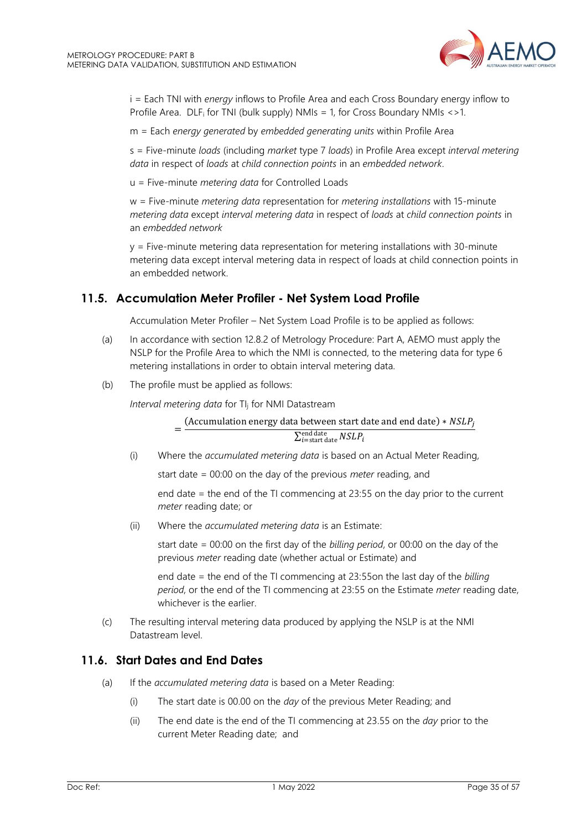

i = Each TNI with *energy* inflows to Profile Area and each Cross Boundary energy inflow to Profile Area. DLF<sup>i</sup> for TNI (bulk supply) NMIs = 1, for Cross Boundary NMIs <>1.

m = Each *energy generated* by *embedded generating units* within Profile Area

s = Five-minute *loads* (including *market* type 7 *loads*) in Profile Area except *interval metering data* in respect of *loads* at *child connection points* in an *embedded network*.

u = Five-minute *metering data* for Controlled Loads

w = Five-minute *metering data* representation for *metering installations* with 15-minute *metering data* except *interval metering data* in respect of *loads* at *child connection points* in an *embedded network*

 $y =$  Five-minute metering data representation for metering installations with 30-minute metering data except interval metering data in respect of loads at child connection points in an embedded network.

## <span id="page-34-0"></span>**11.5. Accumulation Meter Profiler - Net System Load Profile**

Accumulation Meter Profiler – Net System Load Profile is to be applied as follows:

- (a) In accordance with section 12.8.2 of Metrology Procedure: Part A, AEMO must apply the NSLP for the Profile Area to which the NMI is connected, to the metering data for type 6 metering installations in order to obtain interval metering data.
- (b) The profile must be applied as follows:

*Interval metering data* for TI<sup>j</sup> for NMI Datastream

= (Accumulation energy data between start date and end date)  $* NSLP_i$  $\sum_{i= {\rm start\ date}} NSLP_i$ 

(i) Where the *accumulated metering data* is based on an Actual Meter Reading,

start date = 00:00 on the day of the previous *meter* reading, and

end date = the end of the TI commencing at 23:55 on the day prior to the current *meter* reading date; or

(ii) Where the *accumulated metering data* is an Estimate:

start date = 00:00 on the first day of the *billing period*, or 00:00 on the day of the previous *meter* reading date (whether actual or Estimate) and

end date = the end of the TI commencing at 23:55on the last day of the *billing period*, or the end of the TI commencing at 23:55 on the Estimate *meter* reading date, whichever is the earlier.

(c) The resulting interval metering data produced by applying the NSLP is at the NMI Datastream level.

## <span id="page-34-1"></span>**11.6. Start Dates and End Dates**

- (a) If the *accumulated metering data* is based on a Meter Reading:
	- (i) The start date is 00.00 on the *day* of the previous Meter Reading; and
	- (ii) The end date is the end of the TI commencing at 23.55 on the *day* prior to the current Meter Reading date; and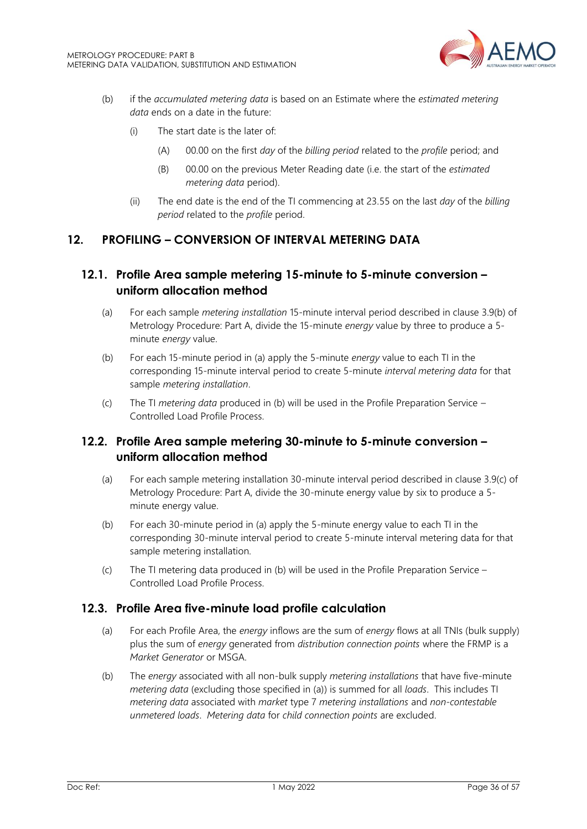

- (b) if the *accumulated metering data* is based on an Estimate where the *estimated metering data* ends on a date in the future:
	- (i) The start date is the later of:
		- (A) 00.00 on the first *day* of the *billing period* related to the *profile* period; and
		- (B) 00.00 on the previous Meter Reading date (i.e. the start of the *estimated metering data* period).
	- (ii) The end date is the end of the TI commencing at 23.55 on the last *day* of the *billing period* related to the *profile* period.

## <span id="page-35-0"></span>**12. PROFILING – CONVERSION OF INTERVAL METERING DATA**

## <span id="page-35-1"></span>**12.1. Profile Area sample metering 15-minute to 5-minute conversion – uniform allocation method**

- (a) For each sample *metering installation* 15-minute interval period described in clause 3.9(b) of Metrology Procedure: Part A, divide the 15-minute *energy* value by three to produce a 5 minute *energy* value.
- (b) For each 15-minute period in (a) apply the 5-minute *energy* value to each TI in the corresponding 15-minute interval period to create 5-minute *interval metering data* for that sample *metering installation*.
- (c) The TI *metering data* produced in (b) will be used in the Profile Preparation Service Controlled Load Profile Process.

## <span id="page-35-2"></span>**12.2. Profile Area sample metering 30-minute to 5-minute conversion – uniform allocation method**

- (a) For each sample metering installation 30-minute interval period described in clause 3.9(c) of Metrology Procedure: Part A, divide the 30-minute energy value by six to produce a 5 minute energy value.
- (b) For each 30-minute period in (a) apply the 5-minute energy value to each TI in the corresponding 30-minute interval period to create 5-minute interval metering data for that sample metering installation.
- (c) The TI metering data produced in (b) will be used in the Profile Preparation Service Controlled Load Profile Process.

## <span id="page-35-3"></span>**12.3. Profile Area five-minute load profile calculation**

- (a) For each Profile Area, the *energy* inflows are the sum of *energy* flows at all TNIs (bulk supply) plus the sum of *energy* generated from *distribution connection points* where the FRMP is a *Market Generator* or MSGA.
- (b) The *energy* associated with all non-bulk supply *metering installations* that have five-minute *metering data* (excluding those specified in (a)) is summed for all *loads*. This includes TI *metering data* associated with *market* type 7 *metering installations* and *non-contestable unmetered loads*. *Metering data* for *child connection points* are excluded.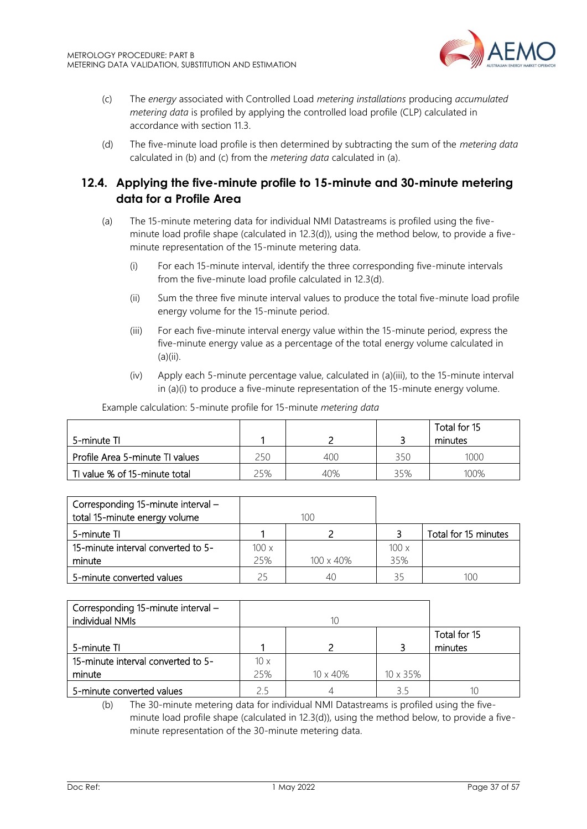

- (c) The *energy* associated with Controlled Load *metering installations* producing *accumulated metering data* is profiled by applying the controlled load profile (CLP) calculated in accordance with section 11.3.
- (d) The five-minute load profile is then determined by subtracting the sum of the *metering data* calculated in (b) and (c) from the *metering data* calculated in (a).

## <span id="page-36-0"></span>**12.4. Applying the five-minute profile to 15-minute and 30-minute metering data for a Profile Area**

- (a) The 15-minute metering data for individual NMI Datastreams is profiled using the fiveminute load profile shape (calculated in 12.3(d)), using the method below, to provide a fiveminute representation of the 15-minute metering data.
	- (i) For each 15-minute interval, identify the three corresponding five-minute intervals from the five-minute load profile calculated in 12.3(d).
	- (ii) Sum the three five minute interval values to produce the total five-minute load profile energy volume for the 15-minute period.
	- (iii) For each five-minute interval energy value within the 15-minute period, express the five-minute energy value as a percentage of the total energy volume calculated in  $(a)(ii)$ .
	- (iv) Apply each 5-minute percentage value, calculated in (a)(iii), to the 15-minute interval in (a)(i) to produce a five-minute representation of the 15-minute energy volume.

|                                 |     |     |     | Total for 15 |
|---------------------------------|-----|-----|-----|--------------|
| 5-minute TI                     |     |     |     | minutes      |
| Profile Area 5-minute TI values | 250 | 400 | 35C | 1000         |
| TI value % of 15-minute total   | 25% | 40% | 35% | $100\%$      |

Example calculation: 5-minute profile for 15-minute *metering data*

| Corresponding 15-minute interval -<br>total 15-minute energy volume |      | 100               |      |                      |
|---------------------------------------------------------------------|------|-------------------|------|----------------------|
| 5-minute TI                                                         |      |                   |      | Total for 15 minutes |
| 15-minute interval converted to 5-                                  | 100x |                   | 100x |                      |
| minute                                                              | 25%  | $100 \times 40\%$ | 35%  |                      |
| 5-minute converted values                                           | 25   |                   | 35   | 100                  |

| Corresponding 15-minute interval - |             |                  |          |              |
|------------------------------------|-------------|------------------|----------|--------------|
| individual NMIs                    |             | 10               |          |              |
|                                    |             |                  |          | Total for 15 |
| 5-minute TI                        |             |                  |          | minutes      |
| 15-minute interval converted to 5- | $10 \times$ |                  |          |              |
| minute                             | 25%         | $10 \times 40\%$ | 10 x 35% |              |
| 5-minute converted values          | 25          |                  | 3.5      | 10           |

<sup>(</sup>b) The 30-minute metering data for individual NMI Datastreams is profiled using the fiveminute load profile shape (calculated in 12.3(d)), using the method below, to provide a fiveminute representation of the 30-minute metering data.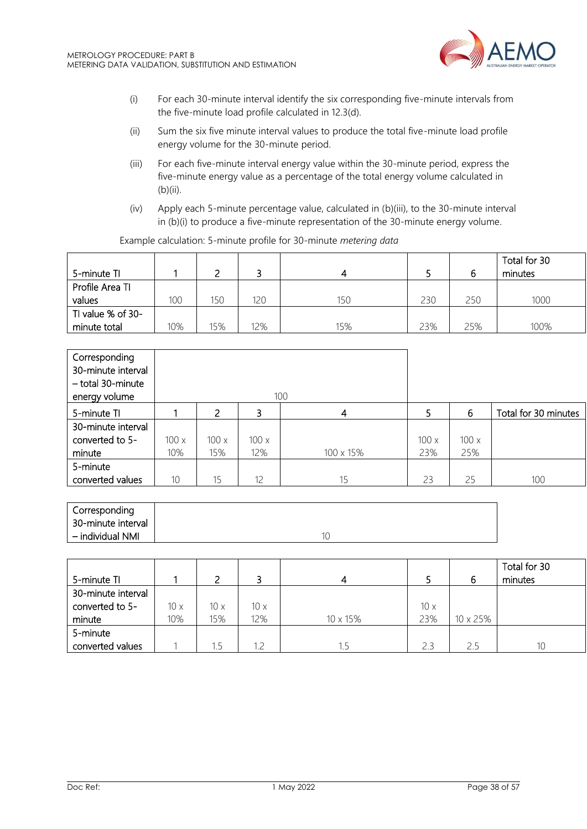

- (i) For each 30-minute interval identify the six corresponding five-minute intervals from the five-minute load profile calculated in 12.3(d).
- (ii) Sum the six five minute interval values to produce the total five-minute load profile energy volume for the 30-minute period.
- (iii) For each five-minute interval energy value within the 30-minute period, express the five-minute energy value as a percentage of the total energy volume calculated in (b)(ii).
- (iv) Apply each 5-minute percentage value, calculated in (b)(iii), to the 30-minute interval in (b)(i) to produce a five-minute representation of the 30-minute energy volume.

|                   |     |     |     |     |     |     | Total for 30 |
|-------------------|-----|-----|-----|-----|-----|-----|--------------|
| 5-minute TI       |     |     |     |     |     |     | minutes      |
| Profile Area TI   |     |     |     |     |     |     |              |
| values            | 100 | 150 | 120 | 150 | 230 | 250 | 1000         |
| TI value % of 30- |     |     |     |     |     |     |              |
| minute total      | 10% | 15% | 12% | 15% | 23% | 25% | 100%         |

Example calculation: 5-minute profile for 30-minute *metering data*

| Corresponding<br>30-minute interval<br>- total 30-minute<br>energy volume |      |      |      | 100       |      |      |                      |
|---------------------------------------------------------------------------|------|------|------|-----------|------|------|----------------------|
| 5-minute TI                                                               |      | 2    | 3    | 4         | 5    | 6    | Total for 30 minutes |
| 30-minute interval                                                        |      |      |      |           |      |      |                      |
| converted to 5-                                                           | 100x | 100x | 100x |           | 100x | 100x |                      |
| minute                                                                    | 10%  | 15%  | 12%  | 100 x 15% | 23%  | 25%  |                      |
| 5-minute                                                                  |      |      |      |           |      |      |                      |
| converted values                                                          | 10   | 15   | 12   | 15        | 23   | 25   | 100                  |

| Corresponding      |    |
|--------------------|----|
| 30-minute interval |    |
| – individual NMI   | 10 |

|                    |             |             |             |          |     |          | Total for 30 |
|--------------------|-------------|-------------|-------------|----------|-----|----------|--------------|
| 5-minute TI        |             |             |             |          |     | b        | minutes      |
| 30-minute interval |             |             |             |          |     |          |              |
| converted to 5-    | $10 \times$ | $10 \times$ | $10 \times$ |          | 10x |          |              |
| minute             | 10%         | 15%         | 12%         | 10 x 15% | 23% | 10 x 25% |              |
| 5-minute           |             |             |             |          |     |          |              |
| converted values   |             | 1.5         | 12          |          | 2.3 | 2.5      | 10           |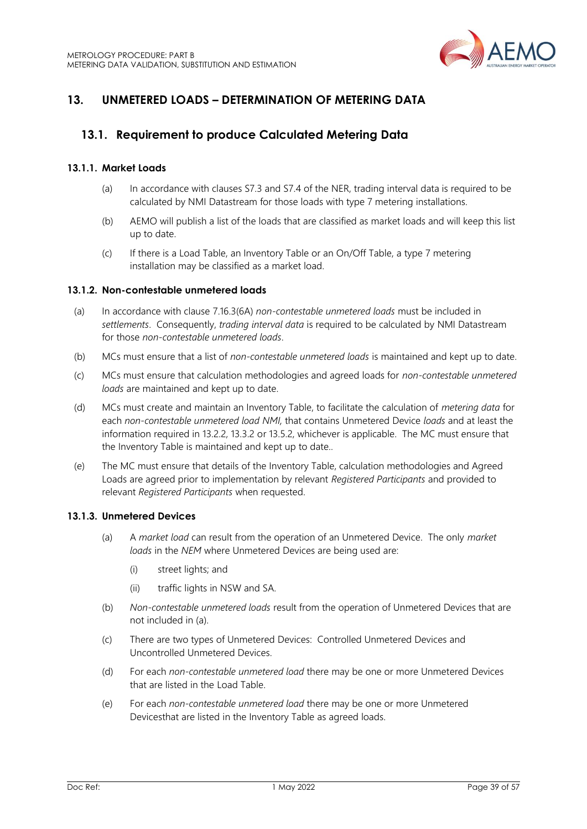

## <span id="page-38-0"></span>**13. UNMETERED LOADS – DETERMINATION OF METERING DATA**

## <span id="page-38-1"></span>**13.1. Requirement to produce Calculated Metering Data**

## **13.1.1. Market Loads**

- (a) In accordance with clauses S7.3 and S7.4 of the NER, trading interval data is required to be calculated by NMI Datastream for those loads with type 7 metering installations.
- (b) AEMO will publish a list of the loads that are classified as market loads and will keep this list up to date.
- (c) If there is a Load Table, an Inventory Table or an On/Off Table, a type 7 metering installation may be classified as a market load.

#### **13.1.2. Non-contestable unmetered loads**

- (a) In accordance with clause 7.16.3(6A) *non-contestable unmetered loads* must be included in *settlements*. Consequently, *trading interval data* is required to be calculated by NMI Datastream for those *non-contestable unmetered loads*.
- (b) MCs must ensure that a list of *non-contestable unmetered loads* is maintained and kept up to date.
- (c) MCs must ensure that calculation methodologies and agreed loads for *non-contestable unmetered loads* are maintained and kept up to date.
- (d) MCs must create and maintain an Inventory Table, to facilitate the calculation of *metering data* for each *non-contestable unmetered load NMI,* that contains Unmetered Device *loads* and at least the information required in 13.2.2, 13.3.2 or 13.5.2, whichever is applicable. The MC must ensure that the Inventory Table is maintained and kept up to date.*.*
- (e) The MC must ensure that details of the Inventory Table, calculation methodologies and Agreed Loads are agreed prior to implementation by relevant *Registered Participants* and provided to relevant *Registered Participants* when requested.

#### **13.1.3. Unmetered Devices**

- (a) A *market load* can result from the operation of an Unmetered Device. The only *market loads* in the *NEM* where Unmetered Devices are being used are:
	- (i) street lights; and
	- (ii) traffic lights in NSW and SA.
- (b) *Non-contestable unmetered loads* result from the operation of Unmetered Devices that are not included in (a).
- (c) There are two types of Unmetered Devices: Controlled Unmetered Devices and Uncontrolled Unmetered Devices.
- (d) For each *non-contestable unmetered load* there may be one or more Unmetered Devices that are listed in the Load Table.
- (e) For each *non-contestable unmetered load* there may be one or more Unmetered Devicesthat are listed in the Inventory Table as agreed loads.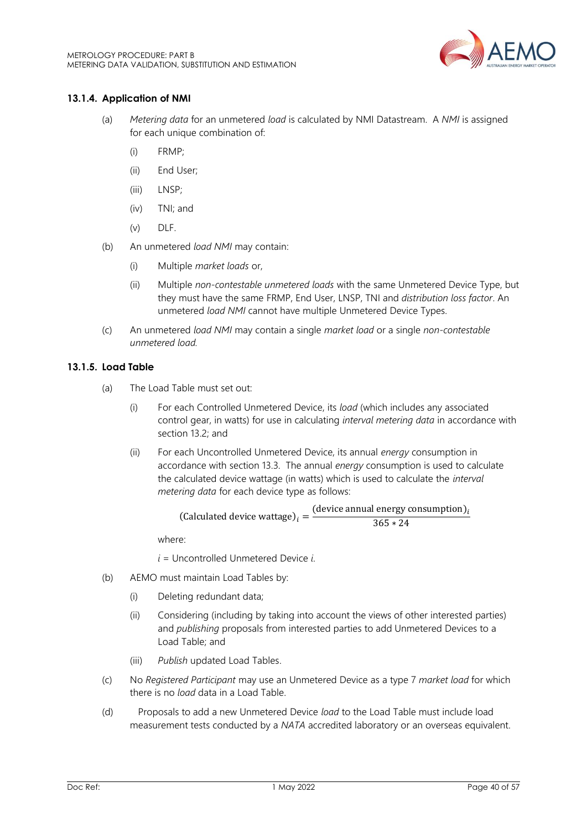

## **13.1.4. Application of NMI**

- (a) *Metering data* for an unmetered *load* is calculated by NMI Datastream. A *NMI* is assigned for each unique combination of:
	- (i) FRMP;
	- (ii) End User;
	- (iii) LNSP;
	- (iv) TNI; and
	- $(v)$  DLF.
- (b) An unmetered *load NMI* may contain:
	- (i) Multiple *market loads* or,
	- (ii) Multiple *non-contestable unmetered loads* with the same Unmetered Device Type, but they must have the same FRMP, End User, LNSP, TNI and *distribution loss factor*. An unmetered *load NMI* cannot have multiple Unmetered Device Types.
- (c) An unmetered *load NMI* may contain a single *market load* or a single *non-contestable unmetered load.*

#### **13.1.5. Load Table**

- (a) The Load Table must set out:
	- (i) For each Controlled Unmetered Device, its *load* (which includes any associated control gear, in watts) for use in calculating *interval metering data* in accordance with section 13.2; and
	- (ii) For each Uncontrolled Unmetered Device, its annual *energy* consumption in accordance with section 13.3. The annual *energy* consumption is used to calculate the calculated device wattage (in watts) which is used to calculate the *interval metering data* for each device type as follows:

(Calculated device wattsge)<sub>i</sub> = 
$$
\frac{(\text{device annual energy consumption})_i}{365 * 24}
$$

where:

*i* = Uncontrolled Unmetered Device *i*.

- (b) AEMO must maintain Load Tables by:
	- (i) Deleting redundant data;
	- (ii) Considering (including by taking into account the views of other interested parties) and *publishing* proposals from interested parties to add Unmetered Devices to a Load Table; and
	- (iii) *Publish* updated Load Tables.
- (c) No *Registered Participant* may use an Unmetered Device as a type 7 *market load* for which there is no *load* data in a Load Table.
- (d) Proposals to add a new Unmetered Device *load* to the Load Table must include load measurement tests conducted by a *NATA* accredited laboratory or an overseas equivalent.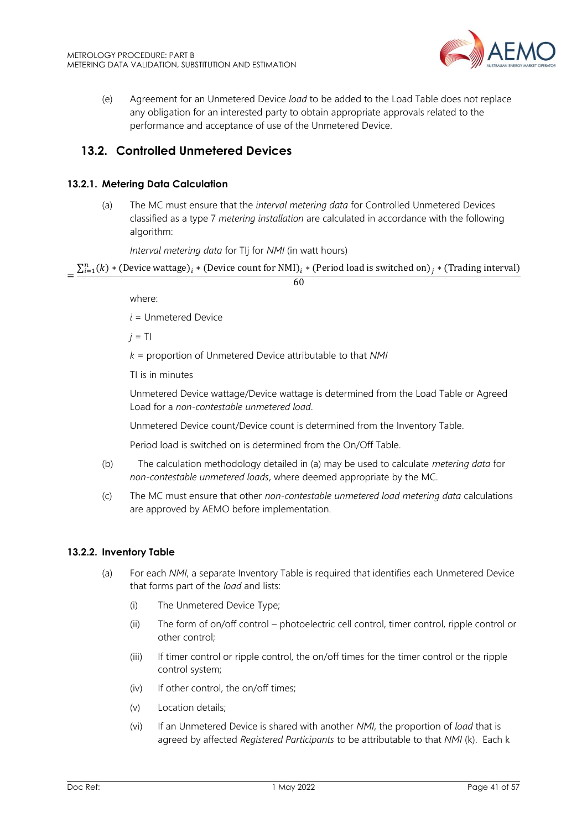

(e) Agreement for an Unmetered Device *load* to be added to the Load Table does not replace any obligation for an interested party to obtain appropriate approvals related to the performance and acceptance of use of the Unmetered Device.

## <span id="page-40-0"></span>**13.2. Controlled Unmetered Devices**

## **13.2.1. Metering Data Calculation**

(a) The MC must ensure that the *interval metering data* for Controlled Unmetered Devices classified as a type 7 *metering installation* are calculated in accordance with the following algorithm:

*Interval metering data* for TIj for *NMI* (in watt hours)

=  $\sum_{i=1}^n (k)*$  (Device wattage) $_i*($  Device count for NMI) $_i*($  Period load is switched on) $_j*($  Trading interval) 60

where:

*i* = Unmetered Device

 $j = T$ 

*k* = proportion of Unmetered Device attributable to that *NMI*

TI is in minutes

Unmetered Device wattage/Device wattage is determined from the Load Table or Agreed Load for a *non-contestable unmetered load*.

Unmetered Device count/Device count is determined from the Inventory Table.

Period load is switched on is determined from the On/Off Table.

- (b) The calculation methodology detailed in (a) may be used to calculate *metering data* for *non-contestable unmetered loads*, where deemed appropriate by the MC.
- (c) The MC must ensure that other *non-contestable unmetered load metering data* calculations are approved by AEMO before implementation.

#### **13.2.2. Inventory Table**

- (a) For each *NMI*, a separate Inventory Table is required that identifies each Unmetered Device that forms part of the *load* and lists:
	- (i) The Unmetered Device Type;
	- (ii) The form of on/off control photoelectric cell control, timer control, ripple control or other control;
	- (iii) If timer control or ripple control, the on/off times for the timer control or the ripple control system;
	- (iv) If other control, the on/off times;
	- (v) Location details;
	- (vi) If an Unmetered Device is shared with another *NMI*, the proportion of *load* that is agreed by affected *Registered Participants* to be attributable to that *NMI* (k). Each k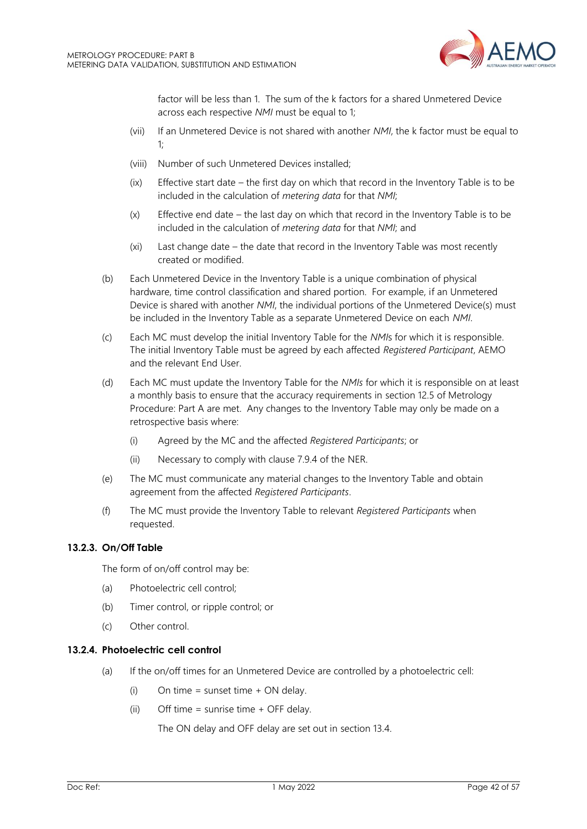

factor will be less than 1. The sum of the k factors for a shared Unmetered Device across each respective *NMI* must be equal to 1;

- (vii) If an Unmetered Device is not shared with another *NMI*, the k factor must be equal to  $1$
- (viii) Number of such Unmetered Devices installed;
- (ix) Effective start date the first day on which that record in the Inventory Table is to be included in the calculation of *metering data* for that *NMI*;
- (x) Effective end date the last day on which that record in the Inventory Table is to be included in the calculation of *metering data* for that *NMI*; and
- (xi) Last change date the date that record in the Inventory Table was most recently created or modified.
- (b) Each Unmetered Device in the Inventory Table is a unique combination of physical hardware, time control classification and shared portion. For example, if an Unmetered Device is shared with another *NMI*, the individual portions of the Unmetered Device(s) must be included in the Inventory Table as a separate Unmetered Device on each *NMI*.
- (c) Each MC must develop the initial Inventory Table for the *NMI*s for which it is responsible. The initial Inventory Table must be agreed by each affected *Registered Participant*, AEMO and the relevant End User.
- (d) Each MC must update the Inventory Table for the *NMIs* for which it is responsible on at least a monthly basis to ensure that the accuracy requirements in section 12.5 of Metrology Procedure: Part A are met. Any changes to the Inventory Table may only be made on a retrospective basis where:
	- (i) Agreed by the MC and the affected *Registered Participants*; or
	- (ii) Necessary to comply with clause 7.9.4 of the NER.
- (e) The MC must communicate any material changes to the Inventory Table and obtain agreement from the affected *Registered Participants*.
- (f) The MC must provide the Inventory Table to relevant *Registered Participants* when requested.

#### **13.2.3. On/Off Table**

The form of on/off control may be:

- (a) Photoelectric cell control;
- (b) Timer control, or ripple control; or
- (c) Other control.

#### **13.2.4. Photoelectric cell control**

- (a) If the on/off times for an Unmetered Device are controlled by a photoelectric cell:
	- (i) On time = sunset time  $+$  ON delay.
	- $(ii)$  Off time = sunrise time + OFF delay.

The ON delay and OFF delay are set out in section 13.4.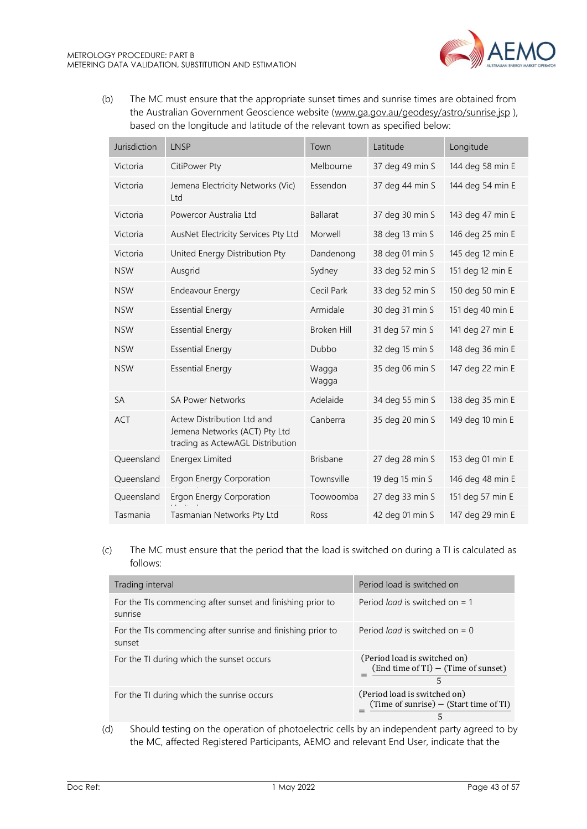

(b) The MC must ensure that the appropriate sunset times and sunrise times are obtained from the Australian Government Geoscience website [\(www.ga.gov.au/geodesy/astro/sunrise.jsp](http://www.ga.gov.au/geodesy/astro/sunrise.jsp)), based on the longitude and latitude of the relevant town as specified below:

| Jurisdiction | <b>LNSP</b>                                                                                     | Town               | Latitude        | Longitude        |
|--------------|-------------------------------------------------------------------------------------------------|--------------------|-----------------|------------------|
| Victoria     | CitiPower Pty                                                                                   | Melbourne          | 37 deg 49 min S | 144 deg 58 min E |
| Victoria     | Jemena Electricity Networks (Vic)<br>Ltd                                                        | Essendon           | 37 deg 44 min S | 144 deg 54 min E |
| Victoria     | Powercor Australia Ltd                                                                          | <b>Ballarat</b>    | 37 deg 30 min S | 143 deg 47 min E |
| Victoria     | AusNet Electricity Services Pty Ltd                                                             | Morwell            | 38 deg 13 min S | 146 deg 25 min E |
| Victoria     | United Energy Distribution Pty                                                                  | Dandenong          | 38 deg 01 min S | 145 deg 12 min E |
| <b>NSW</b>   | Ausgrid                                                                                         | Sydney             | 33 deg 52 min S | 151 deg 12 min E |
| <b>NSW</b>   | <b>Endeavour Energy</b>                                                                         | Cecil Park         | 33 deg 52 min S | 150 deg 50 min E |
| <b>NSW</b>   | <b>Essential Energy</b>                                                                         | Armidale           | 30 deg 31 min S | 151 deg 40 min E |
| <b>NSW</b>   | <b>Essential Energy</b>                                                                         | <b>Broken Hill</b> | 31 deg 57 min S | 141 deg 27 min E |
| <b>NSW</b>   | <b>Essential Energy</b>                                                                         | Dubbo              | 32 deg 15 min S | 148 deg 36 min E |
| <b>NSW</b>   | <b>Essential Energy</b>                                                                         | Wagga<br>Wagga     | 35 deg 06 min S | 147 deg 22 min E |
| <b>SA</b>    | <b>SA Power Networks</b>                                                                        | Adelaide           | 34 deg 55 min S | 138 deg 35 min E |
| <b>ACT</b>   | Actew Distribution Ltd and<br>Jemena Networks (ACT) Pty Ltd<br>trading as ActewAGL Distribution | Canberra           | 35 deg 20 min S | 149 deg 10 min E |
| Queensland   | Energex Limited                                                                                 | <b>Brisbane</b>    | 27 deg 28 min S | 153 deg 01 min E |
| Queensland   | Ergon Energy Corporation                                                                        | Townsville         | 19 deg 15 min S | 146 deg 48 min E |
| Queensland   | Ergon Energy Corporation                                                                        | Toowoomba          | 27 deg 33 min S | 151 deg 57 min E |
| Tasmania     | Tasmanian Networks Pty Ltd                                                                      | Ross               | 42 deg 01 min S | 147 deg 29 min E |

#### (c) The MC must ensure that the period that the load is switched on during a TI is calculated as follows:

| Trading interval                                                      | Period load is switched on                                                    |
|-----------------------------------------------------------------------|-------------------------------------------------------------------------------|
| For the TIs commencing after sunset and finishing prior to<br>sunrise | Period <i>load</i> is switched on $= 1$                                       |
| For the TIs commencing after sunrise and finishing prior to<br>sunset | Period <i>load</i> is switched on $= 0$                                       |
| For the TI during which the sunset occurs                             | (Period load is switched on)<br>$(End time of TI) - (Time of sunset)$<br>5    |
| For the TI during which the sunrise occurs                            | (Period load is switched on)<br>(Time of sunrise) $-$ (Start time of TI)<br>5 |

(d) Should testing on the operation of photoelectric cells by an independent party agreed to by the MC, affected Registered Participants, AEMO and relevant End User, indicate that the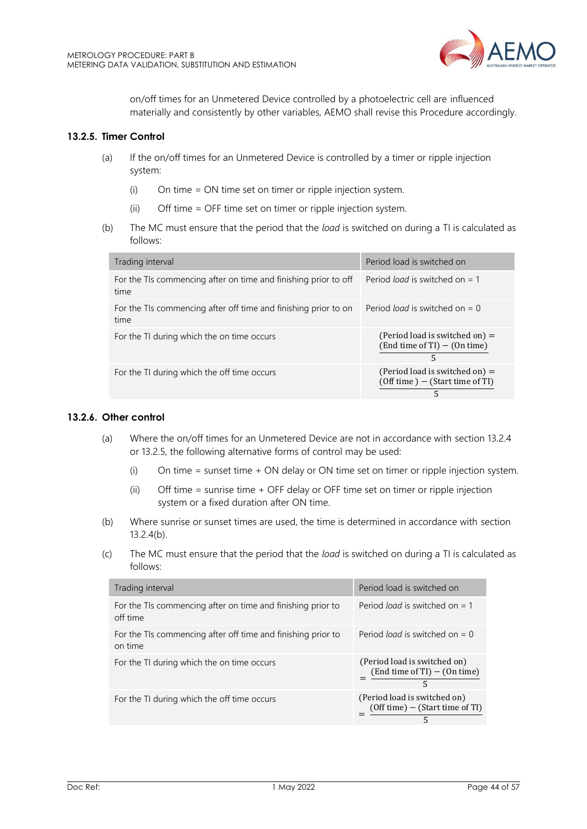

on/off times for an Unmetered Device controlled by a photoelectric cell are influenced materially and consistently by other variables, AEMO shall revise this Procedure accordingly.

### **13.2.5. Timer Control**

- (a) If the on/off times for an Unmetered Device is controlled by a timer or ripple injection system:
	- (i) On time = ON time set on timer or ripple injection system.
	- (ii) Off time = OFF time set on timer or ripple injection system.
- (b) The MC must ensure that the period that the *load* is switched on during a TI is calculated as follows:

| Trading interval                                                        | Period load is switched on                                                 |
|-------------------------------------------------------------------------|----------------------------------------------------------------------------|
| For the TIs commencing after on time and finishing prior to off<br>time | Period <i>load</i> is switched on $= 1$                                    |
| For the TIs commencing after off time and finishing prior to on<br>time | Period <i>load</i> is switched on $= 0$                                    |
| For the TI during which the on time occurs                              | (Period load is switched on) $=$<br>$(End time of TI) - (On time)$<br>5    |
| For the TI during which the off time occurs                             | (Period load is switched on) $=$<br>$(Off time) - (Start time of TI)$<br>5 |

#### **13.2.6. Other control**

- (a) Where the on/off times for an Unmetered Device are not in accordance with section 13.2.4 or 13.2.5, the following alternative forms of control may be used:
	- (i) On time = sunset time + ON delay or ON time set on timer or ripple injection system.
	- (ii) Off time = sunrise time + OFF delay or OFF time set on timer or ripple injection system or a fixed duration after ON time.
- (b) Where sunrise or sunset times are used, the time is determined in accordance with section 13.2.4(b).
- (c) The MC must ensure that the period that the *load* is switched on during a TI is calculated as follows:

| Trading interval                                                        | Period load is switched on                                             |
|-------------------------------------------------------------------------|------------------------------------------------------------------------|
| For the TIs commencing after on time and finishing prior to<br>off time | Period <i>load</i> is switched on $= 1$                                |
| For the TIs commencing after off time and finishing prior to<br>on time | Period <i>load</i> is switched on $= 0$                                |
| For the TI during which the on time occurs                              | (Period load is switched on)<br>$(End time of TI) - (On time)$<br>5    |
| For the TI during which the off time occurs                             | (Period load is switched on)<br>$(Off time) - (Start time of TI)$<br>5 |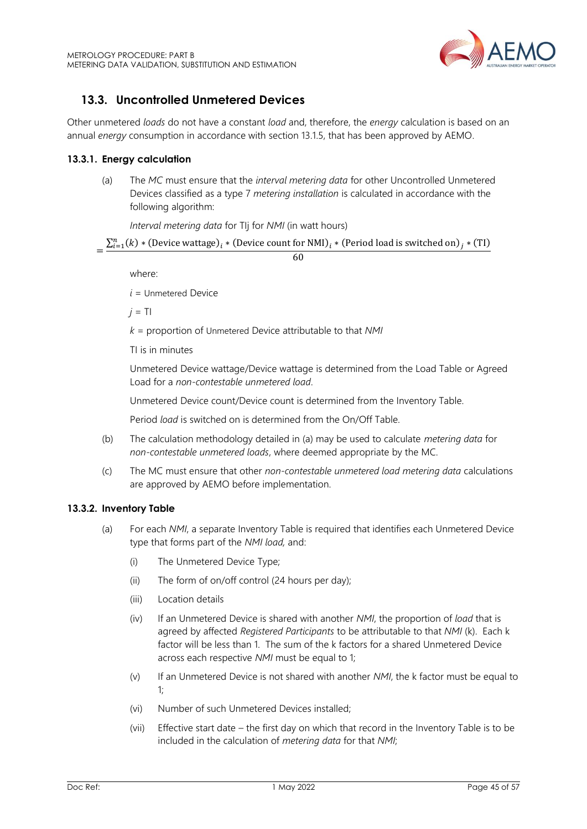

## <span id="page-44-0"></span>**13.3. Uncontrolled Unmetered Devices**

Other unmetered *loads* do not have a constant *load* and, therefore, the *energy* calculation is based on an annual *energy* consumption in accordance with section 13.1.5, that has been approved by AEMO.

#### **13.3.1. Energy calculation**

(a) The *MC* must ensure that the *interval metering data* for other Uncontrolled Unmetered Devices classified as a type 7 *metering installation* is calculated in accordance with the following algorithm:

*Interval metering data* for TIj for *NMI* (in watt hours)

= ∑ () ∗ (Device wattage) =1 ∗ (Device count for NMI) ∗ (Period load is switched on) ∗ (TI)

60

where:

*i* = Unmetered Device

 $j = T$ 

*k* = proportion of Unmetered Device attributable to that *NMI*

TI is in minutes

Unmetered Device wattage/Device wattage is determined from the Load Table or Agreed Load for a *non-contestable unmetered load*.

Unmetered Device count/Device count is determined from the Inventory Table.

Period *load* is switched on is determined from the On/Off Table.

- (b) The calculation methodology detailed in (a) may be used to calculate *metering data* for *non-contestable unmetered loads*, where deemed appropriate by the MC.
- (c) The MC must ensure that other *non-contestable unmetered load metering data* calculations are approved by AEMO before implementation.

#### **13.3.2. Inventory Table**

- (a) For each *NMI*, a separate Inventory Table is required that identifies each Unmetered Device type that forms part of the *NMI load,* and:
	- (i) The Unmetered Device Type;
	- (ii) The form of on/off control (24 hours per day);
	- (iii) Location details
	- (iv) If an Unmetered Device is shared with another *NMI*, the proportion of *load* that is agreed by affected *Registered Participants* to be attributable to that *NMI* (k). Each k factor will be less than 1. The sum of the k factors for a shared Unmetered Device across each respective *NMI* must be equal to 1;
	- (v) If an Unmetered Device is not shared with another *NMI*, the k factor must be equal to 1;
	- (vi) Number of such Unmetered Devices installed;
	- (vii) Effective start date the first day on which that record in the Inventory Table is to be included in the calculation of *metering data* for that *NMI*;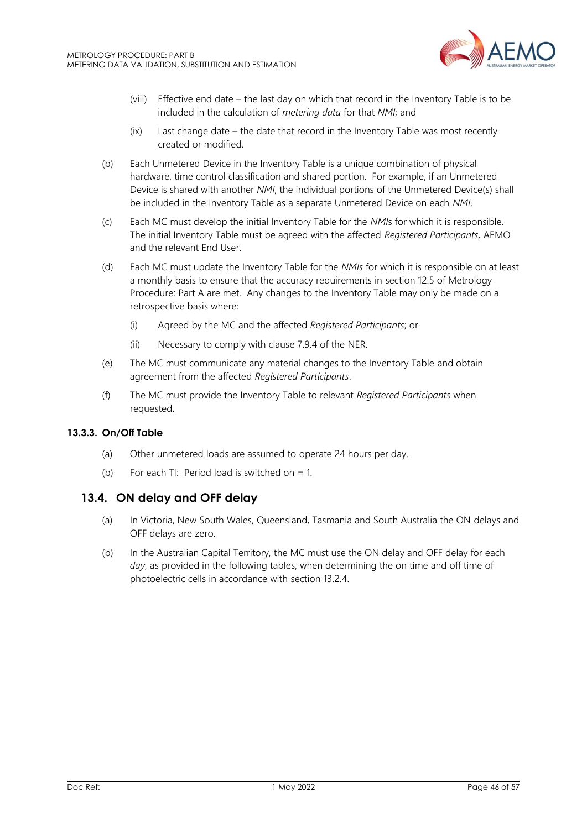

- (viii) Effective end date the last day on which that record in the Inventory Table is to be included in the calculation of *metering data* for that *NMI*; and
- (ix) Last change date the date that record in the Inventory Table was most recently created or modified.
- (b) Each Unmetered Device in the Inventory Table is a unique combination of physical hardware, time control classification and shared portion. For example, if an Unmetered Device is shared with another *NMI*, the individual portions of the Unmetered Device(s) shall be included in the Inventory Table as a separate Unmetered Device on each *NMI*.
- (c) Each MC must develop the initial Inventory Table for the *NMI*s for which it is responsible. The initial Inventory Table must be agreed with the affected *Registered Participants,* AEMO and the relevant End User.
- (d) Each MC must update the Inventory Table for the *NMIs* for which it is responsible on at least a monthly basis to ensure that the accuracy requirements in section 12.5 of Metrology Procedure: Part A are met. Any changes to the Inventory Table may only be made on a retrospective basis where:
	- (i) Agreed by the MC and the affected *Registered Participants*; or
	- (ii) Necessary to comply with clause 7.9.4 of the NER.
- (e) The MC must communicate any material changes to the Inventory Table and obtain agreement from the affected *Registered Participants*.
- (f) The MC must provide the Inventory Table to relevant *Registered Participants* when requested.

#### **13.3.3. On/Off Table**

- (a) Other unmetered loads are assumed to operate 24 hours per day.
- (b) For each TI: Period load is switched on  $= 1$ .

## <span id="page-45-0"></span>**13.4. ON delay and OFF delay**

- (a) In Victoria, New South Wales, Queensland, Tasmania and South Australia the ON delays and OFF delays are zero.
- (b) In the Australian Capital Territory, the MC must use the ON delay and OFF delay for each *day*, as provided in the following tables, when determining the on time and off time of photoelectric cells in accordance with section 13.2.4.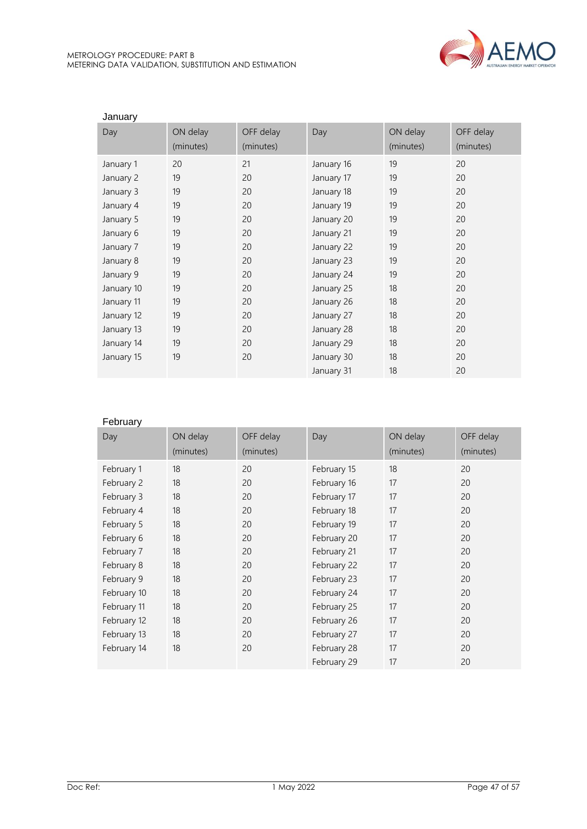

| January    |           |           |            |           |           |
|------------|-----------|-----------|------------|-----------|-----------|
| Day        | ON delay  | OFF delay | Day        | ON delay  | OFF delay |
|            | (minutes) | (minutes) |            | (minutes) | (minutes) |
| January 1  | 20        | 21        | January 16 | 19        | 20        |
| January 2  | 19        | 20        | January 17 | 19        | 20        |
| January 3  | 19        | 20        | January 18 | 19        | 20        |
| January 4  | 19        | 20        | January 19 | 19        | 20        |
| January 5  | 19        | 20        | January 20 | 19        | 20        |
| January 6  | 19        | 20        | January 21 | 19        | 20        |
| January 7  | 19        | 20        | January 22 | 19        | 20        |
| January 8  | 19        | 20        | January 23 | 19        | 20        |
| January 9  | 19        | 20        | January 24 | 19        | 20        |
| January 10 | 19        | 20        | January 25 | 18        | 20        |
| January 11 | 19        | 20        | January 26 | 18        | 20        |
| January 12 | 19        | 20        | January 27 | 18        | 20        |
| January 13 | 19        | 20        | January 28 | 18        | 20        |
| January 14 | 19        | 20        | January 29 | 18        | 20        |
| January 15 | 19        | 20        | January 30 | 18        | 20        |
|            |           |           | January 31 | 18        | 20        |

#### February

| Day         | ON delay  | OFF delay | Day         | ON delay  | OFF delay |
|-------------|-----------|-----------|-------------|-----------|-----------|
|             | (minutes) | (minutes) |             | (minutes) | (minutes) |
| February 1  | 18        | 20        | February 15 | 18        | 20        |
| February 2  | 18        | 20        | February 16 | 17        | 20        |
| February 3  | 18        | 20        | February 17 | 17        | 20        |
| February 4  | 18        | 20        | February 18 | 17        | 20        |
| February 5  | 18        | 20        | February 19 | 17        | 20        |
| February 6  | 18        | 20        | February 20 | 17        | 20        |
| February 7  | 18        | 20        | February 21 | 17        | 20        |
| February 8  | 18        | 20        | February 22 | 17        | 20        |
| February 9  | 18        | 20        | February 23 | 17        | 20        |
| February 10 | 18        | 20        | February 24 | 17        | 20        |
| February 11 | 18        | 20        | February 25 | 17        | 20        |
| February 12 | 18        | 20        | February 26 | 17        | 20        |
| February 13 | 18        | 20        | February 27 | 17        | 20        |
| February 14 | 18        | 20        | February 28 | 17        | 20        |
|             |           |           | February 29 | 17        | 20        |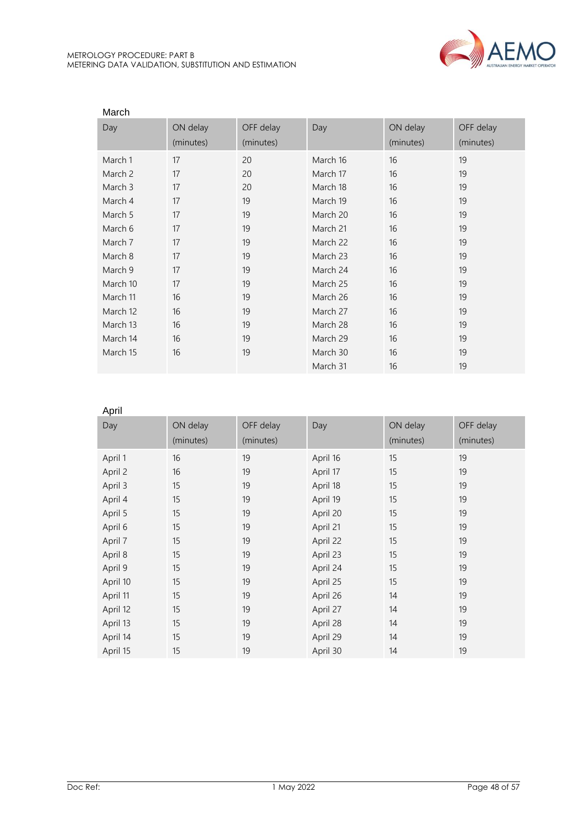

| March    |           |           |          |           |           |  |  |  |
|----------|-----------|-----------|----------|-----------|-----------|--|--|--|
| Day      | ON delay  | OFF delay | Day      | ON delay  | OFF delay |  |  |  |
|          | (minutes) | (minutes) |          | (minutes) | (minutes) |  |  |  |
| March 1  | 17        | 20        | March 16 | 16        | 19        |  |  |  |
| March 2  | 17        | 20        | March 17 | 16        | 19        |  |  |  |
| March 3  | 17        | 20        | March 18 | 16        | 19        |  |  |  |
| March 4  | 17        | 19        | March 19 | 16        | 19        |  |  |  |
| March 5  | 17        | 19        | March 20 | 16        | 19        |  |  |  |
| March 6  | 17        | 19        | March 21 | 16        | 19        |  |  |  |
| March 7  | 17        | 19        | March 22 | 16        | 19        |  |  |  |
| March 8  | 17        | 19        | March 23 | 16        | 19        |  |  |  |
| March 9  | 17        | 19        | March 24 | 16        | 19        |  |  |  |
| March 10 | 17        | 19        | March 25 | 16        | 19        |  |  |  |
| March 11 | 16        | 19        | March 26 | 16        | 19        |  |  |  |
| March 12 | 16        | 19        | March 27 | 16        | 19        |  |  |  |
| March 13 | 16        | 19        | March 28 | 16        | 19        |  |  |  |
| March 14 | 16        | 19        | March 29 | 16        | 19        |  |  |  |
| March 15 | 16        | 19        | March 30 | 16        | 19        |  |  |  |
|          |           |           | March 31 | 16        | 19        |  |  |  |

#### April

| . יי יי  |           |           |          |           |           |
|----------|-----------|-----------|----------|-----------|-----------|
| Day      | ON delay  | OFF delay | Day      | ON delay  | OFF delay |
|          | (minutes) | (minutes) |          | (minutes) | (minutes) |
| April 1  | 16        | 19        | April 16 | 15        | 19        |
| April 2  | 16        | 19        | April 17 | 15        | 19        |
| April 3  | 15        | 19        | April 18 | 15        | 19        |
| April 4  | 15        | 19        | April 19 | 15        | 19        |
| April 5  | 15        | 19        | April 20 | 15        | 19        |
| April 6  | 15        | 19        | April 21 | 15        | 19        |
| April 7  | 15        | 19        | April 22 | 15        | 19        |
| April 8  | 15        | 19        | April 23 | 15        | 19        |
| April 9  | 15        | 19        | April 24 | 15        | 19        |
| April 10 | 15        | 19        | April 25 | 15        | 19        |
| April 11 | 15        | 19        | April 26 | 14        | 19        |
| April 12 | 15        | 19        | April 27 | 14        | 19        |
| April 13 | 15        | 19        | April 28 | 14        | 19        |
| April 14 | 15        | 19        | April 29 | 14        | 19        |
| April 15 | 15        | 19        | April 30 | 14        | 19        |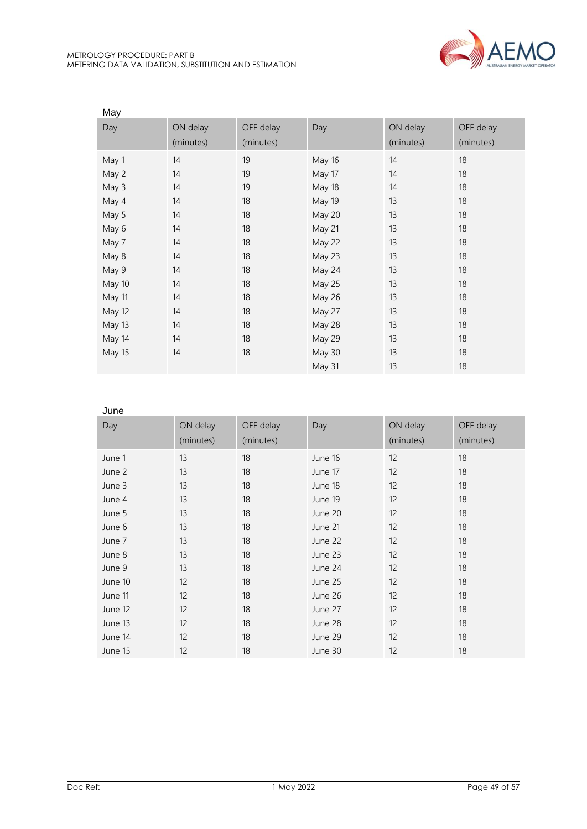

| May    |           |           |               |           |           |
|--------|-----------|-----------|---------------|-----------|-----------|
| Day    | ON delay  | OFF delay | Day           | ON delay  | OFF delay |
|        | (minutes) | (minutes) |               | (minutes) | (minutes) |
| May 1  | 14        | 19        | May 16        | 14        | 18        |
| May 2  | 14        | 19        | May 17        | 14        | 18        |
| May 3  | 14        | 19        | May 18        | 14        | 18        |
| May 4  | 14        | 18        | May 19        | 13        | 18        |
| May 5  | 14        | 18        | May 20        | 13        | 18        |
| May 6  | 14        | 18        | May 21        | 13        | 18        |
| May 7  | 14        | 18        | May 22        | 13        | 18        |
| May 8  | 14        | 18        | May 23        | 13        | 18        |
| May 9  | 14        | 18        | May 24        | 13        | 18        |
| May 10 | 14        | 18        | May 25        | 13        | 18        |
| May 11 | 14        | 18        | <b>May 26</b> | 13        | 18        |
| May 12 | 14        | 18        | May 27        | 13        | 18        |
| May 13 | 14        | 18        | May 28        | 13        | 18        |
| May 14 | 14        | 18        | May 29        | 13        | 18        |
| May 15 | 14        | 18        | May 30        | 13        | 18        |
|        |           |           | May 31        | 13        | 18        |

#### June

| Day     | ON delay  | OFF delay | Day     | ON delay  | OFF delay |
|---------|-----------|-----------|---------|-----------|-----------|
|         | (minutes) | (minutes) |         | (minutes) | (minutes) |
| June 1  | 13        | 18        | June 16 | 12        | 18        |
| June 2  | 13        | 18        | June 17 | 12        | 18        |
| June 3  | 13        | 18        | June 18 | 12        | 18        |
| June 4  | 13        | 18        | June 19 | 12        | 18        |
| June 5  | 13        | 18        | June 20 | 12        | 18        |
| June 6  | 13        | 18        | June 21 | 12        | 18        |
| June 7  | 13        | 18        | June 22 | 12        | 18        |
| June 8  | 13        | 18        | June 23 | 12        | 18        |
| June 9  | 13        | 18        | June 24 | 12        | 18        |
| June 10 | 12        | 18        | June 25 | 12        | 18        |
| June 11 | 12        | 18        | June 26 | 12        | 18        |
| June 12 | 12        | 18        | June 27 | 12        | 18        |
| June 13 | 12        | 18        | June 28 | 12        | 18        |
| June 14 | 12        | 18        | June 29 | 12        | 18        |
| June 15 | 12        | 18        | June 30 | 12        | 18        |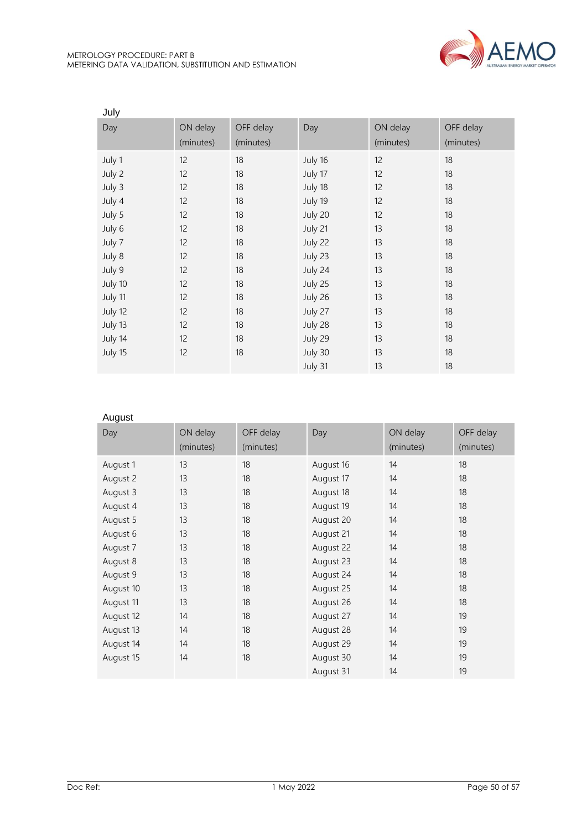

| July    |           |           |         |           |           |
|---------|-----------|-----------|---------|-----------|-----------|
| Day     | ON delay  | OFF delay | Day     | ON delay  | OFF delay |
|         | (minutes) | (minutes) |         | (minutes) | (minutes) |
| July 1  | 12        | 18        | July 16 | 12        | 18        |
| July 2  | 12        | 18        | July 17 | 12        | 18        |
| July 3  | 12        | 18        | July 18 | 12        | 18        |
| July 4  | 12        | 18        | July 19 | 12        | 18        |
| July 5  | 12        | 18        | July 20 | 12        | 18        |
| July 6  | 12        | 18        | July 21 | 13        | 18        |
| July 7  | 12        | 18        | July 22 | 13        | 18        |
| July 8  | 12        | 18        | July 23 | 13        | 18        |
| July 9  | 12        | 18        | July 24 | 13        | 18        |
| July 10 | 12        | 18        | July 25 | 13        | 18        |
| July 11 | 12        | 18        | July 26 | 13        | 18        |
| July 12 | 12        | 18        | July 27 | 13        | 18        |
| July 13 | 12        | 18        | July 28 | 13        | 18        |
| July 14 | 12        | 18        | July 29 | 13        | 18        |
| July 15 | 12        | 18        | July 30 | 13        | 18        |
|         |           |           | July 31 | 13        | 18        |

## August

| Day       | ON delay<br>(minutes) | OFF delay<br>(minutes) | Day       | ON delay<br>(minutes) | OFF delay<br>(minutes) |
|-----------|-----------------------|------------------------|-----------|-----------------------|------------------------|
| August 1  | 13                    | 18                     | August 16 | 14                    | 18                     |
| August 2  | 13                    | 18                     | August 17 | 14                    | 18                     |
| August 3  | 13                    | 18                     | August 18 | 14                    | 18                     |
| August 4  | 13                    | 18                     | August 19 | 14                    | 18                     |
| August 5  | 13                    | 18                     | August 20 | 14                    | 18                     |
| August 6  | 13                    | 18                     | August 21 | 14                    | 18                     |
| August 7  | 13                    | 18                     | August 22 | 14                    | 18                     |
| August 8  | 13                    | 18                     | August 23 | 14                    | 18                     |
| August 9  | 13                    | 18                     | August 24 | 14                    | 18                     |
| August 10 | 13                    | 18                     | August 25 | 14                    | 18                     |
| August 11 | 13                    | 18                     | August 26 | 14                    | 18                     |
| August 12 | 14                    | 18                     | August 27 | 14                    | 19                     |
| August 13 | 14                    | 18                     | August 28 | 14                    | 19                     |
| August 14 | 14                    | 18                     | August 29 | 14                    | 19                     |
| August 15 | 14                    | 18                     | August 30 | 14                    | 19                     |
|           |                       |                        | August 31 | 14                    | 19                     |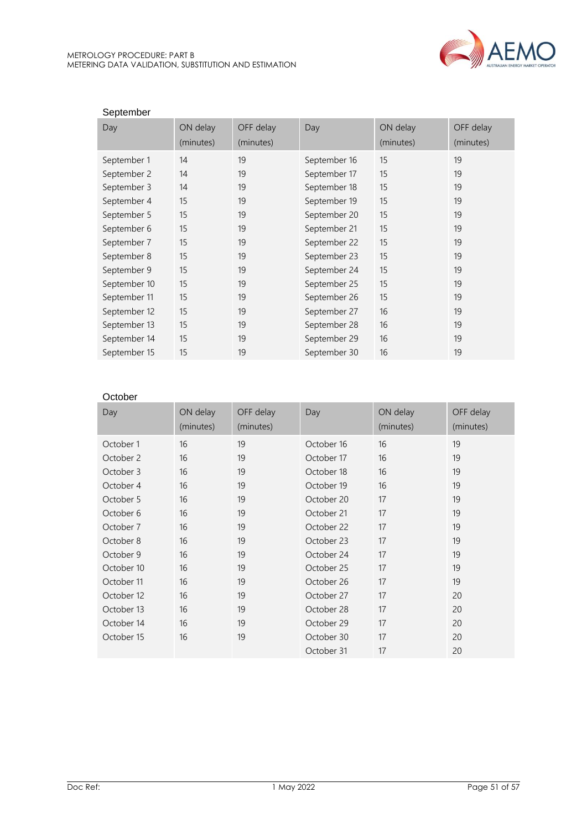

| September    |           |           |              |           |           |
|--------------|-----------|-----------|--------------|-----------|-----------|
| Day          | ON delay  | OFF delay | Day          | ON delay  | OFF delay |
|              | (minutes) | (minutes) |              | (minutes) | (minutes) |
| September 1  | 14        | 19        | September 16 | 15        | 19        |
| September 2  | 14        | 19        | September 17 | 15        | 19        |
| September 3  | 14        | 19        | September 18 | 15        | 19        |
| September 4  | 15        | 19        | September 19 | 15        | 19        |
| September 5  | 15        | 19        | September 20 | 15        | 19        |
| September 6  | 15        | 19        | September 21 | 15        | 19        |
| September 7  | 15        | 19        | September 22 | 15        | 19        |
| September 8  | 15        | 19        | September 23 | 15        | 19        |
| September 9  | 15        | 19        | September 24 | 15        | 19        |
| September 10 | 15        | 19        | September 25 | 15        | 19        |
| September 11 | 15        | 19        | September 26 | 15        | 19        |
| September 12 | 15        | 19        | September 27 | 16        | 19        |
| September 13 | 15        | 19        | September 28 | 16        | 19        |
| September 14 | 15        | 19        | September 29 | 16        | 19        |
| September 15 | 15        | 19        | September 30 | 16        | 19        |

#### **October**

| Day        | ON delay<br>(minutes) | OFF delay<br>(minutes) | Day        | ON delay<br>(minutes) | OFF delay<br>(minutes) |
|------------|-----------------------|------------------------|------------|-----------------------|------------------------|
| October 1  | 16                    | 19                     | October 16 | 16                    | 19                     |
| October 2  | 16                    | 19                     | October 17 | 16                    | 19                     |
| October 3  | 16                    | 19                     | October 18 | 16                    | 19                     |
| October 4  | 16                    | 19                     | October 19 | 16                    | 19                     |
| October 5  | 16                    | 19                     | October 20 | 17                    | 19                     |
| October 6  | 16                    | 19                     | October 21 | 17                    | 19                     |
| October 7  | 16                    | 19                     | October 22 | 17                    | 19                     |
| October 8  | 16                    | 19                     | October 23 | 17                    | 19                     |
| October 9  | 16                    | 19                     | October 24 | 17                    | 19                     |
| October 10 | 16                    | 19                     | October 25 | 17                    | 19                     |
| October 11 | 16                    | 19                     | October 26 | 17                    | 19                     |
| October 12 | 16                    | 19                     | October 27 | 17                    | 20                     |
| October 13 | 16                    | 19                     | October 28 | 17                    | 20                     |
| October 14 | 16                    | 19                     | October 29 | 17                    | 20                     |
| October 15 | 16                    | 19                     | October 30 | 17                    | 20                     |
|            |                       |                        | October 31 | 17                    | 20                     |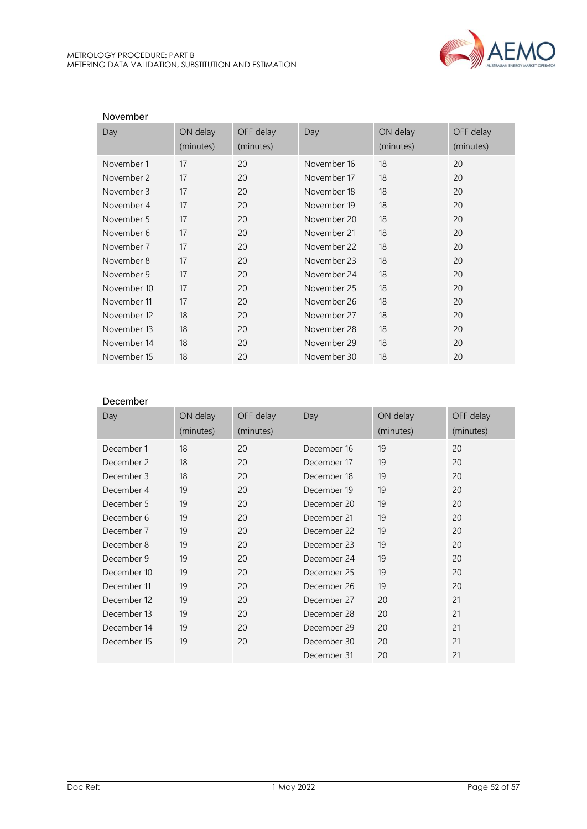

| November    |           |           |             |           |           |
|-------------|-----------|-----------|-------------|-----------|-----------|
| Day         | ON delay  | OFF delay | Day         | ON delay  | OFF delay |
|             | (minutes) | (minutes) |             | (minutes) | (minutes) |
| November 1  | 17        | 20        | November 16 | 18        | 20        |
| November 2  | 17        | 20        | November 17 | 18        | 20        |
| November 3  | 17        | 20        | November 18 | 18        | 20        |
| November 4  | 17        | 20        | November 19 | 18        | 20        |
| November 5  | 17        | 20        | November 20 | 18        | 20        |
| November 6  | 17        | 20        | November 21 | 18        | 20        |
| November 7  | 17        | 20        | November 22 | 18        | 20        |
| November 8  | 17        | 20        | November 23 | 18        | 20        |
| November 9  | 17        | 20        | November 24 | 18        | 20        |
| November 10 | 17        | 20        | November 25 | 18        | 20        |
| November 11 | 17        | 20        | November 26 | 18        | 20        |
| November 12 | 18        | 20        | November 27 | 18        | 20        |
| November 13 | 18        | 20        | November 28 | 18        | 20        |
| November 14 | 18        | 20        | November 29 | 18        | 20        |
| November 15 | 18        | 20        | November 30 | 18        | 20        |

#### December

| Day         | ON delay  | OFF delay | Day         | ON delay  | OFF delay |
|-------------|-----------|-----------|-------------|-----------|-----------|
|             | (minutes) | (minutes) |             | (minutes) | (minutes) |
| December 1  | 18        | 20        | December 16 | 19        | 20        |
| December 2  | 18        | 20        | December 17 | 19        | 20        |
| December 3  | 18        | 20        | December 18 | 19        | 20        |
| December 4  | 19        | 20        | December 19 | 19        | 20        |
| December 5  | 19        | 20        | December 20 | 19        | 20        |
| December 6  | 19        | 20        | December 21 | 19        | 20        |
| December 7  | 19        | 20        | December 22 | 19        | 20        |
| December 8  | 19        | 20        | December 23 | 19        | 20        |
| December 9  | 19        | 20        | December 24 | 19        | 20        |
| December 10 | 19        | 20        | December 25 | 19        | 20        |
| December 11 | 19        | 20        | December 26 | 19        | 20        |
| December 12 | 19        | 20        | December 27 | 20        | 21        |
| December 13 | 19        | 20        | December 28 | 20        | 21        |
| December 14 | 19        | 20        | December 29 | 20        | 21        |
| December 15 | 19        | 20        | December 30 | 20        | 21        |
|             |           |           | December 31 | 20        | 21        |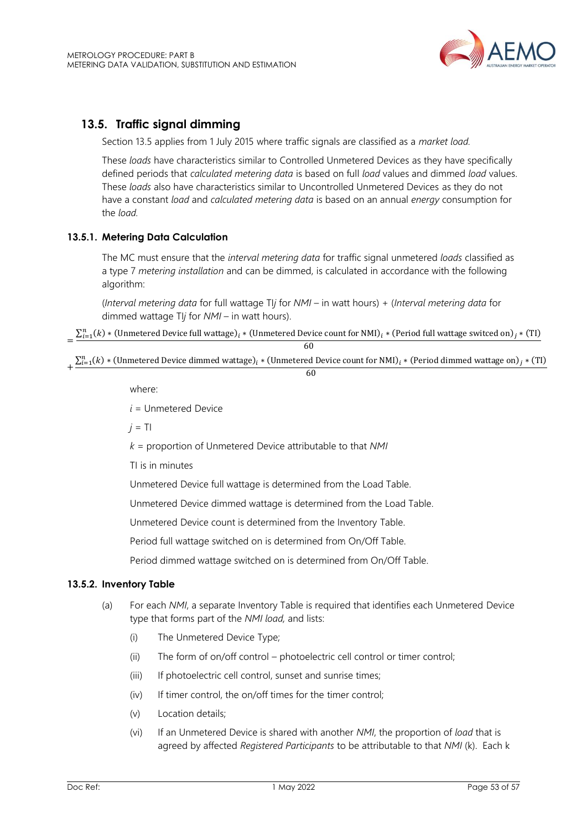## <span id="page-52-0"></span>**13.5. Traffic signal dimming**

Section 13.5 applies from 1 July 2015 where traffic signals are classified as a *market load.*

These *loads* have characteristics similar to Controlled Unmetered Devices as they have specifically defined periods that *calculated metering data* is based on full *load* values and dimmed *load* values. These *loads* also have characteristics similar to Uncontrolled Unmetered Devices as they do not have a constant *load* and *calculated metering data* is based on an annual *energy* consumption for the *load.*

## **13.5.1. Metering Data Calculation**

The MC must ensure that the *interval metering data* for traffic signal unmetered *loads* classified as a type 7 *metering installation* and can be dimmed, is calculated in accordance with the following algorithm:

(*Interval metering data* for full wattage TI*j* for *NMI* – in watt hours) + (*Interval metering data* for dimmed wattage TI*j* for *NMI* – in watt hours).

 $=\frac{\sum_{i=1}^{n}(k)*($ Unmetered Device full wattage)  $_i*($ Unmetered Device count for NMI)  $_i*($ Period full wattage switced on)  $_i*($ TI)  $\overline{6}$ 

| υv                                                                                                                                                                     |
|------------------------------------------------------------------------------------------------------------------------------------------------------------------------|
| $\sum_{i=1}^{n} (k)$ * (Unmetered Device dimmed wattage) <sub>i</sub> * (Unmetered Device count for NMI) <sub>i</sub> * (Period dimmed wattage on) <sub>i</sub> * (TI) |
|                                                                                                                                                                        |

#### 60

where:

*i* = Unmetered Device

 $j = T$ 

*k* = proportion of Unmetered Device attributable to that *NMI*

TI is in minutes

Unmetered Device full wattage is determined from the Load Table.

Unmetered Device dimmed wattage is determined from the Load Table.

Unmetered Device count is determined from the Inventory Table.

Period full wattage switched on is determined from On/Off Table.

Period dimmed wattage switched on is determined from On/Off Table.

#### **13.5.2. Inventory Table**

- (a) For each *NMI*, a separate Inventory Table is required that identifies each Unmetered Device type that forms part of the *NMI load,* and lists:
	- (i) The Unmetered Device Type;
	- (ii) The form of on/off control photoelectric cell control or timer control;
	- (iii) If photoelectric cell control, sunset and sunrise times;
	- (iv) If timer control, the on/off times for the timer control;
	- (v) Location details;
	- (vi) If an Unmetered Device is shared with another *NMI*, the proportion of *load* that is agreed by affected *Registered Participants* to be attributable to that *NMI* (k). Each k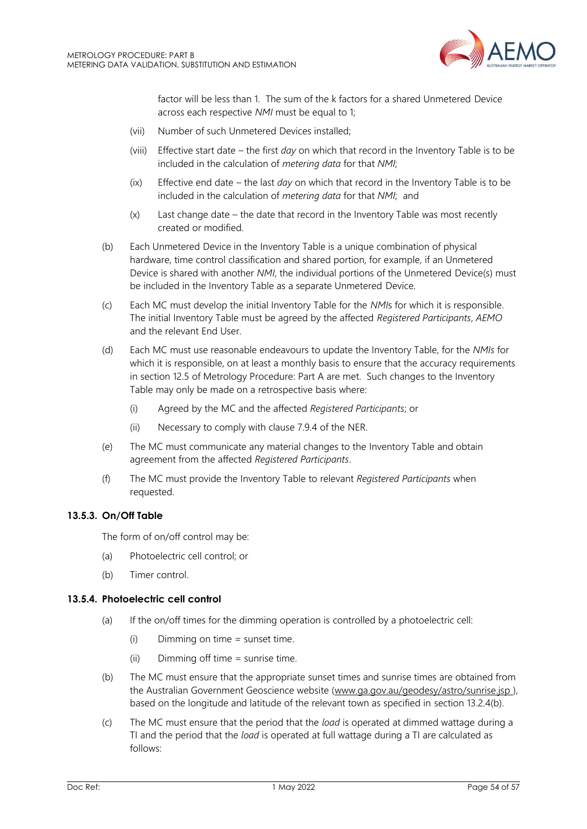

factor will be less than 1. The sum of the k factors for a shared Unmetered Device across each respective *NMI* must be equal to 1;

- (vii) Number of such Unmetered Devices installed;
- (viii) Effective start date the first *day* on which that record in the Inventory Table is to be included in the calculation of *metering data* for that *NMI*;
- (ix) Effective end date the last *day* on which that record in the Inventory Table is to be included in the calculation of *metering data* for that *NMI*; and
- (x) Last change date the date that record in the Inventory Table was most recently created or modified.
- (b) Each Unmetered Device in the Inventory Table is a unique combination of physical hardware, time control classification and shared portion, for example, if an Unmetered Device is shared with another *NMI*, the individual portions of the Unmetered Device(s) must be included in the Inventory Table as a separate Unmetered Device.
- (c) Each MC must develop the initial Inventory Table for the *NMI*s for which it is responsible. The initial Inventory Table must be agreed by the affected *Registered Participants*, *AEMO* and the relevant End User.
- (d) Each MC must use reasonable endeavours to update the Inventory Table, for the *NMIs* for which it is responsible, on at least a monthly basis to ensure that the accuracy requirements in section 12.5 of Metrology Procedure: Part A are met. Such changes to the Inventory Table may only be made on a retrospective basis where:
	- (i) Agreed by the MC and the affected *Registered Participants*; or
	- (ii) Necessary to comply with clause 7.9.4 of the NER.
- (e) The MC must communicate any material changes to the Inventory Table and obtain agreement from the affected *Registered Participants*.
- (f) The MC must provide the Inventory Table to relevant *Registered Participants* when requested.

#### **13.5.3. On/Off Table**

The form of on/off control may be:

- (a) Photoelectric cell control; or
- (b) Timer control.

#### **13.5.4. Photoelectric cell control**

- (a) If the on/off times for the dimming operation is controlled by a photoelectric cell:
	- (i) Dimming on time = sunset time.
	- (ii) Dimming off time = sunrise time.
- (b) The MC must ensure that the appropriate sunset times and sunrise times are obtained from the Australian Government Geoscience website [\(www.ga.gov.au/geodesy/astro/sunrise.jsp](http://www.ga.gov.au/geodesy/astro/sunrise.jsp) ), based on the longitude and latitude of the relevant town as specified in section 13.2.4(b).
- (c) The MC must ensure that the period that the *load* is operated at dimmed wattage during a TI and the period that the *load* is operated at full wattage during a TI are calculated as follows: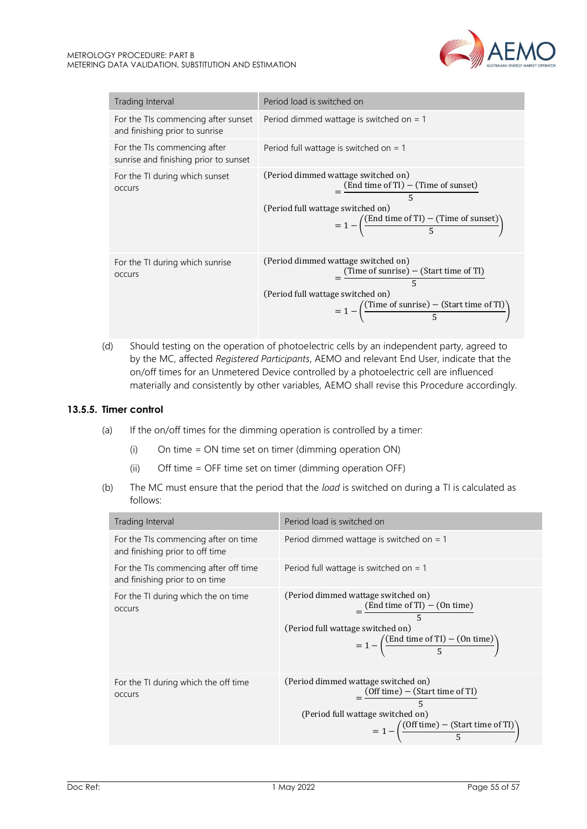

| Trading Interval                                                      | Period load is switched on                                                                                                                                                                                                            |
|-----------------------------------------------------------------------|---------------------------------------------------------------------------------------------------------------------------------------------------------------------------------------------------------------------------------------|
| and finishing prior to sunrise                                        | For the TIs commencing after sunset Period dimmed wattage is switched on $= 1$                                                                                                                                                        |
| For the TIs commencing after<br>sunrise and finishing prior to sunset | Period full wattage is switched on $=$ 1                                                                                                                                                                                              |
| For the TI during which sunset<br><b>OCCUIS</b>                       | (Period dimmed wattage switched on)<br>$=\frac{\text{(End time of TI)} - \text{(Time of sunset)}}{5}$<br>(Period full wattage switched on)<br>$= 1 - \left( \frac{\text{(End time of TI)} - \text{(Time of sunset)}}{5} \right)$      |
| For the TI during which sunrise<br><b>OCCULS</b>                      | (Period dimmed wattage switched on)<br>$\frac{(\text{Time of sunrise}) - (\text{Start time of TI})}{5}$<br>(Period full wattage switched on)<br>$= 1 - \left( \frac{\text{(Time of sunrise)} - \text{(Start time of TI)}}{5} \right)$ |

(d) Should testing on the operation of photoelectric cells by an independent party, agreed to by the MC, affected *Registered Participants*, AEMO and relevant End User, indicate that the on/off times for an Unmetered Device controlled by a photoelectric cell are influenced materially and consistently by other variables, AEMO shall revise this Procedure accordingly.

#### **13.5.5. Timer control**

- (a) If the on/off times for the dimming operation is controlled by a timer:
	- (i) On time = ON time set on timer (dimming operation ON)
	- (ii) Off time = OFF time set on timer (dimming operation OFF)
- (b) The MC must ensure that the period that the *load* is switched on during a TI is calculated as follows:

| Trading Interval                                                        | Period load is switched on                                                                                                                                                                               |
|-------------------------------------------------------------------------|----------------------------------------------------------------------------------------------------------------------------------------------------------------------------------------------------------|
| For the TIs commencing after on time<br>and finishing prior to off time | Period dimmed wattage is switched on $= 1$                                                                                                                                                               |
| For the TIs commencing after off time<br>and finishing prior to on time | Period full wattage is switched on $=$ 1                                                                                                                                                                 |
| For the TI during which the on time<br><b>OCCULS</b>                    | (Period dimmed wattage switched on)<br>$=\frac{(End time of TI) - (On time)}{5}$<br>(Period full wattage switched on)<br>$= 1 - \left(\frac{\text{(End time of TI)} - \text{(On time)}}{5}\right)$       |
| For the TI during which the off time<br><b>OCCULS</b>                   | (Period dimmed wattage switched on)<br>$=\frac{(Off time) - (Start time of TI)}{5}$<br>(Period full wattage switched on)<br>$= 1 - \left( \frac{(Off \, time) - (Start \, time \, of \, TI)}{5} \right)$ |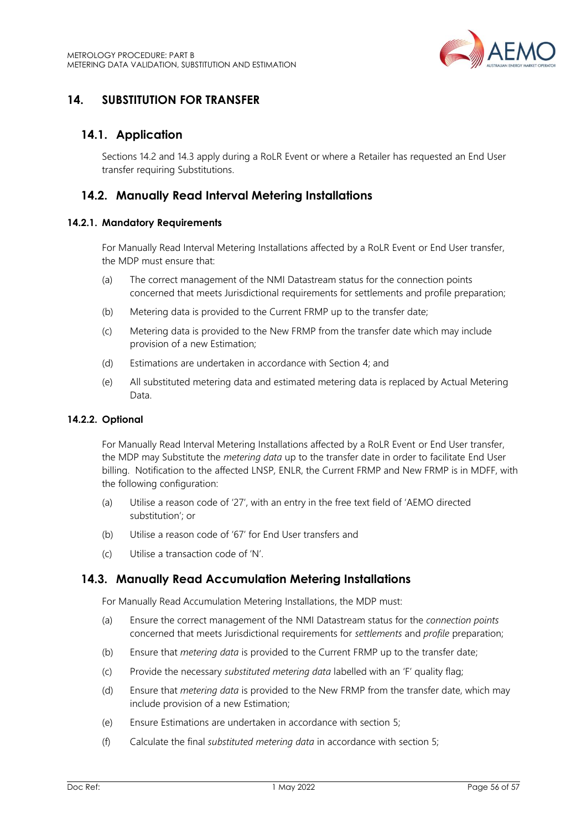

## <span id="page-55-0"></span>**14. SUBSTITUTION FOR TRANSFER**

## <span id="page-55-1"></span>**14.1. Application**

Sections 14.2 and 14.3 apply during a RoLR Event or where a Retailer has requested an End User transfer requiring Substitutions.

## <span id="page-55-2"></span>**14.2. Manually Read Interval Metering Installations**

#### **14.2.1. Mandatory Requirements**

For Manually Read Interval Metering Installations affected by a RoLR Event or End User transfer, the MDP must ensure that:

- (a) The correct management of the NMI Datastream status for the connection points concerned that meets Jurisdictional requirements for settlements and profile preparation;
- (b) Metering data is provided to the Current FRMP up to the transfer date;
- (c) Metering data is provided to the New FRMP from the transfer date which may include provision of a new Estimation;
- (d) Estimations are undertaken in accordance with Section 4; and
- (e) All substituted metering data and estimated metering data is replaced by Actual Metering Data.

#### **14.2.2. Optional**

For Manually Read Interval Metering Installations affected by a RoLR Event or End User transfer, the MDP may Substitute the *metering data* up to the transfer date in order to facilitate End User billing. Notification to the affected LNSP*,* ENLR, the Current FRMP and New FRMP is in MDFF, with the following configuration:

- (a) Utilise a reason code of '27', with an entry in the free text field of 'AEMO directed substitution'; or
- (b) Utilise a reason code of '67' for End User transfers and
- (c) Utilise a transaction code of 'N'.

## <span id="page-55-3"></span>**14.3. Manually Read Accumulation Metering Installations**

For Manually Read Accumulation Metering Installations, the MDP must:

- (a) Ensure the correct management of the NMI Datastream status for the *connection points* concerned that meets Jurisdictional requirements for *settlements* and *profile* preparation;
- (b) Ensure that *metering data* is provided to the Current FRMP up to the transfer date;
- (c) Provide the necessary *substituted metering data* labelled with an 'F' quality flag;
- (d) Ensure that *metering data* is provided to the New FRMP from the transfer date, which may include provision of a new Estimation;
- (e) Ensure Estimations are undertaken in accordance with section 5;
- (f) Calculate the final *substituted metering data* in accordance with section 5;